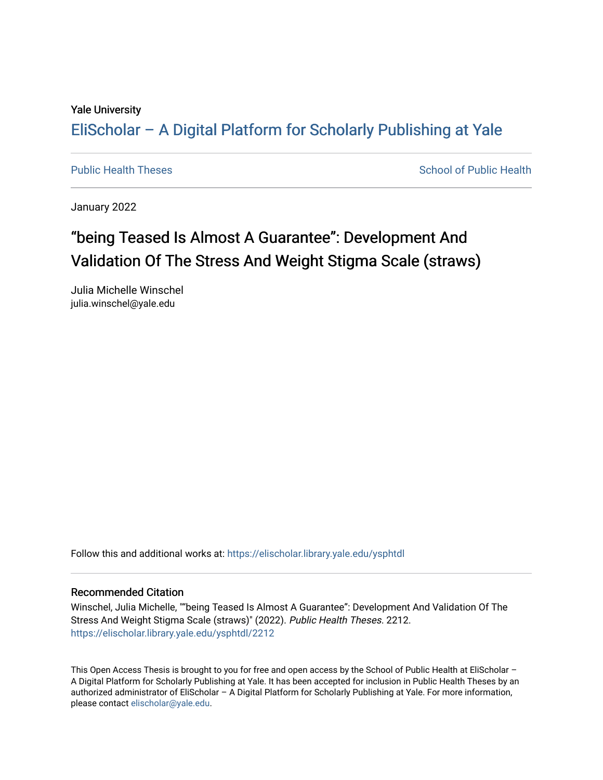## Yale University

# [EliScholar – A Digital Platform for Scholarly Publishing at Yale](https://elischolar.library.yale.edu/)

[Public Health Theses](https://elischolar.library.yale.edu/ysphtdl) School of Public Health

January 2022

# "being Teased Is Almost A Guarantee": Development And Validation Of The Stress And Weight Stigma Scale (straws)

Julia Michelle Winschel julia.winschel@yale.edu

Follow this and additional works at: [https://elischolar.library.yale.edu/ysphtdl](https://elischolar.library.yale.edu/ysphtdl?utm_source=elischolar.library.yale.edu%2Fysphtdl%2F2212&utm_medium=PDF&utm_campaign=PDFCoverPages) 

## Recommended Citation

Winschel, Julia Michelle, ""being Teased Is Almost A Guarantee": Development And Validation Of The Stress And Weight Stigma Scale (straws)" (2022). Public Health Theses. 2212. [https://elischolar.library.yale.edu/ysphtdl/2212](https://elischolar.library.yale.edu/ysphtdl/2212?utm_source=elischolar.library.yale.edu%2Fysphtdl%2F2212&utm_medium=PDF&utm_campaign=PDFCoverPages) 

This Open Access Thesis is brought to you for free and open access by the School of Public Health at EliScholar – A Digital Platform for Scholarly Publishing at Yale. It has been accepted for inclusion in Public Health Theses by an authorized administrator of EliScholar – A Digital Platform for Scholarly Publishing at Yale. For more information, please contact [elischolar@yale.edu](mailto:elischolar@yale.edu).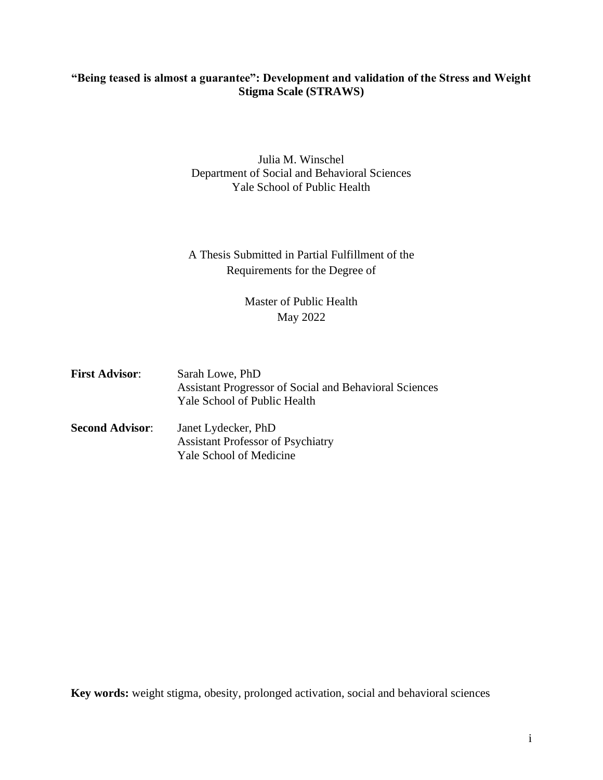## **"Being teased is almost a guarantee": Development and validation of the Stress and Weight Stigma Scale (STRAWS)**

## Julia M. Winschel Department of Social and Behavioral Sciences Yale School of Public Health

## A Thesis Submitted in Partial Fulfillment of the Requirements for the Degree of

## Master of Public Health May 2022

**First Advisor**: Sarah Lowe, PhD Assistant Progressor of Social and Behavioral Sciences Yale School of Public Health **Second Advisor**: Janet Lydecker, PhD Assistant Professor of Psychiatry Yale School of Medicine

**Key words:** weight stigma, obesity, prolonged activation, social and behavioral sciences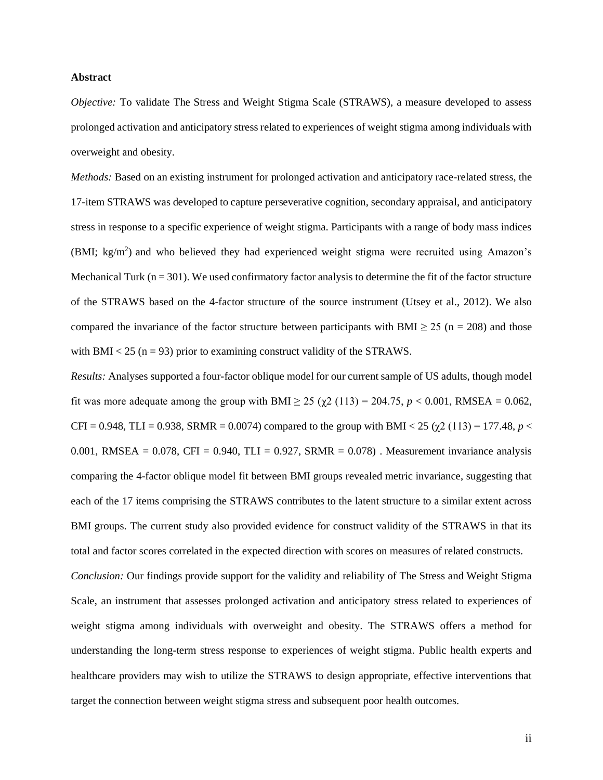#### **Abstract**

*Objective:* To validate The Stress and Weight Stigma Scale (STRAWS), a measure developed to assess prolonged activation and anticipatory stress related to experiences of weight stigma among individuals with overweight and obesity.

*Methods:* Based on an existing instrument for prolonged activation and anticipatory race-related stress, the 17-item STRAWS was developed to capture perseverative cognition, secondary appraisal, and anticipatory stress in response to a specific experience of weight stigma. Participants with a range of body mass indices (BMI; kg/m<sup>2</sup>) and who believed they had experienced weight stigma were recruited using Amazon's Mechanical Turk ( $n = 301$ ). We used confirmatory factor analysis to determine the fit of the factor structure of the STRAWS based on the 4-factor structure of the source instrument (Utsey et al., 2012). We also compared the invariance of the factor structure between participants with BMI  $\geq$  25 (n = 208) and those with BMI  $<$  25 (n = 93) prior to examining construct validity of the STRAWS.

*Results:* Analyses supported a four-factor oblique model for our current sample of US adults, though model fit was more adequate among the group with BMI  $\geq$  25 (χ2 (113) = 204.75, *p* < 0.001, RMSEA = 0.062, CFI = 0.948, TLI = 0.938, SRMR = 0.0074) compared to the group with BMI < 25 ( $\chi$ 2 (113) = 177.48, *p* < 0.001, RMSEA =  $0.078$ , CFI =  $0.940$ , TLI =  $0.927$ , SRMR =  $0.078$ ). Measurement invariance analysis comparing the 4-factor oblique model fit between BMI groups revealed metric invariance, suggesting that each of the 17 items comprising the STRAWS contributes to the latent structure to a similar extent across BMI groups. The current study also provided evidence for construct validity of the STRAWS in that its total and factor scores correlated in the expected direction with scores on measures of related constructs.

*Conclusion:* Our findings provide support for the validity and reliability of The Stress and Weight Stigma Scale, an instrument that assesses prolonged activation and anticipatory stress related to experiences of weight stigma among individuals with overweight and obesity. The STRAWS offers a method for understanding the long-term stress response to experiences of weight stigma. Public health experts and healthcare providers may wish to utilize the STRAWS to design appropriate, effective interventions that target the connection between weight stigma stress and subsequent poor health outcomes.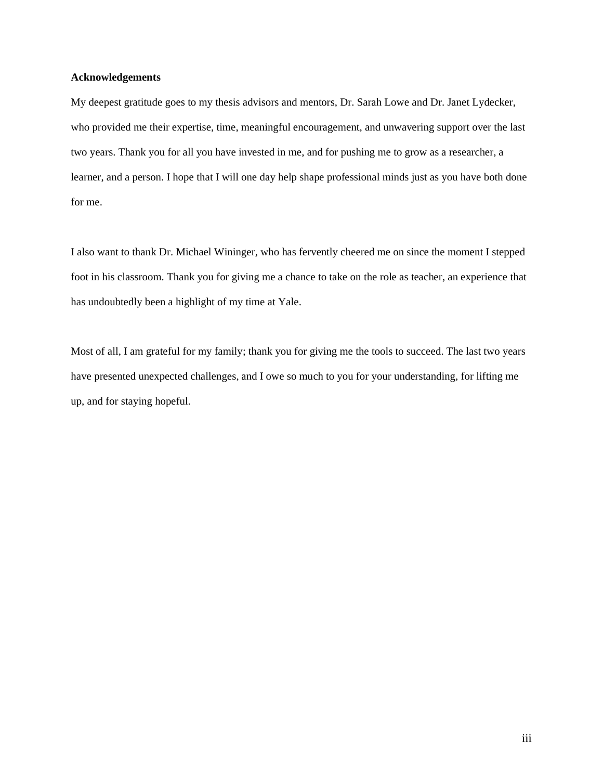### **Acknowledgements**

My deepest gratitude goes to my thesis advisors and mentors, Dr. Sarah Lowe and Dr. Janet Lydecker, who provided me their expertise, time, meaningful encouragement, and unwavering support over the last two years. Thank you for all you have invested in me, and for pushing me to grow as a researcher, a learner, and a person. I hope that I will one day help shape professional minds just as you have both done for me.

I also want to thank Dr. Michael Wininger, who has fervently cheered me on since the moment I stepped foot in his classroom. Thank you for giving me a chance to take on the role as teacher, an experience that has undoubtedly been a highlight of my time at Yale.

Most of all, I am grateful for my family; thank you for giving me the tools to succeed. The last two years have presented unexpected challenges, and I owe so much to you for your understanding, for lifting me up, and for staying hopeful.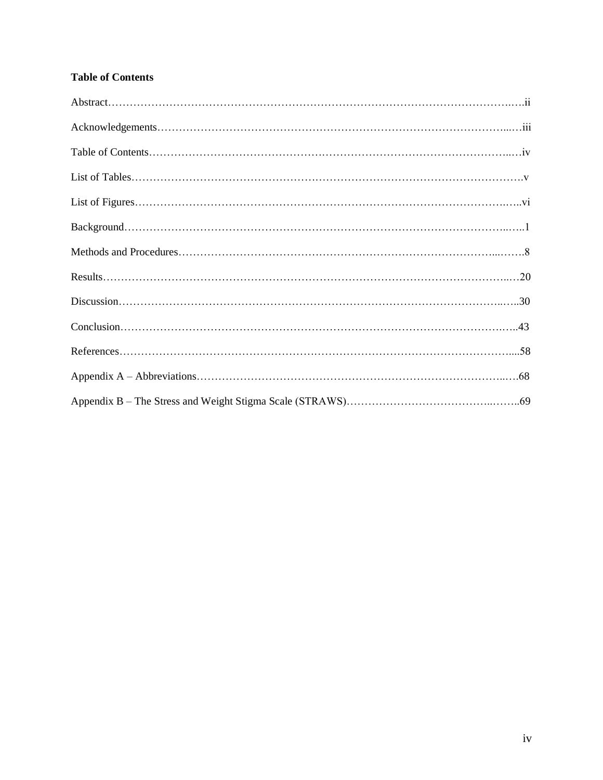## **Table of Contents**

| $Conclusion \dots 133$ |  |
|------------------------|--|
|                        |  |
|                        |  |
|                        |  |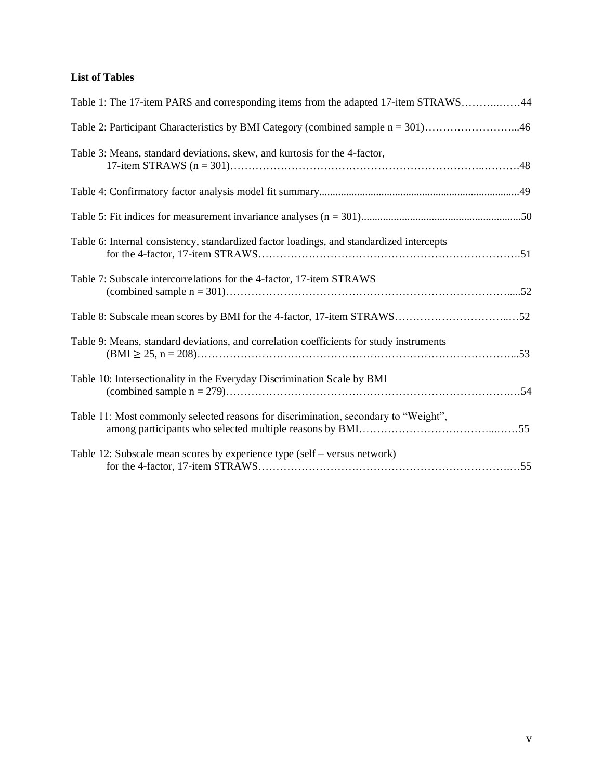## **List of Tables**

| Table 1: The 17-item PARS and corresponding items from the adapted 17-item STRAWS44      |  |
|------------------------------------------------------------------------------------------|--|
| Table 2: Participant Characteristics by BMI Category (combined sample n = 301)46         |  |
| Table 3: Means, standard deviations, skew, and kurtosis for the 4-factor,                |  |
|                                                                                          |  |
|                                                                                          |  |
| Table 6: Internal consistency, standardized factor loadings, and standardized intercepts |  |
| Table 7: Subscale intercorrelations for the 4-factor, 17-item STRAWS                     |  |
|                                                                                          |  |
| Table 9: Means, standard deviations, and correlation coefficients for study instruments  |  |
| Table 10: Intersectionality in the Everyday Discrimination Scale by BMI                  |  |
| Table 11: Most commonly selected reasons for discrimination, secondary to "Weight",      |  |
| Table 12: Subscale mean scores by experience type (self – versus network)                |  |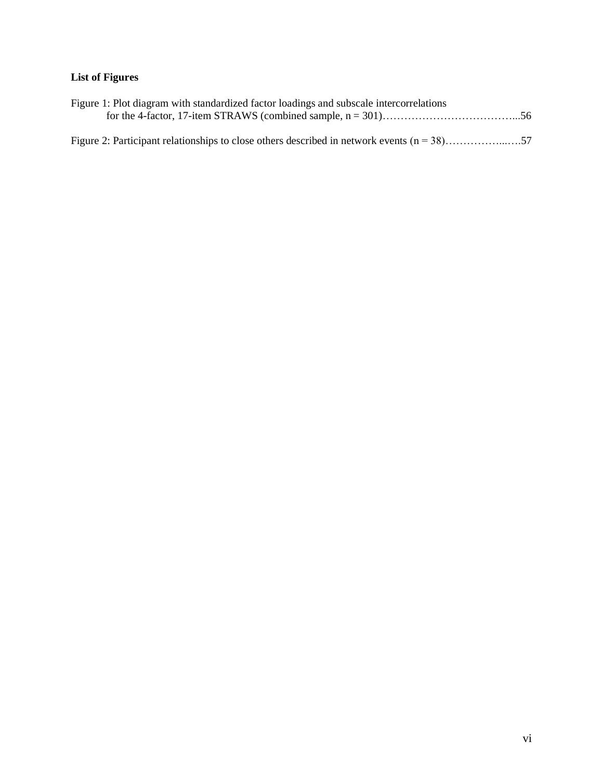## **List of Figures**

| Figure 1: Plot diagram with standardized factor loadings and subscale intercorrelations       |  |
|-----------------------------------------------------------------------------------------------|--|
|                                                                                               |  |
|                                                                                               |  |
| Figure 2: Participant relationships to close others described in network events $(n = 38)$ 57 |  |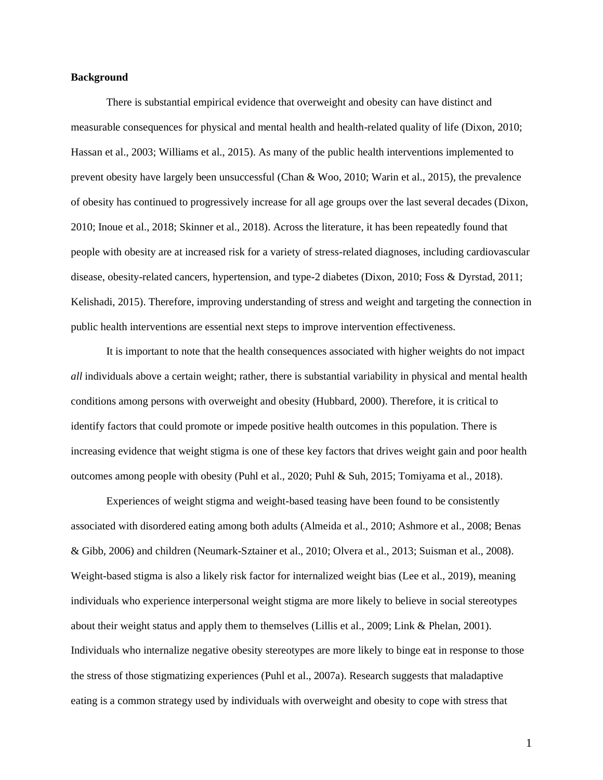#### **Background**

There is substantial empirical evidence that overweight and obesity can have distinct and measurable consequences for physical and mental health and health-related quality of life (Dixon, 2010; Hassan et al., 2003; Williams et al., 2015). As many of the public health interventions implemented to prevent obesity have largely been unsuccessful (Chan & Woo, 2010; Warin et al., 2015), the prevalence of obesity has continued to progressively increase for all age groups over the last several decades (Dixon, 2010; Inoue et al., 2018; Skinner et al., 2018). Across the literature, it has been repeatedly found that people with obesity are at increased risk for a variety of stress-related diagnoses, including cardiovascular disease, obesity-related cancers, hypertension, and type-2 diabetes (Dixon, 2010; Foss & Dyrstad, 2011; Kelishadi, 2015). Therefore, improving understanding of stress and weight and targeting the connection in public health interventions are essential next steps to improve intervention effectiveness.

It is important to note that the health consequences associated with higher weights do not impact *all* individuals above a certain weight; rather, there is substantial variability in physical and mental health conditions among persons with overweight and obesity (Hubbard, 2000). Therefore, it is critical to identify factors that could promote or impede positive health outcomes in this population. There is increasing evidence that weight stigma is one of these key factors that drives weight gain and poor health outcomes among people with obesity (Puhl et al., 2020; Puhl & Suh, 2015; Tomiyama et al., 2018).

Experiences of weight stigma and weight-based teasing have been found to be consistently associated with disordered eating among both adults (Almeida et al., 2010; Ashmore et al., 2008; Benas & Gibb, 2006) and children (Neumark-Sztainer et al., 2010; Olvera et al., 2013; Suisman et al., 2008). Weight-based stigma is also a likely risk factor for internalized weight bias (Lee et al., 2019), meaning individuals who experience interpersonal weight stigma are more likely to believe in social stereotypes about their weight status and apply them to themselves (Lillis et al., 2009; Link & Phelan, 2001). Individuals who internalize negative obesity stereotypes are more likely to binge eat in response to those the stress of those stigmatizing experiences (Puhl et al., 2007a). Research suggests that maladaptive eating is a common strategy used by individuals with overweight and obesity to cope with stress that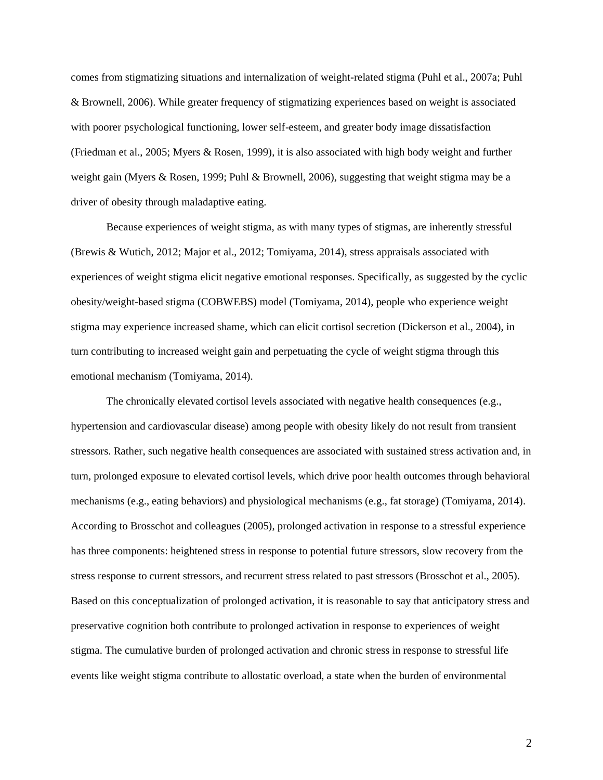comes from stigmatizing situations and internalization of weight-related stigma (Puhl et al., 2007a; Puhl & Brownell, 2006). While greater frequency of stigmatizing experiences based on weight is associated with poorer psychological functioning, lower self-esteem, and greater body image dissatisfaction (Friedman et al., 2005; Myers & Rosen, 1999), it is also associated with high body weight and further weight gain (Myers & Rosen, 1999; Puhl & Brownell, 2006), suggesting that weight stigma may be a driver of obesity through maladaptive eating.

Because experiences of weight stigma, as with many types of stigmas, are inherently stressful (Brewis & Wutich, 2012; Major et al., 2012; Tomiyama, 2014), stress appraisals associated with experiences of weight stigma elicit negative emotional responses. Specifically, as suggested by the cyclic obesity/weight-based stigma (COBWEBS) model (Tomiyama, 2014), people who experience weight stigma may experience increased shame, which can elicit cortisol secretion (Dickerson et al., 2004), in turn contributing to increased weight gain and perpetuating the cycle of weight stigma through this emotional mechanism (Tomiyama, 2014).

The chronically elevated cortisol levels associated with negative health consequences (e.g., hypertension and cardiovascular disease) among people with obesity likely do not result from transient stressors. Rather, such negative health consequences are associated with sustained stress activation and, in turn, prolonged exposure to elevated cortisol levels, which drive poor health outcomes through behavioral mechanisms (e.g., eating behaviors) and physiological mechanisms (e.g., fat storage) (Tomiyama, 2014). According to Brosschot and colleagues (2005), prolonged activation in response to a stressful experience has three components: heightened stress in response to potential future stressors, slow recovery from the stress response to current stressors, and recurrent stress related to past stressors (Brosschot et al., 2005). Based on this conceptualization of prolonged activation, it is reasonable to say that anticipatory stress and preservative cognition both contribute to prolonged activation in response to experiences of weight stigma. The cumulative burden of prolonged activation and chronic stress in response to stressful life events like weight stigma contribute to allostatic overload, a state when the burden of environmental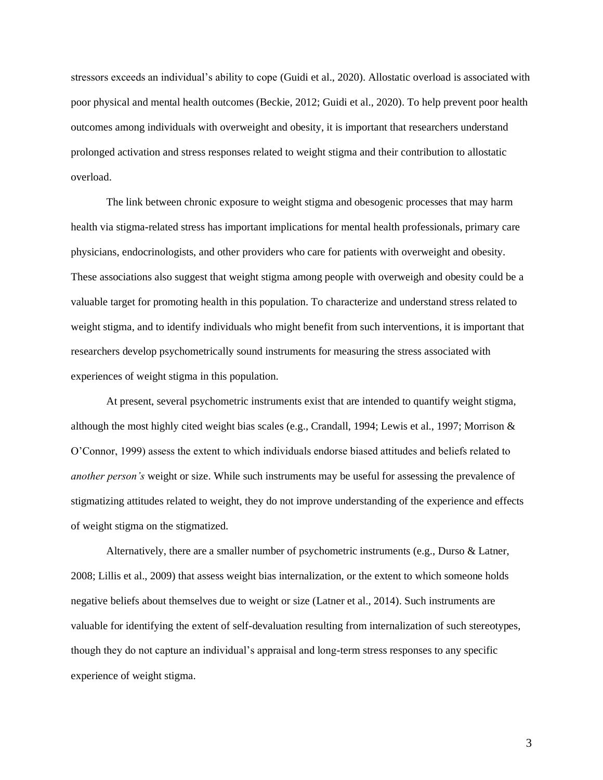stressors exceeds an individual's ability to cope (Guidi et al., 2020). Allostatic overload is associated with poor physical and mental health outcomes (Beckie, 2012; Guidi et al., 2020). To help prevent poor health outcomes among individuals with overweight and obesity, it is important that researchers understand prolonged activation and stress responses related to weight stigma and their contribution to allostatic overload.

The link between chronic exposure to weight stigma and obesogenic processes that may harm health via stigma-related stress has important implications for mental health professionals, primary care physicians, endocrinologists, and other providers who care for patients with overweight and obesity. These associations also suggest that weight stigma among people with overweigh and obesity could be a valuable target for promoting health in this population. To characterize and understand stress related to weight stigma, and to identify individuals who might benefit from such interventions, it is important that researchers develop psychometrically sound instruments for measuring the stress associated with experiences of weight stigma in this population.

At present, several psychometric instruments exist that are intended to quantify weight stigma, although the most highly cited weight bias scales (e.g., Crandall, 1994; Lewis et al., 1997; Morrison & O'Connor, 1999) assess the extent to which individuals endorse biased attitudes and beliefs related to *another person's* weight or size. While such instruments may be useful for assessing the prevalence of stigmatizing attitudes related to weight, they do not improve understanding of the experience and effects of weight stigma on the stigmatized.

Alternatively, there are a smaller number of psychometric instruments (e.g., Durso & Latner, 2008; Lillis et al., 2009) that assess weight bias internalization, or the extent to which someone holds negative beliefs about themselves due to weight or size (Latner et al., 2014). Such instruments are valuable for identifying the extent of self-devaluation resulting from internalization of such stereotypes, though they do not capture an individual's appraisal and long-term stress responses to any specific experience of weight stigma.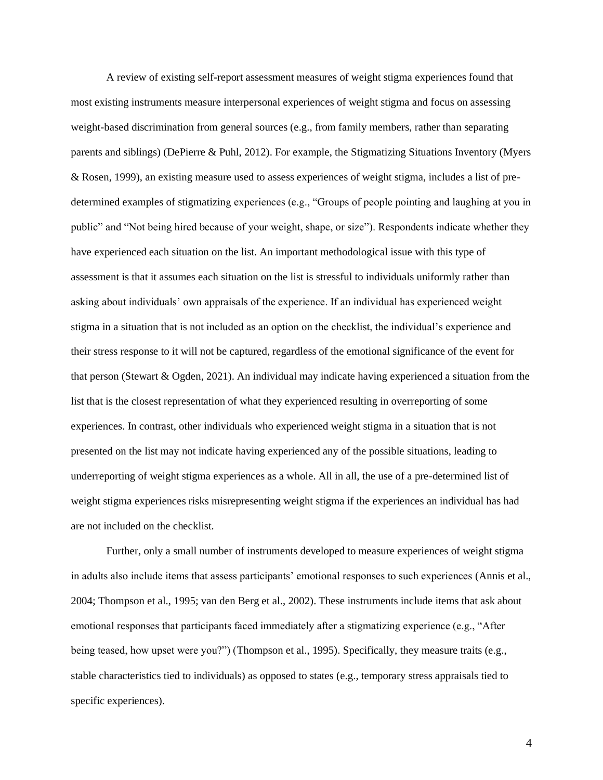A review of existing self-report assessment measures of weight stigma experiences found that most existing instruments measure interpersonal experiences of weight stigma and focus on assessing weight-based discrimination from general sources (e.g., from family members, rather than separating parents and siblings) (DePierre & Puhl, 2012). For example, the Stigmatizing Situations Inventory (Myers & Rosen, 1999), an existing measure used to assess experiences of weight stigma, includes a list of predetermined examples of stigmatizing experiences (e.g., "Groups of people pointing and laughing at you in public" and "Not being hired because of your weight, shape, or size"). Respondents indicate whether they have experienced each situation on the list. An important methodological issue with this type of assessment is that it assumes each situation on the list is stressful to individuals uniformly rather than asking about individuals' own appraisals of the experience. If an individual has experienced weight stigma in a situation that is not included as an option on the checklist, the individual's experience and their stress response to it will not be captured, regardless of the emotional significance of the event for that person (Stewart & Ogden, 2021). An individual may indicate having experienced a situation from the list that is the closest representation of what they experienced resulting in overreporting of some experiences. In contrast, other individuals who experienced weight stigma in a situation that is not presented on the list may not indicate having experienced any of the possible situations, leading to underreporting of weight stigma experiences as a whole. All in all, the use of a pre-determined list of weight stigma experiences risks misrepresenting weight stigma if the experiences an individual has had are not included on the checklist.

Further, only a small number of instruments developed to measure experiences of weight stigma in adults also include items that assess participants' emotional responses to such experiences (Annis et al., 2004; Thompson et al., 1995; van den Berg et al., 2002). These instruments include items that ask about emotional responses that participants faced immediately after a stigmatizing experience (e.g., "After being teased, how upset were you?") (Thompson et al., 1995). Specifically, they measure traits (e.g., stable characteristics tied to individuals) as opposed to states (e.g., temporary stress appraisals tied to specific experiences).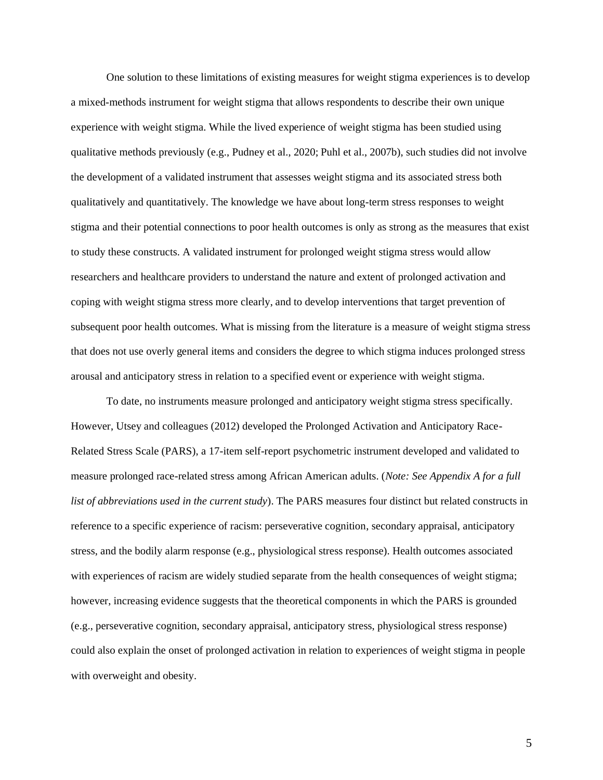One solution to these limitations of existing measures for weight stigma experiences is to develop a mixed-methods instrument for weight stigma that allows respondents to describe their own unique experience with weight stigma. While the lived experience of weight stigma has been studied using qualitative methods previously (e.g., Pudney et al., 2020; Puhl et al., 2007b), such studies did not involve the development of a validated instrument that assesses weight stigma and its associated stress both qualitatively and quantitatively. The knowledge we have about long-term stress responses to weight stigma and their potential connections to poor health outcomes is only as strong as the measures that exist to study these constructs. A validated instrument for prolonged weight stigma stress would allow researchers and healthcare providers to understand the nature and extent of prolonged activation and coping with weight stigma stress more clearly, and to develop interventions that target prevention of subsequent poor health outcomes. What is missing from the literature is a measure of weight stigma stress that does not use overly general items and considers the degree to which stigma induces prolonged stress arousal and anticipatory stress in relation to a specified event or experience with weight stigma.

To date, no instruments measure prolonged and anticipatory weight stigma stress specifically. However, Utsey and colleagues (2012) developed the Prolonged Activation and Anticipatory Race-Related Stress Scale (PARS), a 17-item self-report psychometric instrument developed and validated to measure prolonged race-related stress among African American adults. (*Note: See Appendix A for a full list of abbreviations used in the current study*). The PARS measures four distinct but related constructs in reference to a specific experience of racism: perseverative cognition, secondary appraisal, anticipatory stress, and the bodily alarm response (e.g., physiological stress response). Health outcomes associated with experiences of racism are widely studied separate from the health consequences of weight stigma; however, increasing evidence suggests that the theoretical components in which the PARS is grounded (e.g., perseverative cognition, secondary appraisal, anticipatory stress, physiological stress response) could also explain the onset of prolonged activation in relation to experiences of weight stigma in people with overweight and obesity.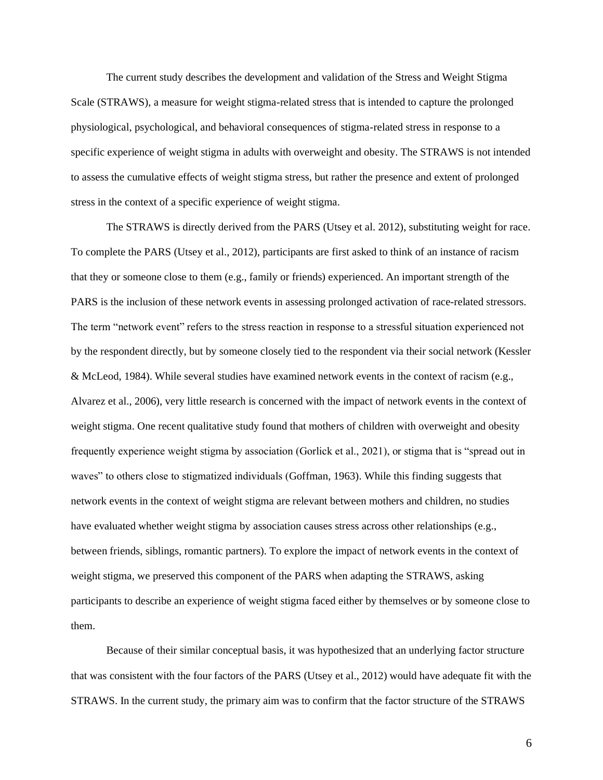The current study describes the development and validation of the Stress and Weight Stigma Scale (STRAWS), a measure for weight stigma-related stress that is intended to capture the prolonged physiological, psychological, and behavioral consequences of stigma-related stress in response to a specific experience of weight stigma in adults with overweight and obesity. The STRAWS is not intended to assess the cumulative effects of weight stigma stress, but rather the presence and extent of prolonged stress in the context of a specific experience of weight stigma.

The STRAWS is directly derived from the PARS (Utsey et al. 2012), substituting weight for race. To complete the PARS (Utsey et al., 2012), participants are first asked to think of an instance of racism that they or someone close to them (e.g., family or friends) experienced. An important strength of the PARS is the inclusion of these network events in assessing prolonged activation of race-related stressors. The term "network event" refers to the stress reaction in response to a stressful situation experienced not by the respondent directly, but by someone closely tied to the respondent via their social network (Kessler & McLeod, 1984). While several studies have examined network events in the context of racism (e.g., Alvarez et al., 2006), very little research is concerned with the impact of network events in the context of weight stigma. One recent qualitative study found that mothers of children with overweight and obesity frequently experience weight stigma by association (Gorlick et al., 2021), or stigma that is "spread out in waves" to others close to stigmatized individuals (Goffman, 1963). While this finding suggests that network events in the context of weight stigma are relevant between mothers and children, no studies have evaluated whether weight stigma by association causes stress across other relationships (e.g., between friends, siblings, romantic partners). To explore the impact of network events in the context of weight stigma, we preserved this component of the PARS when adapting the STRAWS, asking participants to describe an experience of weight stigma faced either by themselves or by someone close to them.

Because of their similar conceptual basis, it was hypothesized that an underlying factor structure that was consistent with the four factors of the PARS (Utsey et al., 2012) would have adequate fit with the STRAWS. In the current study, the primary aim was to confirm that the factor structure of the STRAWS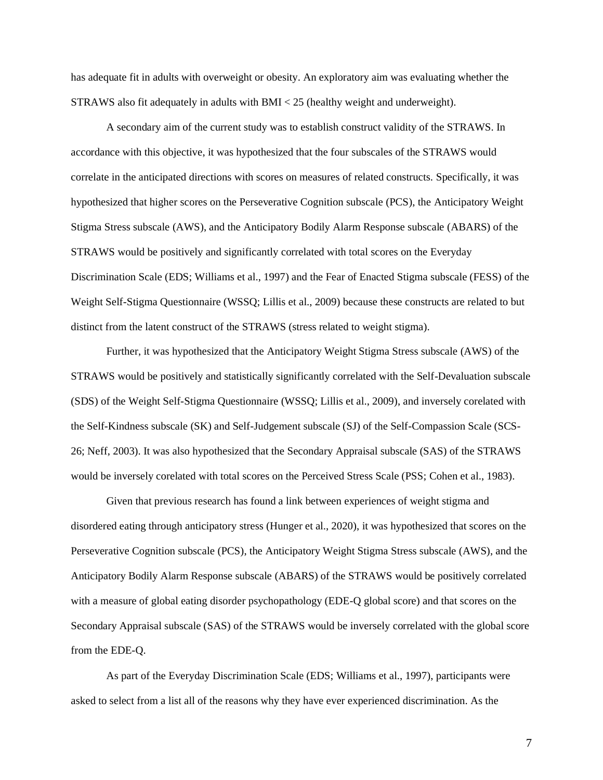has adequate fit in adults with overweight or obesity. An exploratory aim was evaluating whether the STRAWS also fit adequately in adults with BMI < 25 (healthy weight and underweight).

A secondary aim of the current study was to establish construct validity of the STRAWS. In accordance with this objective, it was hypothesized that the four subscales of the STRAWS would correlate in the anticipated directions with scores on measures of related constructs. Specifically, it was hypothesized that higher scores on the Perseverative Cognition subscale (PCS), the Anticipatory Weight Stigma Stress subscale (AWS), and the Anticipatory Bodily Alarm Response subscale (ABARS) of the STRAWS would be positively and significantly correlated with total scores on the Everyday Discrimination Scale (EDS; Williams et al., 1997) and the Fear of Enacted Stigma subscale (FESS) of the Weight Self-Stigma Questionnaire (WSSQ; Lillis et al., 2009) because these constructs are related to but distinct from the latent construct of the STRAWS (stress related to weight stigma).

Further, it was hypothesized that the Anticipatory Weight Stigma Stress subscale (AWS) of the STRAWS would be positively and statistically significantly correlated with the Self-Devaluation subscale (SDS) of the Weight Self-Stigma Questionnaire (WSSQ; Lillis et al., 2009), and inversely corelated with the Self-Kindness subscale (SK) and Self-Judgement subscale (SJ) of the Self-Compassion Scale (SCS-26; Neff, 2003). It was also hypothesized that the Secondary Appraisal subscale (SAS) of the STRAWS would be inversely corelated with total scores on the Perceived Stress Scale (PSS; Cohen et al., 1983).

Given that previous research has found a link between experiences of weight stigma and disordered eating through anticipatory stress (Hunger et al., 2020), it was hypothesized that scores on the Perseverative Cognition subscale (PCS), the Anticipatory Weight Stigma Stress subscale (AWS), and the Anticipatory Bodily Alarm Response subscale (ABARS) of the STRAWS would be positively correlated with a measure of global eating disorder psychopathology (EDE-Q global score) and that scores on the Secondary Appraisal subscale (SAS) of the STRAWS would be inversely correlated with the global score from the EDE-Q.

As part of the Everyday Discrimination Scale (EDS; Williams et al., 1997), participants were asked to select from a list all of the reasons why they have ever experienced discrimination. As the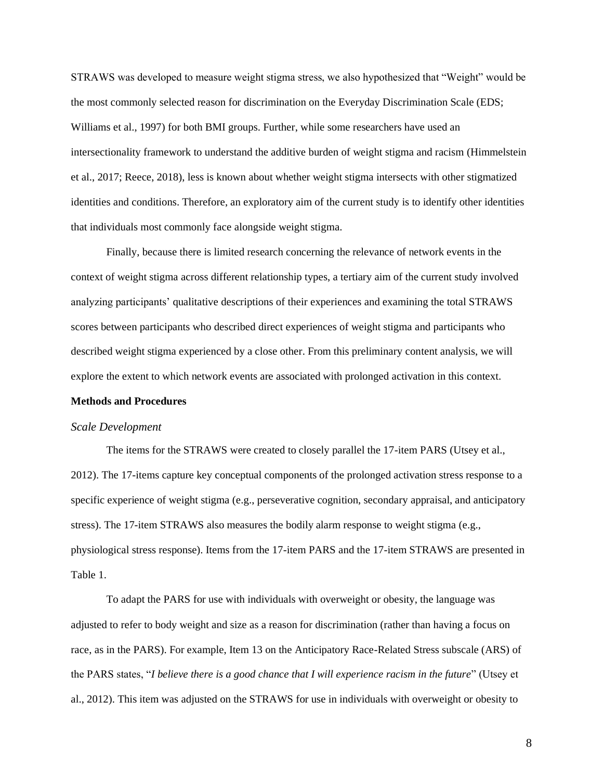STRAWS was developed to measure weight stigma stress, we also hypothesized that "Weight" would be the most commonly selected reason for discrimination on the Everyday Discrimination Scale (EDS; Williams et al., 1997) for both BMI groups. Further, while some researchers have used an intersectionality framework to understand the additive burden of weight stigma and racism (Himmelstein et al., 2017; Reece, 2018), less is known about whether weight stigma intersects with other stigmatized identities and conditions. Therefore, an exploratory aim of the current study is to identify other identities that individuals most commonly face alongside weight stigma.

Finally, because there is limited research concerning the relevance of network events in the context of weight stigma across different relationship types, a tertiary aim of the current study involved analyzing participants' qualitative descriptions of their experiences and examining the total STRAWS scores between participants who described direct experiences of weight stigma and participants who described weight stigma experienced by a close other. From this preliminary content analysis, we will explore the extent to which network events are associated with prolonged activation in this context.

### **Methods and Procedures**

#### *Scale Development*

The items for the STRAWS were created to closely parallel the 17-item PARS (Utsey et al., 2012). The 17-items capture key conceptual components of the prolonged activation stress response to a specific experience of weight stigma (e.g., perseverative cognition, secondary appraisal, and anticipatory stress). The 17-item STRAWS also measures the bodily alarm response to weight stigma (e.g., physiological stress response). Items from the 17-item PARS and the 17-item STRAWS are presented in Table 1.

To adapt the PARS for use with individuals with overweight or obesity, the language was adjusted to refer to body weight and size as a reason for discrimination (rather than having a focus on race, as in the PARS). For example, Item 13 on the Anticipatory Race-Related Stress subscale (ARS) of the PARS states, "*I believe there is a good chance that I will experience racism in the future*" (Utsey et al., 2012). This item was adjusted on the STRAWS for use in individuals with overweight or obesity to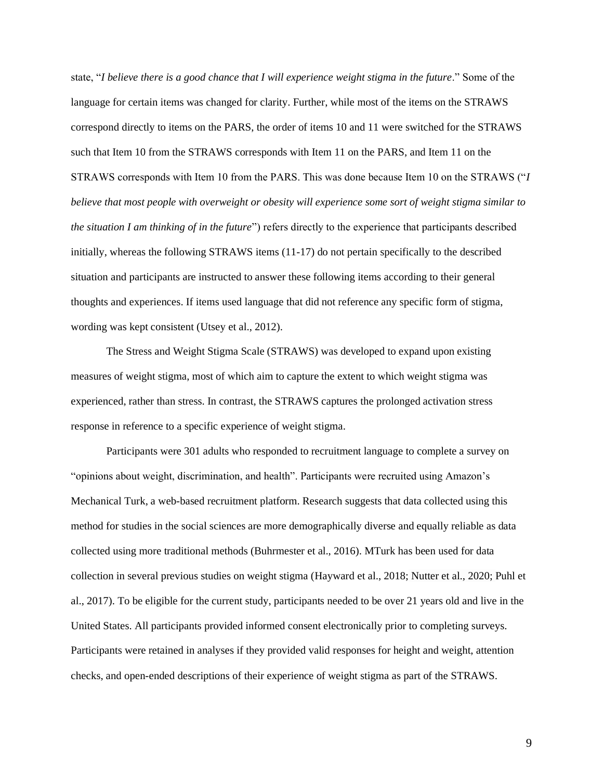state, "*I believe there is a good chance that I will experience weight stigma in the future*." Some of the language for certain items was changed for clarity. Further, while most of the items on the STRAWS correspond directly to items on the PARS, the order of items 10 and 11 were switched for the STRAWS such that Item 10 from the STRAWS corresponds with Item 11 on the PARS, and Item 11 on the STRAWS corresponds with Item 10 from the PARS. This was done because Item 10 on the STRAWS ("*I believe that most people with overweight or obesity will experience some sort of weight stigma similar to the situation I am thinking of in the future*") refers directly to the experience that participants described initially, whereas the following STRAWS items (11-17) do not pertain specifically to the described situation and participants are instructed to answer these following items according to their general thoughts and experiences. If items used language that did not reference any specific form of stigma, wording was kept consistent (Utsey et al., 2012).

The Stress and Weight Stigma Scale (STRAWS) was developed to expand upon existing measures of weight stigma, most of which aim to capture the extent to which weight stigma was experienced, rather than stress. In contrast, the STRAWS captures the prolonged activation stress response in reference to a specific experience of weight stigma.

Participants were 301 adults who responded to recruitment language to complete a survey on "opinions about weight, discrimination, and health". Participants were recruited using Amazon's Mechanical Turk, a web-based recruitment platform. Research suggests that data collected using this method for studies in the social sciences are more demographically diverse and equally reliable as data collected using more traditional methods (Buhrmester et al., 2016). MTurk has been used for data collection in several previous studies on weight stigma (Hayward et al., 2018; Nutter et al., 2020; Puhl et al., 2017). To be eligible for the current study, participants needed to be over 21 years old and live in the United States. All participants provided informed consent electronically prior to completing surveys. Participants were retained in analyses if they provided valid responses for height and weight, attention checks, and open-ended descriptions of their experience of weight stigma as part of the STRAWS.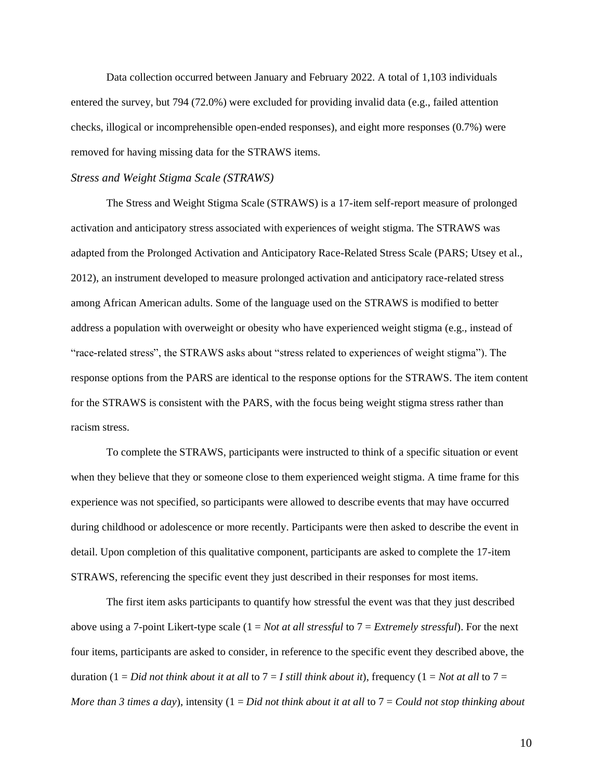Data collection occurred between January and February 2022. A total of 1,103 individuals entered the survey, but 794 (72.0%) were excluded for providing invalid data (e.g., failed attention checks, illogical or incomprehensible open-ended responses), and eight more responses (0.7%) were removed for having missing data for the STRAWS items.

### *Stress and Weight Stigma Scale (STRAWS)*

The Stress and Weight Stigma Scale (STRAWS) is a 17-item self-report measure of prolonged activation and anticipatory stress associated with experiences of weight stigma. The STRAWS was adapted from the Prolonged Activation and Anticipatory Race-Related Stress Scale (PARS; Utsey et al., 2012), an instrument developed to measure prolonged activation and anticipatory race-related stress among African American adults. Some of the language used on the STRAWS is modified to better address a population with overweight or obesity who have experienced weight stigma (e.g., instead of "race-related stress", the STRAWS asks about "stress related to experiences of weight stigma"). The response options from the PARS are identical to the response options for the STRAWS. The item content for the STRAWS is consistent with the PARS, with the focus being weight stigma stress rather than racism stress.

To complete the STRAWS, participants were instructed to think of a specific situation or event when they believe that they or someone close to them experienced weight stigma. A time frame for this experience was not specified, so participants were allowed to describe events that may have occurred during childhood or adolescence or more recently. Participants were then asked to describe the event in detail. Upon completion of this qualitative component, participants are asked to complete the 17-item STRAWS, referencing the specific event they just described in their responses for most items.

The first item asks participants to quantify how stressful the event was that they just described above using a 7-point Likert-type scale (1 = *Not at all stressful* to 7 = *Extremely stressful*). For the next four items, participants are asked to consider, in reference to the specific event they described above, the duration (1 = *Did not think about it at all* to  $7 = I$  *still think about it*), frequency (1 = *Not at all* to  $7 =$ *More than 3 times a day*), intensity (1 = *Did not think about it at all* to 7 = *Could not stop thinking about*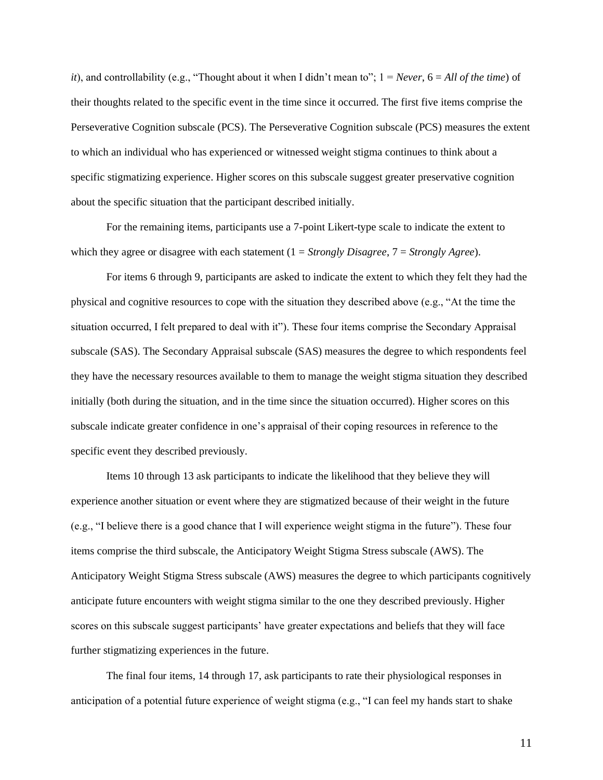*it*), and controllability (e.g., "Thought about it when I didn't mean to";  $1 = Never$ ,  $6 = All$  of the time) of their thoughts related to the specific event in the time since it occurred. The first five items comprise the Perseverative Cognition subscale (PCS). The Perseverative Cognition subscale (PCS) measures the extent to which an individual who has experienced or witnessed weight stigma continues to think about a specific stigmatizing experience. Higher scores on this subscale suggest greater preservative cognition about the specific situation that the participant described initially.

For the remaining items, participants use a 7-point Likert-type scale to indicate the extent to which they agree or disagree with each statement (1 = *Strongly Disagree*, 7 = *Strongly Agree*).

For items 6 through 9, participants are asked to indicate the extent to which they felt they had the physical and cognitive resources to cope with the situation they described above (e.g., "At the time the situation occurred, I felt prepared to deal with it"). These four items comprise the Secondary Appraisal subscale (SAS). The Secondary Appraisal subscale (SAS) measures the degree to which respondents feel they have the necessary resources available to them to manage the weight stigma situation they described initially (both during the situation, and in the time since the situation occurred). Higher scores on this subscale indicate greater confidence in one's appraisal of their coping resources in reference to the specific event they described previously.

Items 10 through 13 ask participants to indicate the likelihood that they believe they will experience another situation or event where they are stigmatized because of their weight in the future (e.g., "I believe there is a good chance that I will experience weight stigma in the future"). These four items comprise the third subscale, the Anticipatory Weight Stigma Stress subscale (AWS). The Anticipatory Weight Stigma Stress subscale (AWS) measures the degree to which participants cognitively anticipate future encounters with weight stigma similar to the one they described previously. Higher scores on this subscale suggest participants' have greater expectations and beliefs that they will face further stigmatizing experiences in the future.

The final four items, 14 through 17, ask participants to rate their physiological responses in anticipation of a potential future experience of weight stigma (e.g., "I can feel my hands start to shake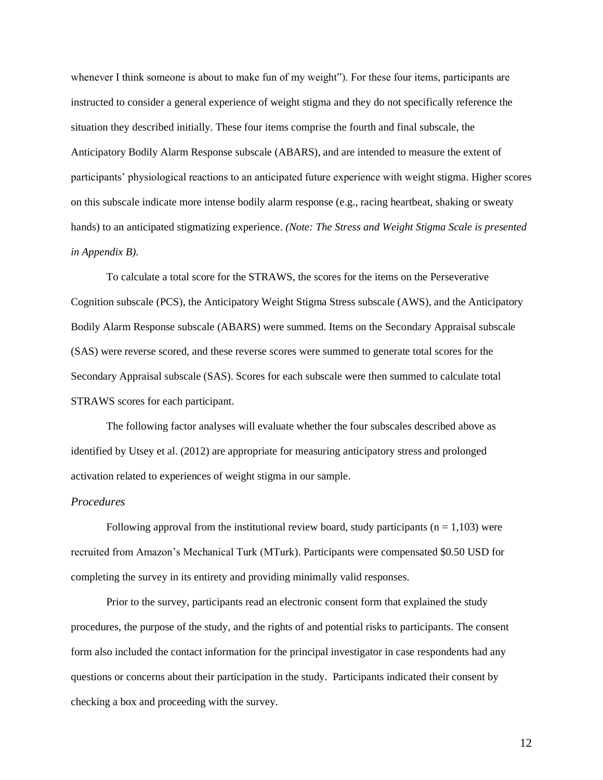whenever I think someone is about to make fun of my weight"). For these four items, participants are instructed to consider a general experience of weight stigma and they do not specifically reference the situation they described initially. These four items comprise the fourth and final subscale, the Anticipatory Bodily Alarm Response subscale (ABARS), and are intended to measure the extent of participants' physiological reactions to an anticipated future experience with weight stigma. Higher scores on this subscale indicate more intense bodily alarm response (e.g., racing heartbeat, shaking or sweaty hands) to an anticipated stigmatizing experience. *(Note: The Stress and Weight Stigma Scale is presented in Appendix B).*

To calculate a total score for the STRAWS, the scores for the items on the Perseverative Cognition subscale (PCS), the Anticipatory Weight Stigma Stress subscale (AWS), and the Anticipatory Bodily Alarm Response subscale (ABARS) were summed. Items on the Secondary Appraisal subscale (SAS) were reverse scored, and these reverse scores were summed to generate total scores for the Secondary Appraisal subscale (SAS). Scores for each subscale were then summed to calculate total STRAWS scores for each participant.

The following factor analyses will evaluate whether the four subscales described above as identified by Utsey et al. (2012) are appropriate for measuring anticipatory stress and prolonged activation related to experiences of weight stigma in our sample.

#### *Procedures*

Following approval from the institutional review board, study participants ( $n = 1,103$ ) were recruited from Amazon's Mechanical Turk (MTurk). Participants were compensated \$0.50 USD for completing the survey in its entirety and providing minimally valid responses.

Prior to the survey, participants read an electronic consent form that explained the study procedures, the purpose of the study, and the rights of and potential risks to participants. The consent form also included the contact information for the principal investigator in case respondents had any questions or concerns about their participation in the study. Participants indicated their consent by checking a box and proceeding with the survey.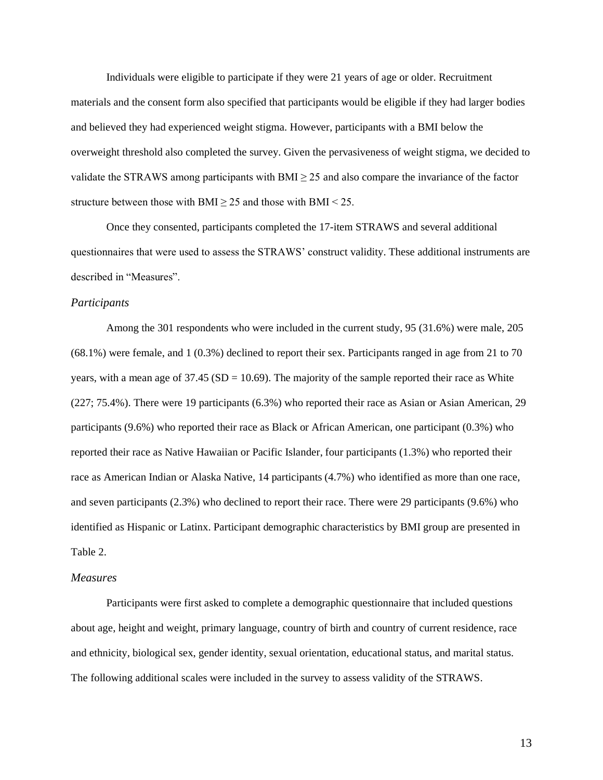Individuals were eligible to participate if they were 21 years of age or older. Recruitment materials and the consent form also specified that participants would be eligible if they had larger bodies and believed they had experienced weight stigma. However, participants with a BMI below the overweight threshold also completed the survey. Given the pervasiveness of weight stigma, we decided to validate the STRAWS among participants with  $BMI \geq 25$  and also compare the invariance of the factor structure between those with BMI  $\geq$  25 and those with BMI < 25.

Once they consented, participants completed the 17-item STRAWS and several additional questionnaires that were used to assess the STRAWS' construct validity. These additional instruments are described in "Measures".

## *Participants*

Among the 301 respondents who were included in the current study, 95 (31.6%) were male, 205 (68.1%) were female, and 1 (0.3%) declined to report their sex. Participants ranged in age from 21 to 70 years, with a mean age of  $37.45$  (SD = 10.69). The majority of the sample reported their race as White (227; 75.4%). There were 19 participants (6.3%) who reported their race as Asian or Asian American, 29 participants (9.6%) who reported their race as Black or African American, one participant (0.3%) who reported their race as Native Hawaiian or Pacific Islander, four participants (1.3%) who reported their race as American Indian or Alaska Native, 14 participants (4.7%) who identified as more than one race, and seven participants (2.3%) who declined to report their race. There were 29 participants (9.6%) who identified as Hispanic or Latinx. Participant demographic characteristics by BMI group are presented in Table 2.

#### *Measures*

Participants were first asked to complete a demographic questionnaire that included questions about age, height and weight, primary language, country of birth and country of current residence, race and ethnicity, biological sex, gender identity, sexual orientation, educational status, and marital status. The following additional scales were included in the survey to assess validity of the STRAWS.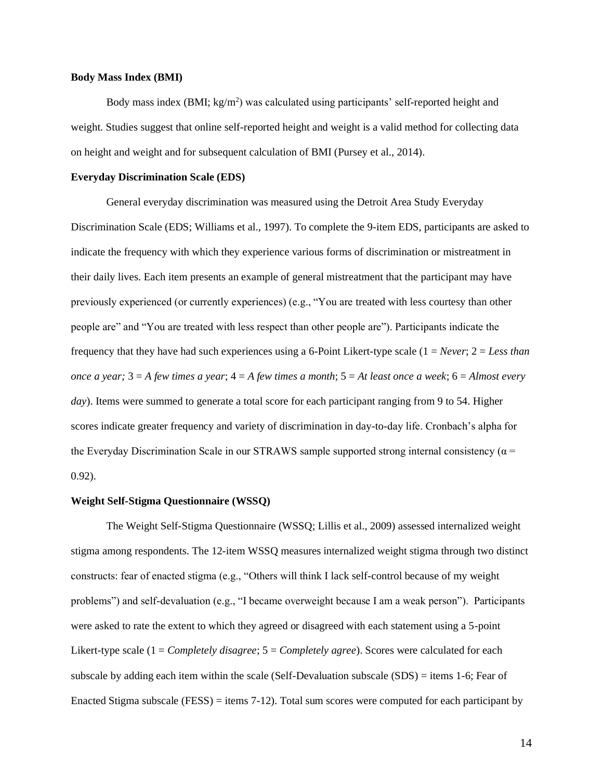#### **Body Mass Index (BMI)**

Body mass index (BMI;  $kg/m<sup>2</sup>$ ) was calculated using participants' self-reported height and weight. Studies suggest that online self-reported height and weight is a valid method for collecting data on height and weight and for subsequent calculation of BMI [\(Pursey](https://doi.org/10.2196/jmir.2909) et al., 2014).

#### **Everyday Discrimination Scale (EDS)**

General everyday discrimination was measured using the Detroit Area Study Everyday Discrimination Scale (EDS; Williams et al., 1997). To complete the 9-item EDS, participants are asked to indicate the frequency with which they experience various forms of discrimination or mistreatment in their daily lives. Each item presents an example of general mistreatment that the participant may have previously experienced (or currently experiences) (e.g., "You are treated with less courtesy than other people are" and "You are treated with less respect than other people are"). Participants indicate the frequency that they have had such experiences using a 6-Point Likert-type scale (1 = *Never*; 2 = *Less than once a year;* 3 = *A few times a year*; 4 = *A few times a month*; 5 = *At least once a week*; 6 = *Almost every day*). Items were summed to generate a total score for each participant ranging from 9 to 54. Higher scores indicate greater frequency and variety of discrimination in day-to-day life. Cronbach's alpha for the Everyday Discrimination Scale in our STRAWS sample supported strong internal consistency ( $\alpha$  = 0.92).

#### **Weight Self-Stigma Questionnaire (WSSQ)**

The Weight Self-Stigma Questionnaire (WSSQ; Lillis et al., 2009) assessed internalized weight stigma among respondents. The 12-item WSSQ measures internalized weight stigma through two distinct constructs: fear of enacted stigma (e.g., "Others will think I lack self-control because of my weight problems") and self-devaluation (e.g., "I became overweight because I am a weak person"). Participants were asked to rate the extent to which they agreed or disagreed with each statement using a 5-point Likert-type scale (1 = *Completely disagree*; 5 = *Completely agree*). Scores were calculated for each subscale by adding each item within the scale (Self-Devaluation subscale (SDS) = items 1-6; Fear of Enacted Stigma subscale (FESS) = items 7-12). Total sum scores were computed for each participant by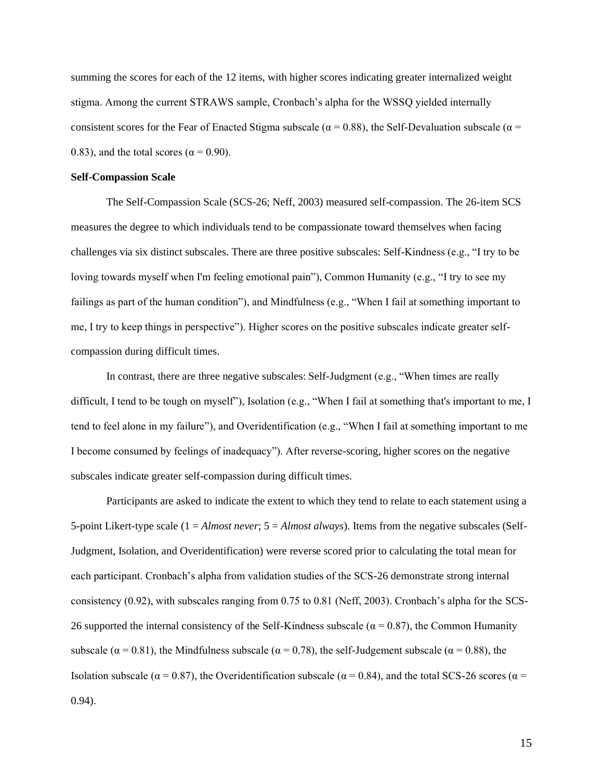summing the scores for each of the 12 items, with higher scores indicating greater internalized weight stigma. Among the current STRAWS sample, Cronbach's alpha for the WSSQ yielded internally consistent scores for the Fear of Enacted Stigma subscale ( $\alpha = 0.88$ ), the Self-Devaluation subscale ( $\alpha =$ 0.83), and the total scores ( $\alpha$  = 0.90).

#### **Self-Compassion Scale**

The Self-Compassion Scale (SCS-26; Neff, 2003) measured self-compassion. The 26-item SCS measures the degree to which individuals tend to be compassionate toward themselves when facing challenges via six distinct subscales. There are three positive subscales: Self-Kindness (e.g., "I try to be loving towards myself when I'm feeling emotional pain"), Common Humanity (e.g., "I try to see my failings as part of the human condition"), and Mindfulness (e.g., "When I fail at something important to me, I try to keep things in perspective"). Higher scores on the positive subscales indicate greater selfcompassion during difficult times.

In contrast, there are three negative subscales: Self-Judgment (e.g., "When times are really difficult, I tend to be tough on myself"), Isolation (e.g., "When I fail at something that's important to me, I tend to feel alone in my failure"), and Overidentification (e.g., "When I fail at something important to me I become consumed by feelings of inadequacy"). After reverse-scoring, higher scores on the negative subscales indicate greater self-compassion during difficult times.

Participants are asked to indicate the extent to which they tend to relate to each statement using a 5-point Likert-type scale (1 = *Almost never*; 5 = *Almost always*). Items from the negative subscales (Self-Judgment, Isolation, and Overidentification) were reverse scored prior to calculating the total mean for each participant. Cronbach's alpha from validation studies of the SCS-26 demonstrate strong internal consistency (0.92), with subscales ranging from 0.75 to 0.81 (Neff, 2003). Cronbach's alpha for the SCS-26 supported the internal consistency of the Self-Kindness subscale ( $\alpha$  = 0.87), the Common Humanity subscale ( $\alpha = 0.81$ ), the Mindfulness subscale ( $\alpha = 0.78$ ), the self-Judgement subscale ( $\alpha = 0.88$ ), the Isolation subscale ( $\alpha = 0.87$ ), the Overidentification subscale ( $\alpha = 0.84$ ), and the total SCS-26 scores ( $\alpha =$ 0.94).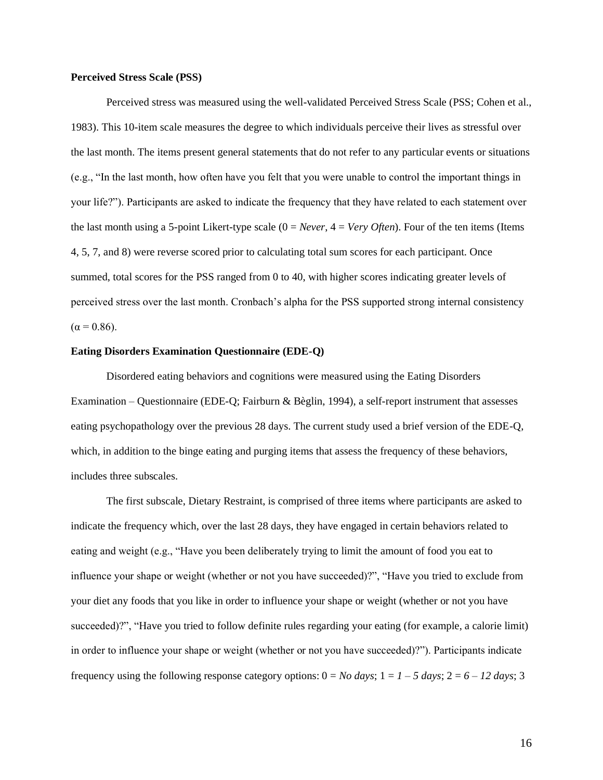#### **Perceived Stress Scale (PSS)**

Perceived stress was measured using the well-validated Perceived Stress Scale (PSS; Cohen et al., 1983). This 10-item scale measures the degree to which individuals perceive their lives as stressful over the last month. The items present general statements that do not refer to any particular events or situations (e.g., "In the last month, how often have you felt that you were unable to control the important things in your life?"). Participants are asked to indicate the frequency that they have related to each statement over the last month using a 5-point Likert-type scale (0 = *Never*, 4 = *Very Often*). Four of the ten items (Items 4, 5, 7, and 8) were reverse scored prior to calculating total sum scores for each participant. Once summed, total scores for the PSS ranged from 0 to 40, with higher scores indicating greater levels of perceived stress over the last month. Cronbach's alpha for the PSS supported strong internal consistency  $(\alpha = 0.86)$ .

## **Eating Disorders Examination Questionnaire (EDE-Q)**

Disordered eating behaviors and cognitions were measured using the Eating Disorders Examination – Questionnaire (EDE-Q; Fairburn & Bèglin, 1994), a self-report instrument that assesses eating psychopathology over the previous 28 days. The current study used a brief version of the EDE-Q, which, in addition to the binge eating and purging items that assess the frequency of these behaviors, includes three subscales.

The first subscale, Dietary Restraint, is comprised of three items where participants are asked to indicate the frequency which, over the last 28 days, they have engaged in certain behaviors related to eating and weight (e.g., "Have you been deliberately trying to limit the amount of food you eat to influence your shape or weight (whether or not you have succeeded)?", "Have you tried to exclude from your diet any foods that you like in order to influence your shape or weight (whether or not you have succeeded)?", "Have you tried to follow definite rules regarding your eating (for example, a calorie limit) in order to influence your shape or weight (whether or not you have succeeded)?"). Participants indicate frequency using the following response category options:  $0 = No \, days$ ;  $1 = 1 - 5 \, days$ ;  $2 = 6 - 12 \, days$ ; 3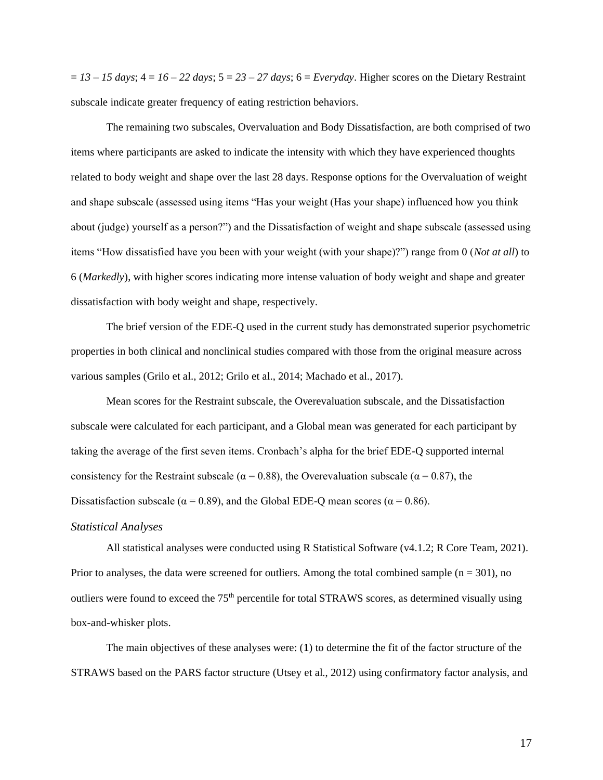$= 13 - 15$  days;  $4 = 16 - 22$  days;  $5 = 23 - 27$  days;  $6 = \text{Everyday}$ . Higher scores on the Dietary Restraint subscale indicate greater frequency of eating restriction behaviors.

The remaining two subscales, Overvaluation and Body Dissatisfaction, are both comprised of two items where participants are asked to indicate the intensity with which they have experienced thoughts related to body weight and shape over the last 28 days. Response options for the Overvaluation of weight and shape subscale (assessed using items "Has your weight (Has your shape) influenced how you think about (judge) yourself as a person?") and the Dissatisfaction of weight and shape subscale (assessed using items "How dissatisfied have you been with your weight (with your shape)?") range from 0 (*Not at all*) to 6 (*Markedly*), with higher scores indicating more intense valuation of body weight and shape and greater dissatisfaction with body weight and shape, respectively.

The brief version of the EDE-Q used in the current study has demonstrated superior psychometric properties in both clinical and nonclinical studies compared with those from the original measure across various samples (Grilo et al., 2012; Grilo et al., 2014; Machado et al., 2017).

Mean scores for the Restraint subscale, the Overevaluation subscale, and the Dissatisfaction subscale were calculated for each participant, and a Global mean was generated for each participant by taking the average of the first seven items. Cronbach's alpha for the brief EDE-Q supported internal consistency for the Restraint subscale ( $\alpha = 0.88$ ), the Overevaluation subscale ( $\alpha = 0.87$ ), the Dissatisfaction subscale ( $\alpha$  = 0.89), and the Global EDE-Q mean scores ( $\alpha$  = 0.86).

#### *Statistical Analyses*

All statistical analyses were conducted using R Statistical Software (v4.1.2; R Core Team, 2021). Prior to analyses, the data were screened for outliers. Among the total combined sample  $(n = 301)$ , no outliers were found to exceed the 75<sup>th</sup> percentile for total STRAWS scores, as determined visually using box-and-whisker plots.

The main objectives of these analyses were: (**1**) to determine the fit of the factor structure of the STRAWS based on the PARS factor structure (Utsey et al., 2012) using confirmatory factor analysis, and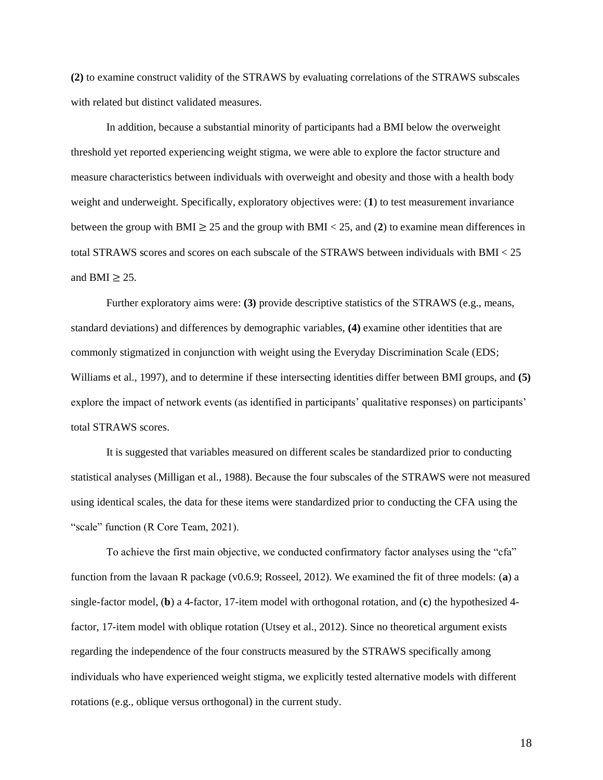**(2)** to examine construct validity of the STRAWS by evaluating correlations of the STRAWS subscales with related but distinct validated measures.

In addition, because a substantial minority of participants had a BMI below the overweight threshold yet reported experiencing weight stigma, we were able to explore the factor structure and measure characteristics between individuals with overweight and obesity and those with a health body weight and underweight. Specifically, exploratory objectives were: (**1**) to test measurement invariance between the group with BMI  $\geq$  25 and the group with BMI < 25, and (2) to examine mean differences in total STRAWS scores and scores on each subscale of the STRAWS between individuals with BMI < 25 and BMI  $> 25$ .

Further exploratory aims were: **(3)** provide descriptive statistics of the STRAWS (e.g., means, standard deviations) and differences by demographic variables, **(4)** examine other identities that are commonly stigmatized in conjunction with weight using the Everyday Discrimination Scale (EDS; Williams et al., 1997), and to determine if these intersecting identities differ between BMI groups, and **(5)** explore the impact of network events (as identified in participants' qualitative responses) on participants' total STRAWS scores.

It is suggested that variables measured on different scales be standardized prior to conducting statistical analyses (Milligan et al., 1988). Because the four subscales of the STRAWS were not measured using identical scales, the data for these items were standardized prior to conducting the CFA using the "scale" function (R Core Team, 2021).

To achieve the first main objective, we conducted confirmatory factor analyses using the "cfa" function from the lavaan R package (v0.6.9; Rosseel, 2012). We examined the fit of three models: (**a**) a single-factor model, (**b**) a 4-factor, 17-item model with orthogonal rotation, and (**c**) the hypothesized 4 factor, 17-item model with oblique rotation (Utsey et al., 2012). Since no theoretical argument exists regarding the independence of the four constructs measured by the STRAWS specifically among individuals who have experienced weight stigma, we explicitly tested alternative models with different rotations (e.g., oblique versus orthogonal) in the current study.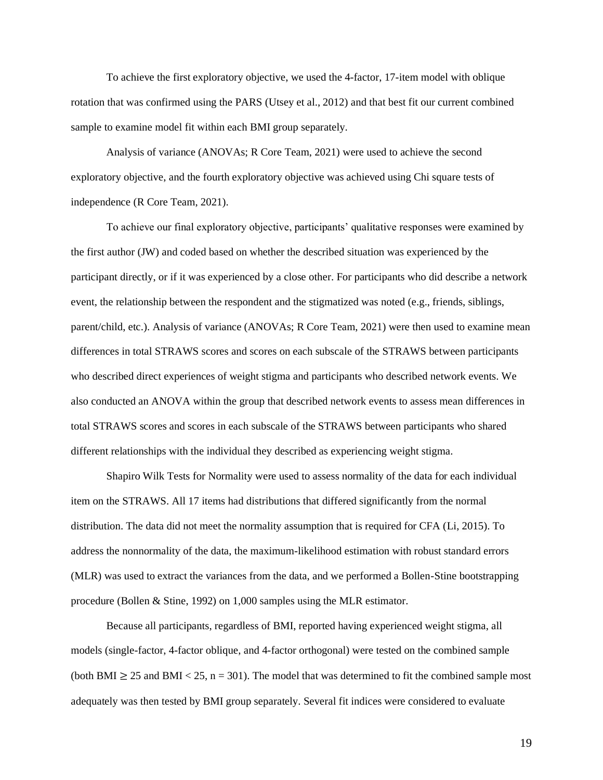To achieve the first exploratory objective, we used the 4-factor, 17-item model with oblique rotation that was confirmed using the PARS (Utsey et al., 2012) and that best fit our current combined sample to examine model fit within each BMI group separately.

Analysis of variance (ANOVAs; R Core Team, 2021) were used to achieve the second exploratory objective, and the fourth exploratory objective was achieved using Chi square tests of independence (R Core Team, 2021).

To achieve our final exploratory objective, participants' qualitative responses were examined by the first author (JW) and coded based on whether the described situation was experienced by the participant directly, or if it was experienced by a close other. For participants who did describe a network event, the relationship between the respondent and the stigmatized was noted (e.g., friends, siblings, parent/child, etc.). Analysis of variance (ANOVAs; R Core Team, 2021) were then used to examine mean differences in total STRAWS scores and scores on each subscale of the STRAWS between participants who described direct experiences of weight stigma and participants who described network events. We also conducted an ANOVA within the group that described network events to assess mean differences in total STRAWS scores and scores in each subscale of the STRAWS between participants who shared different relationships with the individual they described as experiencing weight stigma.

Shapiro Wilk Tests for Normality were used to assess normality of the data for each individual item on the STRAWS. All 17 items had distributions that differed significantly from the normal distribution. The data did not meet the normality assumption that is required for CFA (Li, 2015). To address the nonnormality of the data, the maximum-likelihood estimation with robust standard errors (MLR) was used to extract the variances from the data, and we performed a Bollen-Stine bootstrapping procedure (Bollen & Stine, 1992) on 1,000 samples using the MLR estimator.

Because all participants, regardless of BMI, reported having experienced weight stigma, all models (single-factor, 4-factor oblique, and 4-factor orthogonal) were tested on the combined sample (both BMI  $\geq$  25 and BMI < 25, n = 301). The model that was determined to fit the combined sample most adequately was then tested by BMI group separately. Several fit indices were considered to evaluate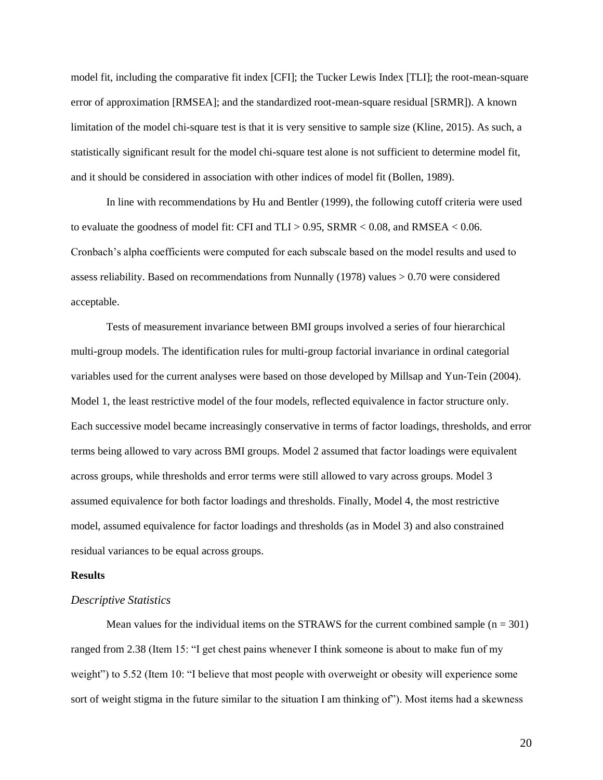model fit, including the comparative fit index [CFI]; the Tucker Lewis Index [TLI]; the root-mean-square error of approximation [RMSEA]; and the standardized root-mean-square residual [SRMR]). A known limitation of the model chi-square test is that it is very sensitive to sample size (Kline, 2015). As such, a statistically significant result for the model chi-square test alone is not sufficient to determine model fit, and it should be considered in association with other indices of model fit (Bollen, 1989).

In line with recommendations by Hu and Bentler (1999), the following cutoff criteria were used to evaluate the goodness of model fit: CFI and TLI > 0.95, SRMR < 0.08, and RMSEA < 0.06. Cronbach's alpha coefficients were computed for each subscale based on the model results and used to assess reliability. Based on recommendations from Nunnally (1978) values > 0.70 were considered acceptable.

Tests of measurement invariance between BMI groups involved a series of four hierarchical multi-group models. The identification rules for multi-group factorial invariance in ordinal categorial variables used for the current analyses were based on those developed by Millsap and Yun-Tein (2004). Model 1, the least restrictive model of the four models, reflected equivalence in factor structure only. Each successive model became increasingly conservative in terms of factor loadings, thresholds, and error terms being allowed to vary across BMI groups. Model 2 assumed that factor loadings were equivalent across groups, while thresholds and error terms were still allowed to vary across groups. Model 3 assumed equivalence for both factor loadings and thresholds. Finally, Model 4, the most restrictive model, assumed equivalence for factor loadings and thresholds (as in Model 3) and also constrained residual variances to be equal across groups.

## **Results**

### *Descriptive Statistics*

Mean values for the individual items on the STRAWS for the current combined sample  $(n = 301)$ ranged from 2.38 (Item 15: "I get chest pains whenever I think someone is about to make fun of my weight") to 5.52 (Item 10: "I believe that most people with overweight or obesity will experience some sort of weight stigma in the future similar to the situation I am thinking of"). Most items had a skewness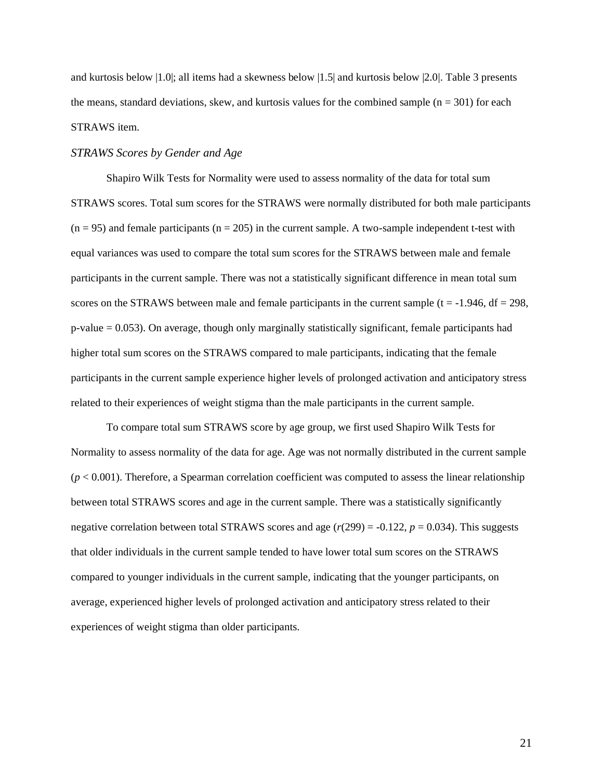and kurtosis below |1.0|; all items had a skewness below |1.5| and kurtosis below |2.0|. Table 3 presents the means, standard deviations, skew, and kurtosis values for the combined sample  $(n = 301)$  for each STRAWS item.

#### *STRAWS Scores by Gender and Age*

Shapiro Wilk Tests for Normality were used to assess normality of the data for total sum STRAWS scores. Total sum scores for the STRAWS were normally distributed for both male participants  $(n = 95)$  and female participants  $(n = 205)$  in the current sample. A two-sample independent t-test with equal variances was used to compare the total sum scores for the STRAWS between male and female participants in the current sample. There was not a statistically significant difference in mean total sum scores on the STRAWS between male and female participants in the current sample ( $t = -1.946$ ,  $df = 298$ , p-value = 0.053). On average, though only marginally statistically significant, female participants had higher total sum scores on the STRAWS compared to male participants, indicating that the female participants in the current sample experience higher levels of prolonged activation and anticipatory stress related to their experiences of weight stigma than the male participants in the current sample.

To compare total sum STRAWS score by age group, we first used Shapiro Wilk Tests for Normality to assess normality of the data for age. Age was not normally distributed in the current sample  $(p < 0.001)$ . Therefore, a Spearman correlation coefficient was computed to assess the linear relationship between total STRAWS scores and age in the current sample. There was a statistically significantly negative correlation between total STRAWS scores and age  $(r(299) = -0.122, p = 0.034)$ . This suggests that older individuals in the current sample tended to have lower total sum scores on the STRAWS compared to younger individuals in the current sample, indicating that the younger participants, on average, experienced higher levels of prolonged activation and anticipatory stress related to their experiences of weight stigma than older participants.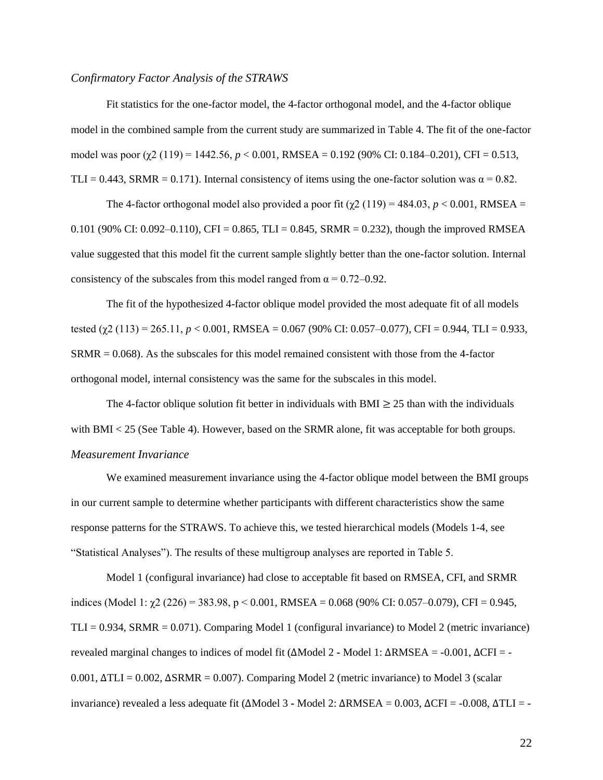#### *Confirmatory Factor Analysis of the STRAWS*

Fit statistics for the one-factor model, the 4-factor orthogonal model, and the 4-factor oblique model in the combined sample from the current study are summarized in Table 4. The fit of the one-factor model was poor (*χ*2 (119) = 1442.56, *p* < 0.001, RMSEA = 0.192 (90% CI: 0.184–0.201), CFI = 0.513, TLI = 0.443, SRMR = 0.171). Internal consistency of items using the one-factor solution was  $\alpha = 0.82$ .

The 4-factor orthogonal model also provided a poor fit  $(\gamma 2 (119) = 484.03, p < 0.001, RMSEA =$ 0.101 (90% CI: 0.092–0.110), CFI = 0.865, TLI = 0.845, SRMR = 0.232), though the improved RMSEA value suggested that this model fit the current sample slightly better than the one-factor solution. Internal consistency of the subscales from this model ranged from  $\alpha = 0.72{\text -}0.92$ .

The fit of the hypothesized 4-factor oblique model provided the most adequate fit of all models tested ( $χ$ 2 (113) = 265.11, *p* < 0.001, RMSEA = 0.067 (90% CI: 0.057–0.077), CFI = 0.944, TLI = 0.933, SRMR = 0.068). As the subscales for this model remained consistent with those from the 4-factor orthogonal model, internal consistency was the same for the subscales in this model.

The 4-factor oblique solution fit better in individuals with BMI  $\geq$  25 than with the individuals with BMI < 25 (See Table 4). However, based on the SRMR alone, fit was acceptable for both groups. *Measurement Invariance*

We examined measurement invariance using the 4-factor oblique model between the BMI groups in our current sample to determine whether participants with different characteristics show the same response patterns for the STRAWS. To achieve this, we tested hierarchical models (Models 1-4, see "Statistical Analyses"). The results of these multigroup analyses are reported in Table 5.

Model 1 (configural invariance) had close to acceptable fit based on RMSEA, CFI, and SRMR indices (Model 1:  $\gamma$ 2 (226) = 383.98, p < 0.001, RMSEA = 0.068 (90% CI: 0.057–0.079), CFI = 0.945,  $TLI = 0.934$ , SRMR = 0.071). Comparing Model 1 (configural invariance) to Model 2 (metric invariance) revealed marginal changes to indices of model fit (∆Model 2 **-** Model 1: ∆RMSEA = -0.001, ∆CFI = - 0.001, ∆TLI = 0.002, ∆SRMR = 0.007). Comparing Model 2 (metric invariance) to Model 3 (scalar invariance) revealed a less adequate fit (∆Model 3 **-** Model 2: ∆RMSEA = 0.003, ∆CFI = -0.008, ∆TLI = -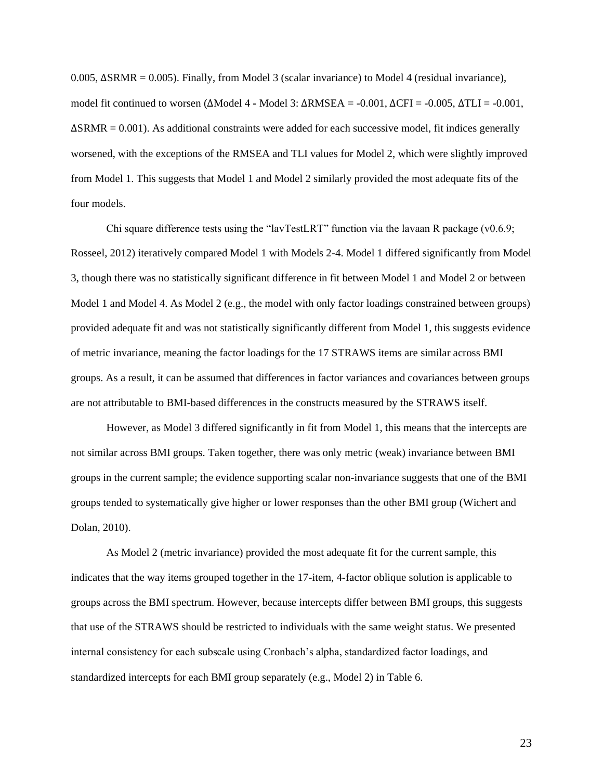0.005, ∆SRMR = 0.005). Finally, from Model 3 (scalar invariance) to Model 4 (residual invariance), model fit continued to worsen (∆Model 4 **-** Model 3: ∆RMSEA = -0.001, ∆CFI = -0.005, ∆TLI = -0.001,  $\Delta$ SRMR = 0.001). As additional constraints were added for each successive model, fit indices generally worsened, with the exceptions of the RMSEA and TLI values for Model 2, which were slightly improved from Model 1. This suggests that Model 1 and Model 2 similarly provided the most adequate fits of the four models.

Chi square difference tests using the "lavTestLRT" function via the lavaan R package (v0.6.9; Rosseel, 2012) iteratively compared Model 1 with Models 2-4. Model 1 differed significantly from Model 3, though there was no statistically significant difference in fit between Model 1 and Model 2 or between Model 1 and Model 4. As Model 2 (e.g., the model with only factor loadings constrained between groups) provided adequate fit and was not statistically significantly different from Model 1, this suggests evidence of metric invariance, meaning the factor loadings for the 17 STRAWS items are similar across BMI groups. As a result, it can be assumed that differences in factor variances and covariances between groups are not attributable to BMI-based differences in the constructs measured by the STRAWS itself.

However, as Model 3 differed significantly in fit from Model 1, this means that the intercepts are not similar across BMI groups. Taken together, there was only metric (weak) invariance between BMI groups in the current sample; the evidence supporting scalar non-invariance suggests that one of the BMI groups tended to systematically give higher or lower responses than the other BMI group (Wichert and Dolan, 2010).

As Model 2 (metric invariance) provided the most adequate fit for the current sample, this indicates that the way items grouped together in the 17-item, 4-factor oblique solution is applicable to groups across the BMI spectrum. However, because intercepts differ between BMI groups, this suggests that use of the STRAWS should be restricted to individuals with the same weight status. We presented internal consistency for each subscale using Cronbach's alpha, standardized factor loadings, and standardized intercepts for each BMI group separately (e.g., Model 2) in Table 6.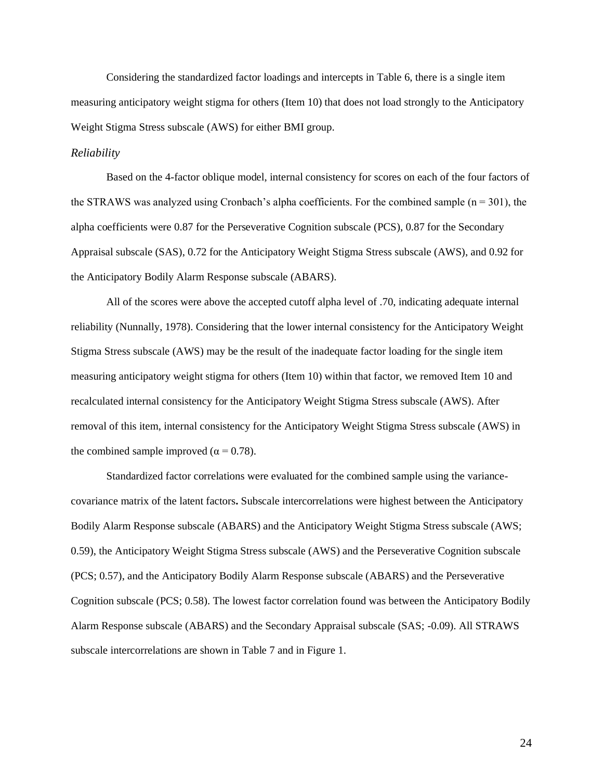Considering the standardized factor loadings and intercepts in Table 6, there is a single item measuring anticipatory weight stigma for others (Item 10) that does not load strongly to the Anticipatory Weight Stigma Stress subscale (AWS) for either BMI group.

#### *Reliability*

Based on the 4-factor oblique model, internal consistency for scores on each of the four factors of the STRAWS was analyzed using Cronbach's alpha coefficients. For the combined sample  $(n = 301)$ , the alpha coefficients were 0.87 for the Perseverative Cognition subscale (PCS), 0.87 for the Secondary Appraisal subscale (SAS), 0.72 for the Anticipatory Weight Stigma Stress subscale (AWS), and 0.92 for the Anticipatory Bodily Alarm Response subscale (ABARS).

All of the scores were above the accepted cutoff alpha level of .70, indicating adequate internal reliability (Nunnally, 1978). Considering that the lower internal consistency for the Anticipatory Weight Stigma Stress subscale (AWS) may be the result of the inadequate factor loading for the single item measuring anticipatory weight stigma for others (Item 10) within that factor, we removed Item 10 and recalculated internal consistency for the Anticipatory Weight Stigma Stress subscale (AWS). After removal of this item, internal consistency for the Anticipatory Weight Stigma Stress subscale (AWS) in the combined sample improved ( $\alpha$  = 0.78).

Standardized factor correlations were evaluated for the combined sample using the variancecovariance matrix of the latent factors**.** Subscale intercorrelations were highest between the Anticipatory Bodily Alarm Response subscale (ABARS) and the Anticipatory Weight Stigma Stress subscale (AWS; 0.59), the Anticipatory Weight Stigma Stress subscale (AWS) and the Perseverative Cognition subscale (PCS; 0.57), and the Anticipatory Bodily Alarm Response subscale (ABARS) and the Perseverative Cognition subscale (PCS; 0.58). The lowest factor correlation found was between the Anticipatory Bodily Alarm Response subscale (ABARS) and the Secondary Appraisal subscale (SAS; -0.09). All STRAWS subscale intercorrelations are shown in Table 7 and in Figure 1.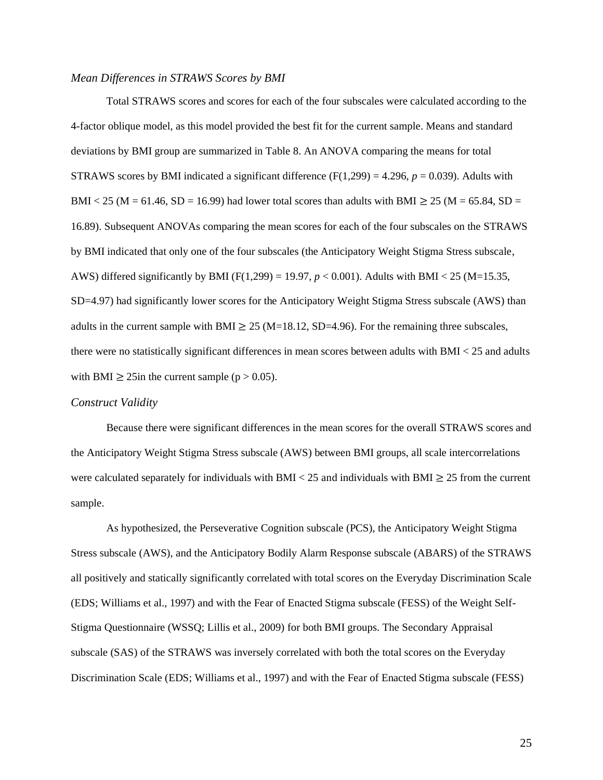### *Mean Differences in STRAWS Scores by BMI*

Total STRAWS scores and scores for each of the four subscales were calculated according to the 4-factor oblique model, as this model provided the best fit for the current sample. Means and standard deviations by BMI group are summarized in Table 8. An ANOVA comparing the means for total STRAWS scores by BMI indicated a significant difference  $(F(1,299) = 4.296, p = 0.039)$ . Adults with BMI < 25 (M = 61.46, SD = 16.99) had lower total scores than adults with BMI  $\geq$  25 (M = 65.84, SD = 16.89). Subsequent ANOVAs comparing the mean scores for each of the four subscales on the STRAWS by BMI indicated that only one of the four subscales (the Anticipatory Weight Stigma Stress subscale, AWS) differed significantly by BMI (F(1,299) = 19.97, *p* < 0.001). Adults with BMI < 25 (M=15.35, SD=4.97) had significantly lower scores for the Anticipatory Weight Stigma Stress subscale (AWS) than adults in the current sample with BMI  $\geq$  25 (M=18.12, SD=4.96). For the remaining three subscales, there were no statistically significant differences in mean scores between adults with BMI < 25 and adults with BMI  $\geq$  25in the current sample (p  $>$  0.05).

### *Construct Validity*

Because there were significant differences in the mean scores for the overall STRAWS scores and the Anticipatory Weight Stigma Stress subscale (AWS) between BMI groups, all scale intercorrelations were calculated separately for individuals with BMI < 25 and individuals with BMI  $\geq$  25 from the current sample.

As hypothesized, the Perseverative Cognition subscale (PCS), the Anticipatory Weight Stigma Stress subscale (AWS), and the Anticipatory Bodily Alarm Response subscale (ABARS) of the STRAWS all positively and statically significantly correlated with total scores on the Everyday Discrimination Scale (EDS; Williams et al., 1997) and with the Fear of Enacted Stigma subscale (FESS) of the Weight Self-Stigma Questionnaire (WSSQ; Lillis et al., 2009) for both BMI groups. The Secondary Appraisal subscale (SAS) of the STRAWS was inversely correlated with both the total scores on the Everyday Discrimination Scale (EDS; Williams et al., 1997) and with the Fear of Enacted Stigma subscale (FESS)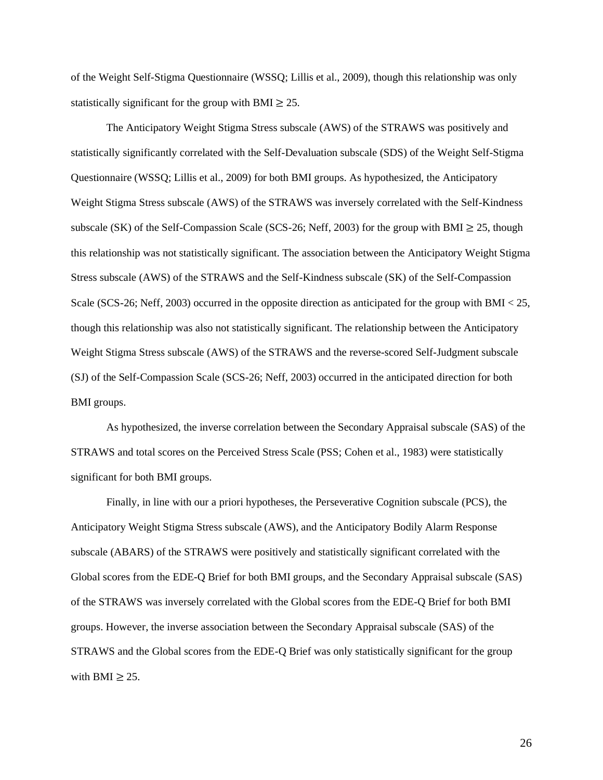of the Weight Self-Stigma Questionnaire (WSSQ; Lillis et al., 2009), though this relationship was only statistically significant for the group with BMI  $\geq$  25.

The Anticipatory Weight Stigma Stress subscale (AWS) of the STRAWS was positively and statistically significantly correlated with the Self-Devaluation subscale (SDS) of the Weight Self-Stigma Questionnaire (WSSQ; Lillis et al., 2009) for both BMI groups. As hypothesized, the Anticipatory Weight Stigma Stress subscale (AWS) of the STRAWS was inversely correlated with the Self-Kindness subscale (SK) of the Self-Compassion Scale (SCS-26; Neff, 2003) for the group with BMI  $\geq$  25, though this relationship was not statistically significant. The association between the Anticipatory Weight Stigma Stress subscale (AWS) of the STRAWS and the Self-Kindness subscale (SK) of the Self-Compassion Scale (SCS-26; Neff, 2003) occurred in the opposite direction as anticipated for the group with BMI < 25, though this relationship was also not statistically significant. The relationship between the Anticipatory Weight Stigma Stress subscale (AWS) of the STRAWS and the reverse-scored Self-Judgment subscale (SJ) of the Self-Compassion Scale (SCS-26; Neff, 2003) occurred in the anticipated direction for both BMI groups.

As hypothesized, the inverse correlation between the Secondary Appraisal subscale (SAS) of the STRAWS and total scores on the Perceived Stress Scale (PSS; Cohen et al., 1983) were statistically significant for both BMI groups.

Finally, in line with our a priori hypotheses, the Perseverative Cognition subscale (PCS), the Anticipatory Weight Stigma Stress subscale (AWS), and the Anticipatory Bodily Alarm Response subscale (ABARS) of the STRAWS were positively and statistically significant correlated with the Global scores from the EDE-Q Brief for both BMI groups, and the Secondary Appraisal subscale (SAS) of the STRAWS was inversely correlated with the Global scores from the EDE-Q Brief for both BMI groups. However, the inverse association between the Secondary Appraisal subscale (SAS) of the STRAWS and the Global scores from the EDE-Q Brief was only statistically significant for the group with BMI  $\geq$  25.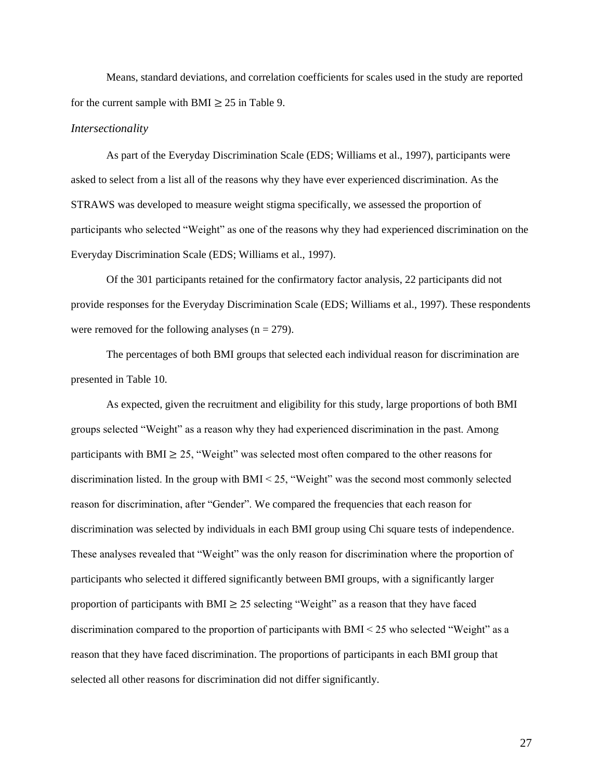Means, standard deviations, and correlation coefficients for scales used in the study are reported for the current sample with BMI  $\geq 25$  in Table 9.

#### *Intersectionality*

As part of the Everyday Discrimination Scale (EDS; Williams et al., 1997), participants were asked to select from a list all of the reasons why they have ever experienced discrimination. As the STRAWS was developed to measure weight stigma specifically, we assessed the proportion of participants who selected "Weight" as one of the reasons why they had experienced discrimination on the Everyday Discrimination Scale (EDS; Williams et al., 1997).

Of the 301 participants retained for the confirmatory factor analysis, 22 participants did not provide responses for the Everyday Discrimination Scale (EDS; Williams et al., 1997). These respondents were removed for the following analyses ( $n = 279$ ).

The percentages of both BMI groups that selected each individual reason for discrimination are presented in Table 10.

As expected, given the recruitment and eligibility for this study, large proportions of both BMI groups selected "Weight" as a reason why they had experienced discrimination in the past. Among participants with BMI  $\geq$  25, "Weight" was selected most often compared to the other reasons for discrimination listed. In the group with BMI < 25, "Weight" was the second most commonly selected reason for discrimination, after "Gender". We compared the frequencies that each reason for discrimination was selected by individuals in each BMI group using Chi square tests of independence. These analyses revealed that "Weight" was the only reason for discrimination where the proportion of participants who selected it differed significantly between BMI groups, with a significantly larger proportion of participants with BMI  $\geq$  25 selecting "Weight" as a reason that they have faced discrimination compared to the proportion of participants with  $BMI < 25$  who selected "Weight" as a reason that they have faced discrimination. The proportions of participants in each BMI group that selected all other reasons for discrimination did not differ significantly.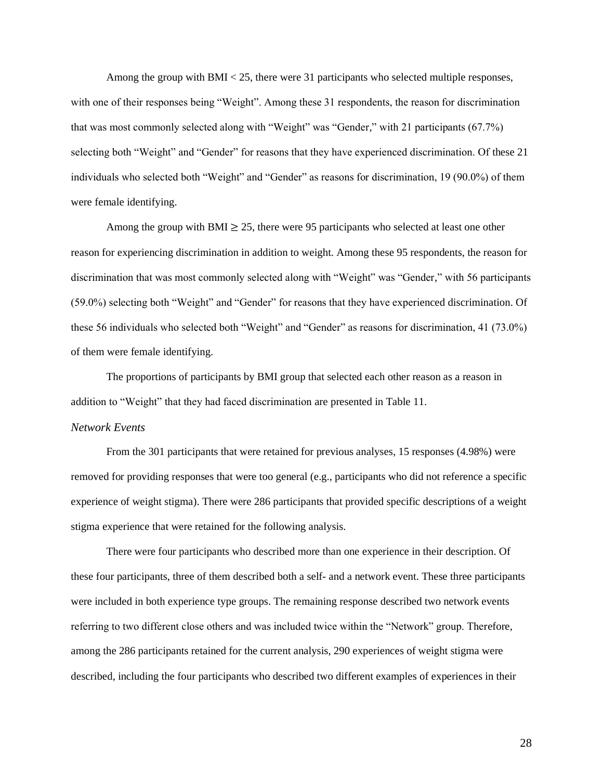Among the group with BMI < 25, there were 31 participants who selected multiple responses, with one of their responses being "Weight". Among these 31 respondents, the reason for discrimination that was most commonly selected along with "Weight" was "Gender," with 21 participants (67.7%) selecting both "Weight" and "Gender" for reasons that they have experienced discrimination. Of these 21 individuals who selected both "Weight" and "Gender" as reasons for discrimination, 19 (90.0%) of them were female identifying.

Among the group with BMI  $\geq$  25, there were 95 participants who selected at least one other reason for experiencing discrimination in addition to weight. Among these 95 respondents, the reason for discrimination that was most commonly selected along with "Weight" was "Gender," with 56 participants (59.0%) selecting both "Weight" and "Gender" for reasons that they have experienced discrimination. Of these 56 individuals who selected both "Weight" and "Gender" as reasons for discrimination, 41 (73.0%) of them were female identifying.

The proportions of participants by BMI group that selected each other reason as a reason in addition to "Weight" that they had faced discrimination are presented in Table 11.

## *Network Events*

From the 301 participants that were retained for previous analyses, 15 responses (4.98%) were removed for providing responses that were too general (e.g., participants who did not reference a specific experience of weight stigma). There were 286 participants that provided specific descriptions of a weight stigma experience that were retained for the following analysis.

There were four participants who described more than one experience in their description. Of these four participants, three of them described both a self- and a network event. These three participants were included in both experience type groups. The remaining response described two network events referring to two different close others and was included twice within the "Network" group. Therefore, among the 286 participants retained for the current analysis, 290 experiences of weight stigma were described, including the four participants who described two different examples of experiences in their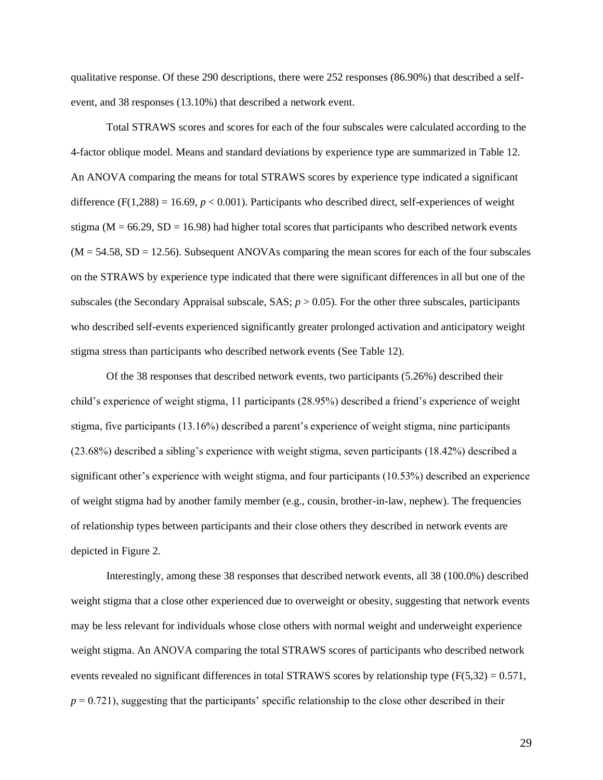qualitative response. Of these 290 descriptions, there were 252 responses (86.90%) that described a selfevent, and 38 responses (13.10%) that described a network event.

Total STRAWS scores and scores for each of the four subscales were calculated according to the 4-factor oblique model. Means and standard deviations by experience type are summarized in Table 12. An ANOVA comparing the means for total STRAWS scores by experience type indicated a significant difference  $(F(1,288) = 16.69, p < 0.001)$ . Participants who described direct, self-experiences of weight stigma ( $M = 66.29$ ,  $SD = 16.98$ ) had higher total scores that participants who described network events  $(M = 54.58, SD = 12.56)$ . Subsequent ANOVAs comparing the mean scores for each of the four subscales on the STRAWS by experience type indicated that there were significant differences in all but one of the subscales (the Secondary Appraisal subscale,  $SAS$ ;  $p > 0.05$ ). For the other three subscales, participants who described self-events experienced significantly greater prolonged activation and anticipatory weight stigma stress than participants who described network events (See Table 12).

Of the 38 responses that described network events, two participants (5.26%) described their child's experience of weight stigma, 11 participants (28.95%) described a friend's experience of weight stigma, five participants (13.16%) described a parent's experience of weight stigma, nine participants (23.68%) described a sibling's experience with weight stigma, seven participants (18.42%) described a significant other's experience with weight stigma, and four participants (10.53%) described an experience of weight stigma had by another family member (e.g., cousin, brother-in-law, nephew). The frequencies of relationship types between participants and their close others they described in network events are depicted in Figure 2.

Interestingly, among these 38 responses that described network events, all 38 (100.0%) described weight stigma that a close other experienced due to overweight or obesity, suggesting that network events may be less relevant for individuals whose close others with normal weight and underweight experience weight stigma. An ANOVA comparing the total STRAWS scores of participants who described network events revealed no significant differences in total STRAWS scores by relationship type  $(F(5,32) = 0.571,$  $p = 0.721$ , suggesting that the participants' specific relationship to the close other described in their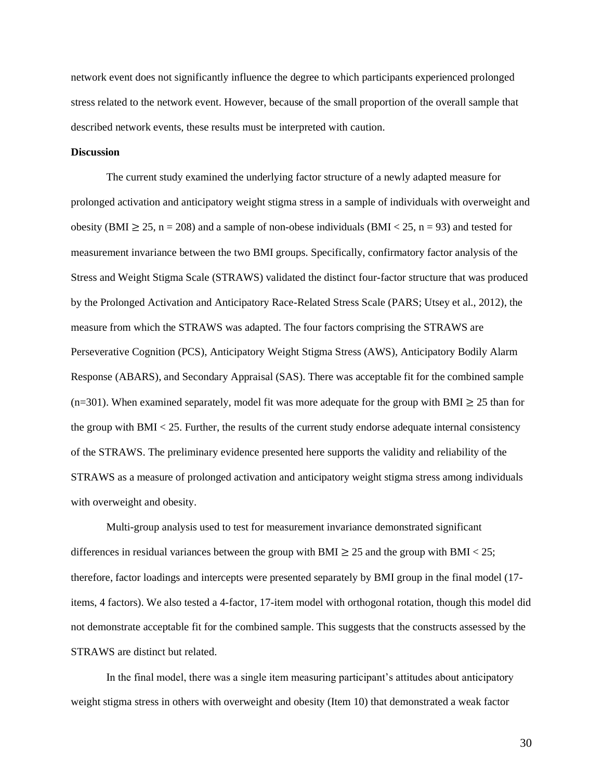network event does not significantly influence the degree to which participants experienced prolonged stress related to the network event. However, because of the small proportion of the overall sample that described network events, these results must be interpreted with caution.

#### **Discussion**

The current study examined the underlying factor structure of a newly adapted measure for prolonged activation and anticipatory weight stigma stress in a sample of individuals with overweight and obesity (BMI  $\geq$  25, n = 208) and a sample of non-obese individuals (BMI < 25, n = 93) and tested for measurement invariance between the two BMI groups. Specifically, confirmatory factor analysis of the Stress and Weight Stigma Scale (STRAWS) validated the distinct four-factor structure that was produced by the Prolonged Activation and Anticipatory Race-Related Stress Scale (PARS; Utsey et al., 2012), the measure from which the STRAWS was adapted. The four factors comprising the STRAWS are Perseverative Cognition (PCS), Anticipatory Weight Stigma Stress (AWS), Anticipatory Bodily Alarm Response (ABARS), and Secondary Appraisal (SAS). There was acceptable fit for the combined sample (n=301). When examined separately, model fit was more adequate for the group with BMI  $\geq$  25 than for the group with  $BMI < 25$ . Further, the results of the current study endorse adequate internal consistency of the STRAWS. The preliminary evidence presented here supports the validity and reliability of the STRAWS as a measure of prolonged activation and anticipatory weight stigma stress among individuals with overweight and obesity.

Multi-group analysis used to test for measurement invariance demonstrated significant differences in residual variances between the group with BMI  $\geq$  25 and the group with BMI < 25; therefore, factor loadings and intercepts were presented separately by BMI group in the final model (17 items, 4 factors). We also tested a 4-factor, 17-item model with orthogonal rotation, though this model did not demonstrate acceptable fit for the combined sample. This suggests that the constructs assessed by the STRAWS are distinct but related.

In the final model, there was a single item measuring participant's attitudes about anticipatory weight stigma stress in others with overweight and obesity (Item 10) that demonstrated a weak factor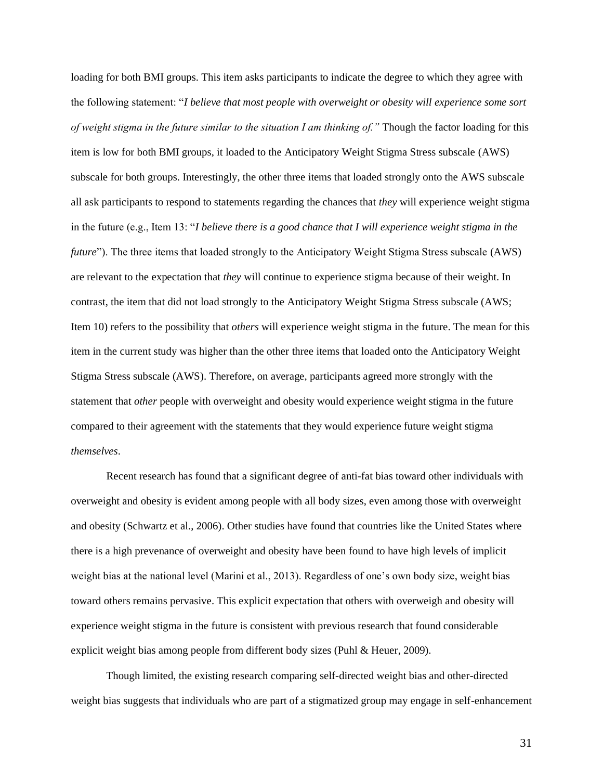loading for both BMI groups. This item asks participants to indicate the degree to which they agree with the following statement: "*I believe that most people with overweight or obesity will experience some sort of weight stigma in the future similar to the situation I am thinking of."* Though the factor loading for this item is low for both BMI groups, it loaded to the Anticipatory Weight Stigma Stress subscale (AWS) subscale for both groups. Interestingly, the other three items that loaded strongly onto the AWS subscale all ask participants to respond to statements regarding the chances that *they* will experience weight stigma in the future (e.g., Item 13: "*I believe there is a good chance that I will experience weight stigma in the future*"). The three items that loaded strongly to the Anticipatory Weight Stigma Stress subscale (AWS) are relevant to the expectation that *they* will continue to experience stigma because of their weight. In contrast, the item that did not load strongly to the Anticipatory Weight Stigma Stress subscale (AWS; Item 10) refers to the possibility that *others* will experience weight stigma in the future. The mean for this item in the current study was higher than the other three items that loaded onto the Anticipatory Weight Stigma Stress subscale (AWS). Therefore, on average, participants agreed more strongly with the statement that *other* people with overweight and obesity would experience weight stigma in the future compared to their agreement with the statements that they would experience future weight stigma *themselves*.

Recent research has found that a significant degree of anti-fat bias toward other individuals with overweight and obesity is evident among people with all body sizes, even among those with overweight and obesity (Schwartz et al., 2006). Other studies have found that countries like the United States where there is a high prevenance of overweight and obesity have been found to have high levels of implicit weight bias at the national level (Marini et al., 2013). Regardless of one's own body size, weight bias toward others remains pervasive. This explicit expectation that others with overweigh and obesity will experience weight stigma in the future is consistent with previous research that found considerable explicit weight bias among people from different body sizes (Puhl & Heuer, 2009).

Though limited, the existing research comparing self-directed weight bias and other-directed weight bias suggests that individuals who are part of a stigmatized group may engage in self-enhancement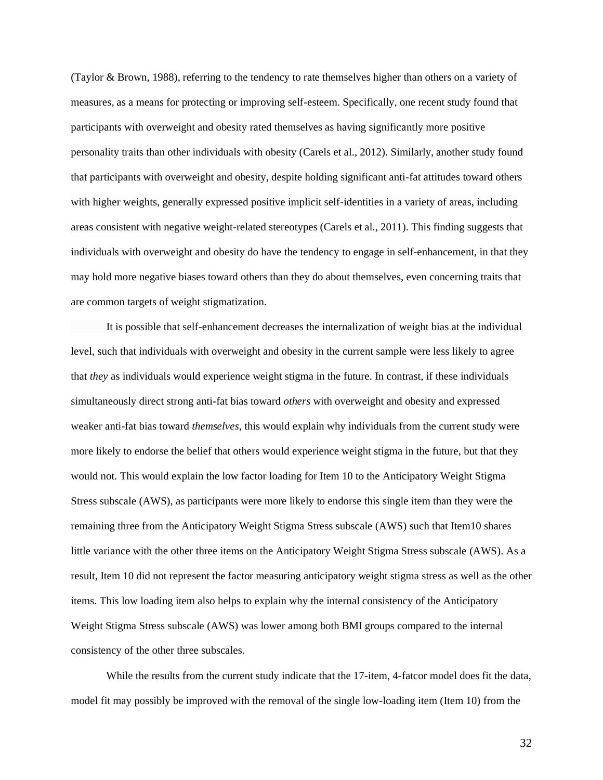(Taylor & Brown, 1988), referring to the tendency to rate themselves higher than others on a variety of measures, as a means for protecting or improving self-esteem. Specifically, one recent study found that participants with overweight and obesity rated themselves as having significantly more positive personality traits than other individuals with obesity (Carels et al., 2012). Similarly, another study found that participants with overweight and obesity, despite holding significant anti-fat attitudes toward others with higher weights, generally expressed positive implicit self-identities in a variety of areas, including areas consistent with negative weight-related stereotypes (Carels et al., 2011). This finding suggests that individuals with overweight and obesity do have the tendency to engage in self-enhancement, in that they may hold more negative biases toward others than they do about themselves, even concerning traits that are common targets of weight stigmatization.

It is possible that self-enhancement decreases the internalization of weight bias at the individual level, such that individuals with overweight and obesity in the current sample were less likely to agree that *they* as individuals would experience weight stigma in the future. In contrast, if these individuals simultaneously direct strong anti-fat bias toward *others* with overweight and obesity and expressed weaker anti-fat bias toward *themselves*, this would explain why individuals from the current study were more likely to endorse the belief that others would experience weight stigma in the future, but that they would not. This would explain the low factor loading for Item 10 to the Anticipatory Weight Stigma Stress subscale (AWS), as participants were more likely to endorse this single item than they were the remaining three from the Anticipatory Weight Stigma Stress subscale (AWS) such that Item10 shares little variance with the other three items on the Anticipatory Weight Stigma Stress subscale (AWS). As a result, Item 10 did not represent the factor measuring anticipatory weight stigma stress as well as the other items. This low loading item also helps to explain why the internal consistency of the Anticipatory Weight Stigma Stress subscale (AWS) was lower among both BMI groups compared to the internal consistency of the other three subscales.

While the results from the current study indicate that the 17-item, 4-fatcor model does fit the data, model fit may possibly be improved with the removal of the single low-loading item (Item 10) from the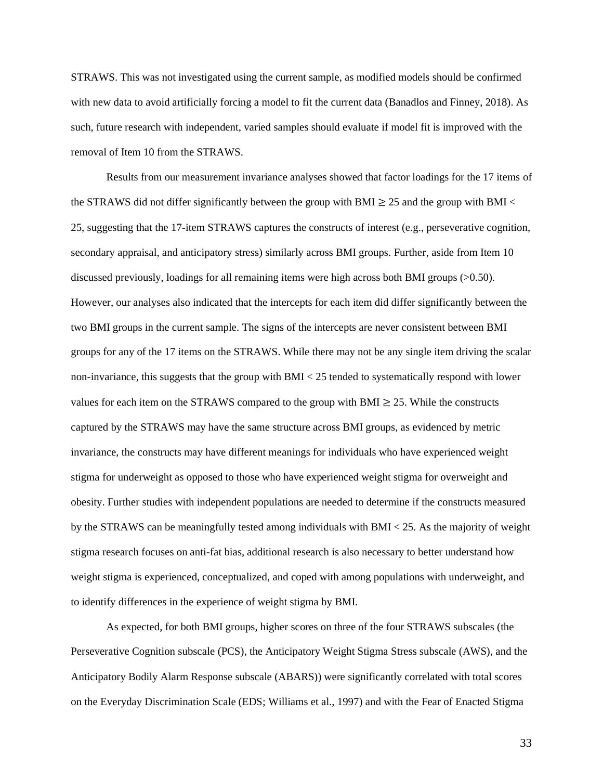STRAWS. This was not investigated using the current sample, as modified models should be confirmed with new data to avoid artificially forcing a model to fit the current data (Banadlos and Finney, 2018). As such, future research with independent, varied samples should evaluate if model fit is improved with the removal of Item 10 from the STRAWS.

Results from our measurement invariance analyses showed that factor loadings for the 17 items of the STRAWS did not differ significantly between the group with BMI  $\geq$  25 and the group with BMI  $\lt$ 25, suggesting that the 17-item STRAWS captures the constructs of interest (e.g., perseverative cognition, secondary appraisal, and anticipatory stress) similarly across BMI groups. Further, aside from Item 10 discussed previously, loadings for all remaining items were high across both BMI groups (>0.50). However, our analyses also indicated that the intercepts for each item did differ significantly between the two BMI groups in the current sample. The signs of the intercepts are never consistent between BMI groups for any of the 17 items on the STRAWS. While there may not be any single item driving the scalar non-invariance, this suggests that the group with BMI < 25 tended to systematically respond with lower values for each item on the STRAWS compared to the group with BMI  $\geq$  25. While the constructs captured by the STRAWS may have the same structure across BMI groups, as evidenced by metric invariance, the constructs may have different meanings for individuals who have experienced weight stigma for underweight as opposed to those who have experienced weight stigma for overweight and obesity. Further studies with independent populations are needed to determine if the constructs measured by the STRAWS can be meaningfully tested among individuals with BMI < 25. As the majority of weight stigma research focuses on anti-fat bias, additional research is also necessary to better understand how weight stigma is experienced, conceptualized, and coped with among populations with underweight, and to identify differences in the experience of weight stigma by BMI.

As expected, for both BMI groups, higher scores on three of the four STRAWS subscales (the Perseverative Cognition subscale (PCS), the Anticipatory Weight Stigma Stress subscale (AWS), and the Anticipatory Bodily Alarm Response subscale (ABARS)) were significantly correlated with total scores on the Everyday Discrimination Scale (EDS; Williams et al., 1997) and with the Fear of Enacted Stigma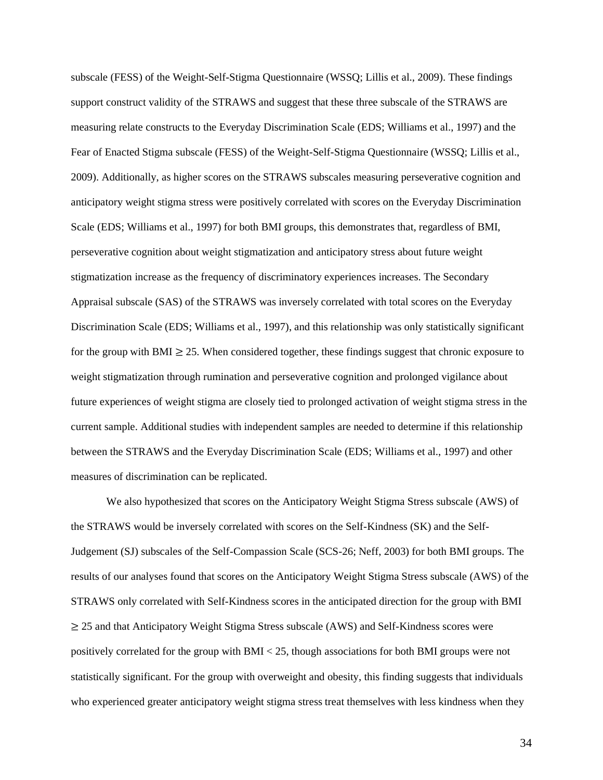subscale (FESS) of the Weight-Self-Stigma Questionnaire (WSSQ; Lillis et al., 2009). These findings support construct validity of the STRAWS and suggest that these three subscale of the STRAWS are measuring relate constructs to the Everyday Discrimination Scale (EDS; Williams et al., 1997) and the Fear of Enacted Stigma subscale (FESS) of the Weight-Self-Stigma Questionnaire (WSSQ; [Lillis](https://doi.org/10.1038/oby.2009.353) et al., 2009). Additionally, as higher scores on the STRAWS subscales measuring perseverative cognition and anticipatory weight stigma stress were positively correlated with scores on the Everyday Discrimination Scale (EDS; Williams et al., 1997) for both BMI groups, this demonstrates that, regardless of BMI, perseverative cognition about weight stigmatization and anticipatory stress about future weight stigmatization increase as the frequency of discriminatory experiences increases. The Secondary Appraisal subscale (SAS) of the STRAWS was inversely correlated with total scores on the Everyday Discrimination Scale (EDS; Williams et al., 1997), and this relationship was only statistically significant for the group with BMI  $\geq$  25. When considered together, these findings suggest that chronic exposure to weight stigmatization through rumination and perseverative cognition and prolonged vigilance about future experiences of weight stigma are closely tied to prolonged activation of weight stigma stress in the current sample. Additional studies with independent samples are needed to determine if this relationship between the STRAWS and the Everyday Discrimination Scale (EDS; Williams et al., 1997) and other measures of discrimination can be replicated.

We also hypothesized that scores on the Anticipatory Weight Stigma Stress subscale (AWS) of the STRAWS would be inversely correlated with scores on the Self-Kindness (SK) and the Self-Judgement (SJ) subscales of the Self-Compassion Scale (SCS-26; Neff, 2003) for both BMI groups. The results of our analyses found that scores on the Anticipatory Weight Stigma Stress subscale (AWS) of the STRAWS only correlated with Self-Kindness scores in the anticipated direction for the group with BMI ≥ 25 and that Anticipatory Weight Stigma Stress subscale (AWS) and Self-Kindness scores were positively correlated for the group with BMI < 25, though associations for both BMI groups were not statistically significant. For the group with overweight and obesity, this finding suggests that individuals who experienced greater anticipatory weight stigma stress treat themselves with less kindness when they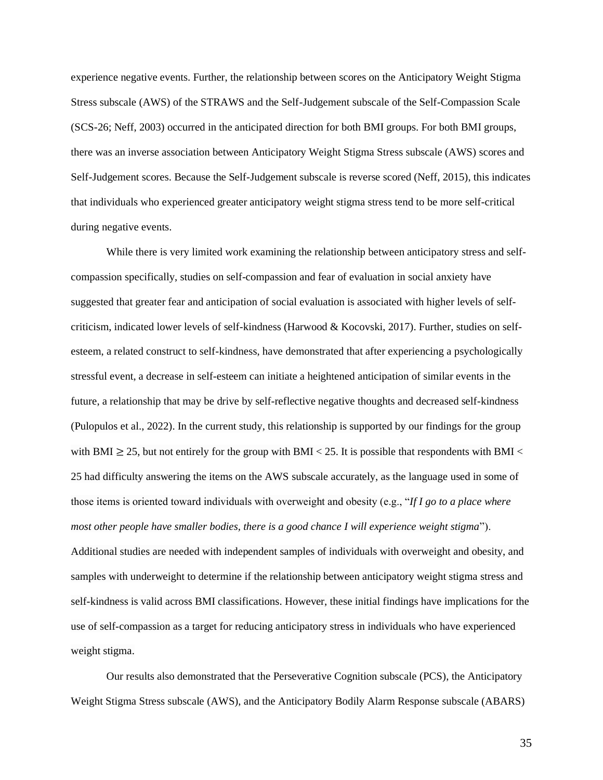experience negative events. Further, the relationship between scores on the Anticipatory Weight Stigma Stress subscale (AWS) of the STRAWS and the Self-Judgement subscale of the Self-Compassion Scale (SCS-26; Neff, 2003) occurred in the anticipated direction for both BMI groups. For both BMI groups, there was an inverse association between Anticipatory Weight Stigma Stress subscale (AWS) scores and Self-Judgement scores. Because the Self-Judgement subscale is reverse scored (Neff, 2015), this indicates that individuals who experienced greater anticipatory weight stigma stress tend to be more self-critical during negative events.

While there is very limited work examining the relationship between anticipatory stress and selfcompassion specifically, studies on self-compassion and fear of evaluation in social anxiety have suggested that greater fear and anticipation of social evaluation is associated with higher levels of selfcriticism, indicated lower levels of self-kindness (Harwood & Kocovski, 2017). Further, studies on selfesteem, a related construct to self-kindness, have demonstrated that after experiencing a psychologically stressful event, a decrease in self-esteem can initiate a heightened anticipation of similar events in the future, a relationship that may be drive by self-reflective negative thoughts and decreased self-kindness (Pulopulos et al., 2022). In the current study, this relationship is supported by our findings for the group with BMI  $\geq$  25, but not entirely for the group with BMI < 25. It is possible that respondents with BMI < 25 had difficulty answering the items on the AWS subscale accurately, as the language used in some of those items is oriented toward individuals with overweight and obesity (e.g., "*If I go to a place where most other people have smaller bodies, there is a good chance I will experience weight stigma*"). Additional studies are needed with independent samples of individuals with overweight and obesity, and samples with underweight to determine if the relationship between anticipatory weight stigma stress and self-kindness is valid across BMI classifications. However, these initial findings have implications for the use of self-compassion as a target for reducing anticipatory stress in individuals who have experienced weight stigma.

Our results also demonstrated that the Perseverative Cognition subscale (PCS), the Anticipatory Weight Stigma Stress subscale (AWS), and the Anticipatory Bodily Alarm Response subscale (ABARS)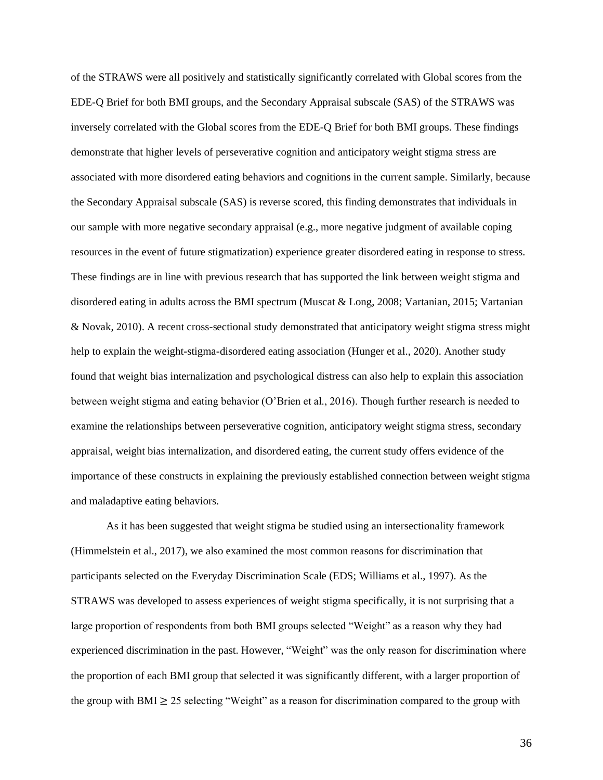of the STRAWS were all positively and statistically significantly correlated with Global scores from the EDE-Q Brief for both BMI groups, and the Secondary Appraisal subscale (SAS) of the STRAWS was inversely correlated with the Global scores from the EDE-Q Brief for both BMI groups. These findings demonstrate that higher levels of perseverative cognition and anticipatory weight stigma stress are associated with more disordered eating behaviors and cognitions in the current sample. Similarly, because the Secondary Appraisal subscale (SAS) is reverse scored, this finding demonstrates that individuals in our sample with more negative secondary appraisal (e.g., more negative judgment of available coping resources in the event of future stigmatization) experience greater disordered eating in response to stress. These findings are in line with previous research that has supported the link between weight stigma and disordered eating in adults across the BMI spectrum (Muscat & Long, 2008; Vartanian, 2015; Vartanian & Novak, 2010). A recent cross-sectional study demonstrated that anticipatory weight stigma stress might help to explain the weight-stigma-disordered eating association (Hunger et al., 2020). Another study found that weight bias internalization and psychological distress can also help to explain this association between weight stigma and eating behavior (O'Brien et al., 2016). Though further research is needed to examine the relationships between perseverative cognition, anticipatory weight stigma stress, secondary appraisal, weight bias internalization, and disordered eating, the current study offers evidence of the importance of these constructs in explaining the previously established connection between weight stigma and maladaptive eating behaviors.

As it has been suggested that weight stigma be studied using an intersectionality framework (Himmelstein et al., 2017), we also examined the most common reasons for discrimination that participants selected on the Everyday Discrimination Scale (EDS; Williams et al., 1997). As the STRAWS was developed to assess experiences of weight stigma specifically, it is not surprising that a large proportion of respondents from both BMI groups selected "Weight" as a reason why they had experienced discrimination in the past. However, "Weight" was the only reason for discrimination where the proportion of each BMI group that selected it was significantly different, with a larger proportion of the group with BMI  $\geq$  25 selecting "Weight" as a reason for discrimination compared to the group with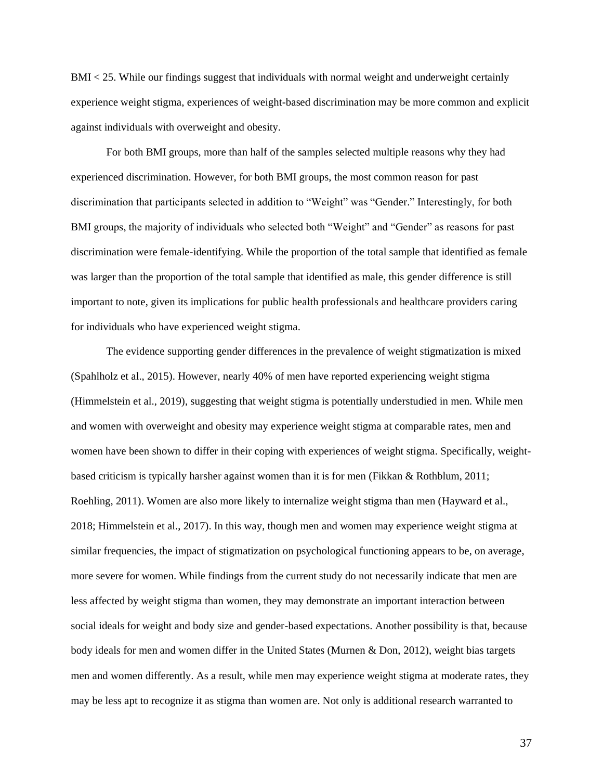BMI < 25. While our findings suggest that individuals with normal weight and underweight certainly experience weight stigma, experiences of weight-based discrimination may be more common and explicit against individuals with overweight and obesity.

For both BMI groups, more than half of the samples selected multiple reasons why they had experienced discrimination. However, for both BMI groups, the most common reason for past discrimination that participants selected in addition to "Weight" was "Gender." Interestingly, for both BMI groups, the majority of individuals who selected both "Weight" and "Gender" as reasons for past discrimination were female-identifying. While the proportion of the total sample that identified as female was larger than the proportion of the total sample that identified as male, this gender difference is still important to note, given its implications for public health professionals and healthcare providers caring for individuals who have experienced weight stigma.

The evidence supporting gender differences in the prevalence of weight stigmatization is mixed (Spahlholz et al., 2015). However, nearly 40% of men have reported experiencing weight stigma (Himmelstein et al., 2019), suggesting that weight stigma is potentially understudied in men. While men and women with overweight and obesity may experience weight stigma at comparable rates, men and women have been shown to differ in their coping with experiences of weight stigma. Specifically, weightbased criticism is typically harsher against women than it is for men (Fikkan & Rothblum, 2011; Roehling, 2011). Women are also more likely to internalize weight stigma than men (Hayward et al., 2018; Himmelstein et al., 2017). In this way, though men and women may experience weight stigma at similar frequencies, the impact of stigmatization on psychological functioning appears to be, on average, more severe for women. While findings from the current study do not necessarily indicate that men are less affected by weight stigma than women, they may demonstrate an important interaction between social ideals for weight and body size and gender-based expectations. Another possibility is that, because body ideals for men and women differ in the United States (Murnen & Don, 2012), weight bias targets men and women differently. As a result, while men may experience weight stigma at moderate rates, they may be less apt to recognize it as stigma than women are. Not only is additional research warranted to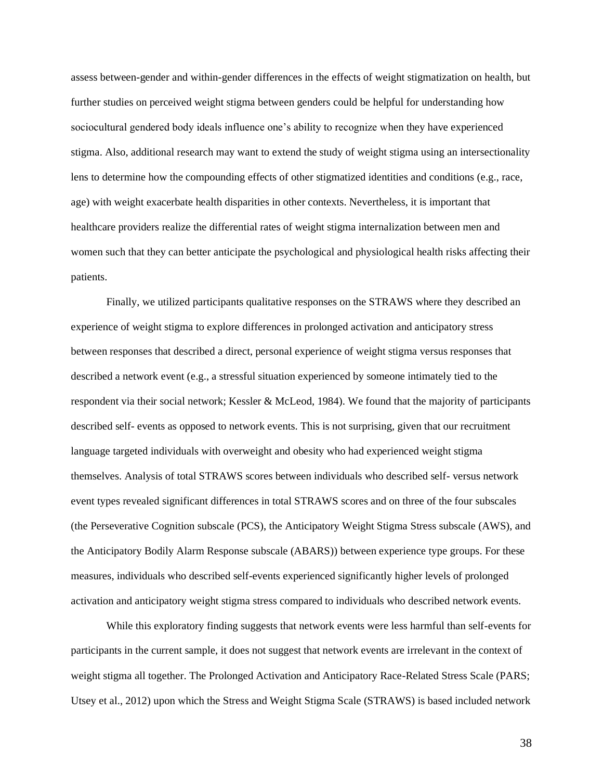assess between-gender and within-gender differences in the effects of weight stigmatization on health, but further studies on perceived weight stigma between genders could be helpful for understanding how sociocultural gendered body ideals influence one's ability to recognize when they have experienced stigma. Also, additional research may want to extend the study of weight stigma using an intersectionality lens to determine how the compounding effects of other stigmatized identities and conditions (e.g., race, age) with weight exacerbate health disparities in other contexts. Nevertheless, it is important that healthcare providers realize the differential rates of weight stigma internalization between men and women such that they can better anticipate the psychological and physiological health risks affecting their patients.

Finally, we utilized participants qualitative responses on the STRAWS where they described an experience of weight stigma to explore differences in prolonged activation and anticipatory stress between responses that described a direct, personal experience of weight stigma versus responses that described a network event (e.g., a stressful situation experienced by someone intimately tied to the respondent via their social network; Kessler & McLeod, 1984). We found that the majority of participants described self- events as opposed to network events. This is not surprising, given that our recruitment language targeted individuals with overweight and obesity who had experienced weight stigma themselves. Analysis of total STRAWS scores between individuals who described self- versus network event types revealed significant differences in total STRAWS scores and on three of the four subscales (the Perseverative Cognition subscale (PCS), the Anticipatory Weight Stigma Stress subscale (AWS), and the Anticipatory Bodily Alarm Response subscale (ABARS)) between experience type groups. For these measures, individuals who described self-events experienced significantly higher levels of prolonged activation and anticipatory weight stigma stress compared to individuals who described network events.

While this exploratory finding suggests that network events were less harmful than self-events for participants in the current sample, it does not suggest that network events are irrelevant in the context of weight stigma all together. The Prolonged Activation and Anticipatory Race-Related Stress Scale (PARS; Utsey et al., 2012) upon which the Stress and Weight Stigma Scale (STRAWS) is based included network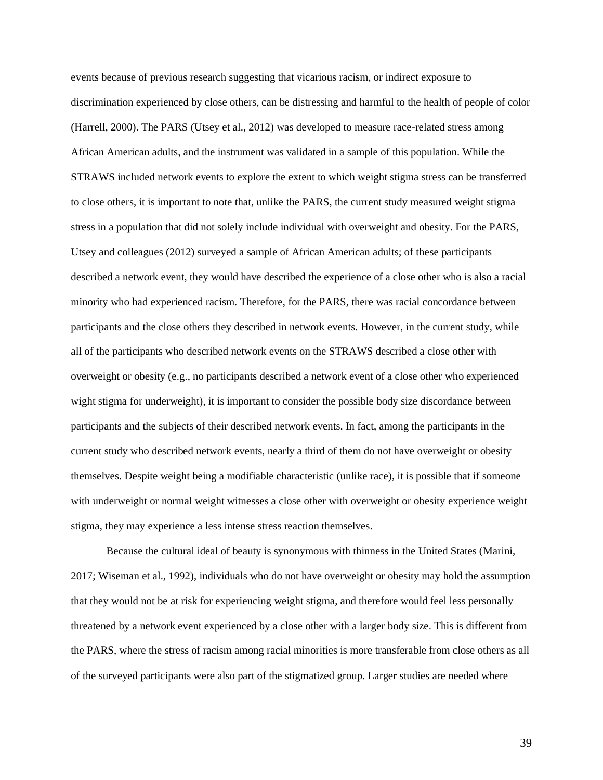events because of previous research suggesting that vicarious racism, or indirect exposure to discrimination experienced by close others, can be distressing and harmful to the health of people of color (Harrell, 2000). The PARS (Utsey et al., 2012) was developed to measure race-related stress among African American adults, and the instrument was validated in a sample of this population. While the STRAWS included network events to explore the extent to which weight stigma stress can be transferred to close others, it is important to note that, unlike the PARS, the current study measured weight stigma stress in a population that did not solely include individual with overweight and obesity. For the PARS, Utsey and colleagues (2012) surveyed a sample of African American adults; of these participants described a network event, they would have described the experience of a close other who is also a racial minority who had experienced racism. Therefore, for the PARS, there was racial concordance between participants and the close others they described in network events. However, in the current study, while all of the participants who described network events on the STRAWS described a close other with overweight or obesity (e.g., no participants described a network event of a close other who experienced wight stigma for underweight), it is important to consider the possible body size discordance between participants and the subjects of their described network events. In fact, among the participants in the current study who described network events, nearly a third of them do not have overweight or obesity themselves. Despite weight being a modifiable characteristic (unlike race), it is possible that if someone with underweight or normal weight witnesses a close other with overweight or obesity experience weight stigma, they may experience a less intense stress reaction themselves.

Because the cultural ideal of beauty is synonymous with thinness in the United States (Marini, 2017; Wiseman et al., 1992), individuals who do not have overweight or obesity may hold the assumption that they would not be at risk for experiencing weight stigma, and therefore would feel less personally threatened by a network event experienced by a close other with a larger body size. This is different from the PARS, where the stress of racism among racial minorities is more transferable from close others as all of the surveyed participants were also part of the stigmatized group. Larger studies are needed where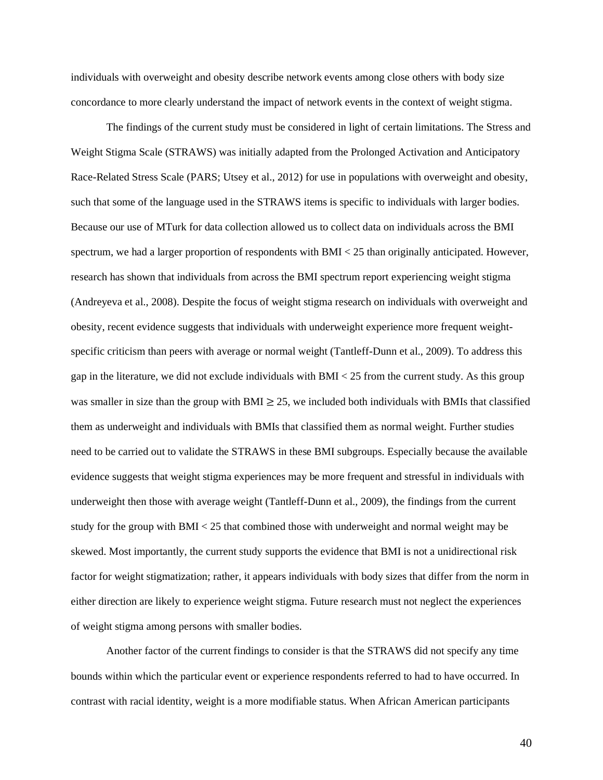individuals with overweight and obesity describe network events among close others with body size concordance to more clearly understand the impact of network events in the context of weight stigma.

The findings of the current study must be considered in light of certain limitations. The Stress and Weight Stigma Scale (STRAWS) was initially adapted from the Prolonged Activation and Anticipatory Race-Related Stress Scale (PARS; Utsey et al., 2012) for use in populations with overweight and obesity, such that some of the language used in the STRAWS items is specific to individuals with larger bodies. Because our use of MTurk for data collection allowed us to collect data on individuals across the BMI spectrum, we had a larger proportion of respondents with BMI < 25 than originally anticipated. However, research has shown that individuals from across the BMI spectrum report experiencing weight stigma (Andreyeva et al., 2008). Despite the focus of weight stigma research on individuals with overweight and obesity, recent evidence suggests that individuals with underweight experience more frequent weightspecific criticism than peers with average or normal weight (Tantleff-Dunn et al., 2009). To address this gap in the literature, we did not exclude individuals with BMI < 25 from the current study. As this group was smaller in size than the group with BMI  $\geq$  25, we included both individuals with BMIs that classified them as underweight and individuals with BMIs that classified them as normal weight. Further studies need to be carried out to validate the STRAWS in these BMI subgroups. Especially because the available evidence suggests that weight stigma experiences may be more frequent and stressful in individuals with underweight then those with average weight (Tantleff-Dunn et al., 2009), the findings from the current study for the group with BMI < 25 that combined those with underweight and normal weight may be skewed. Most importantly, the current study supports the evidence that BMI is not a unidirectional risk factor for weight stigmatization; rather, it appears individuals with body sizes that differ from the norm in either direction are likely to experience weight stigma. Future research must not neglect the experiences of weight stigma among persons with smaller bodies.

Another factor of the current findings to consider is that the STRAWS did not specify any time bounds within which the particular event or experience respondents referred to had to have occurred. In contrast with racial identity, weight is a more modifiable status. When African American participants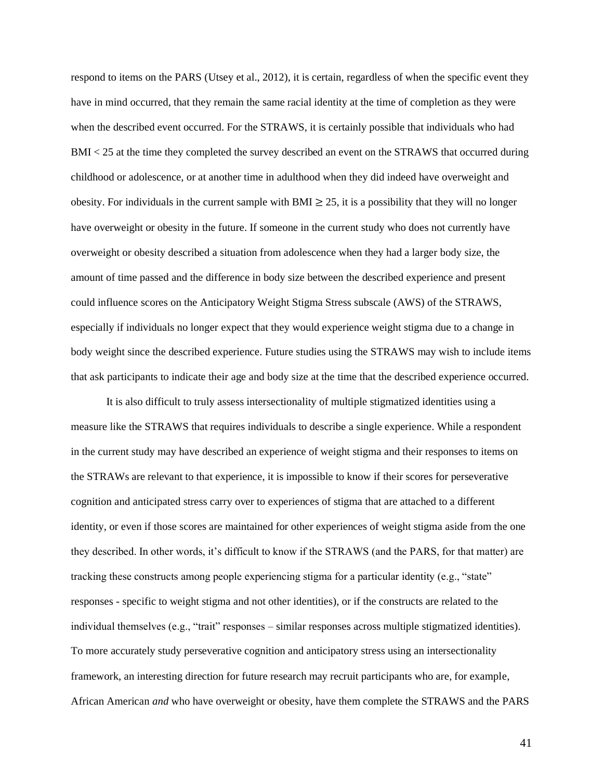respond to items on the PARS (Utsey et al., 2012), it is certain, regardless of when the specific event they have in mind occurred, that they remain the same racial identity at the time of completion as they were when the described event occurred. For the STRAWS, it is certainly possible that individuals who had BMI < 25 at the time they completed the survey described an event on the STRAWS that occurred during childhood or adolescence, or at another time in adulthood when they did indeed have overweight and obesity. For individuals in the current sample with BMI  $\geq$  25, it is a possibility that they will no longer have overweight or obesity in the future. If someone in the current study who does not currently have overweight or obesity described a situation from adolescence when they had a larger body size, the amount of time passed and the difference in body size between the described experience and present could influence scores on the Anticipatory Weight Stigma Stress subscale (AWS) of the STRAWS, especially if individuals no longer expect that they would experience weight stigma due to a change in body weight since the described experience. Future studies using the STRAWS may wish to include items that ask participants to indicate their age and body size at the time that the described experience occurred.

It is also difficult to truly assess intersectionality of multiple stigmatized identities using a measure like the STRAWS that requires individuals to describe a single experience. While a respondent in the current study may have described an experience of weight stigma and their responses to items on the STRAWs are relevant to that experience, it is impossible to know if their scores for perseverative cognition and anticipated stress carry over to experiences of stigma that are attached to a different identity, or even if those scores are maintained for other experiences of weight stigma aside from the one they described. In other words, it's difficult to know if the STRAWS (and the PARS, for that matter) are tracking these constructs among people experiencing stigma for a particular identity (e.g., "state" responses - specific to weight stigma and not other identities), or if the constructs are related to the individual themselves (e.g., "trait" responses – similar responses across multiple stigmatized identities). To more accurately study perseverative cognition and anticipatory stress using an intersectionality framework, an interesting direction for future research may recruit participants who are, for example, African American *and* who have overweight or obesity, have them complete the STRAWS and the PARS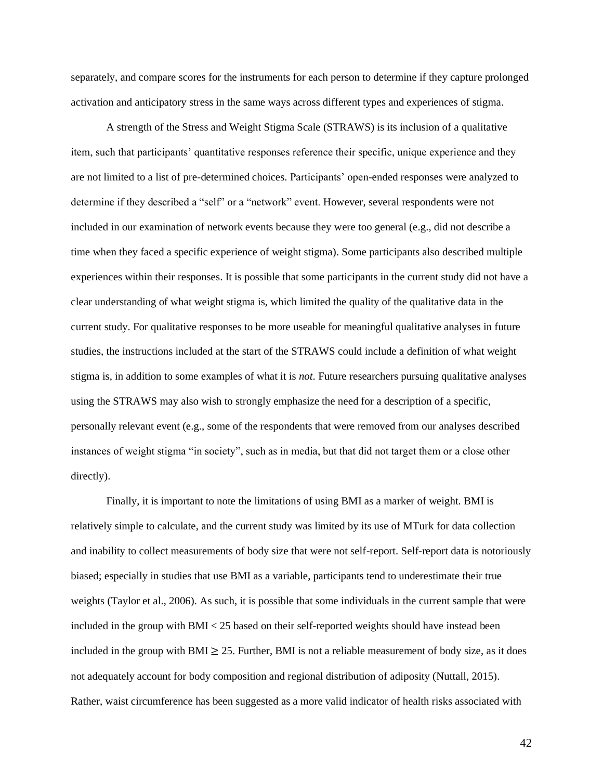separately, and compare scores for the instruments for each person to determine if they capture prolonged activation and anticipatory stress in the same ways across different types and experiences of stigma.

A strength of the Stress and Weight Stigma Scale (STRAWS) is its inclusion of a qualitative item, such that participants' quantitative responses reference their specific, unique experience and they are not limited to a list of pre-determined choices. Participants' open-ended responses were analyzed to determine if they described a "self" or a "network" event. However, several respondents were not included in our examination of network events because they were too general (e.g., did not describe a time when they faced a specific experience of weight stigma). Some participants also described multiple experiences within their responses. It is possible that some participants in the current study did not have a clear understanding of what weight stigma is, which limited the quality of the qualitative data in the current study. For qualitative responses to be more useable for meaningful qualitative analyses in future studies, the instructions included at the start of the STRAWS could include a definition of what weight stigma is, in addition to some examples of what it is *not*. Future researchers pursuing qualitative analyses using the STRAWS may also wish to strongly emphasize the need for a description of a specific, personally relevant event (e.g., some of the respondents that were removed from our analyses described instances of weight stigma "in society", such as in media, but that did not target them or a close other directly).

Finally, it is important to note the limitations of using BMI as a marker of weight. BMI is relatively simple to calculate, and the current study was limited by its use of MTurk for data collection and inability to collect measurements of body size that were not self-report. Self-report data is notoriously biased; especially in studies that use BMI as a variable, participants tend to underestimate their true weights (Taylor et al., 2006). As such, it is possible that some individuals in the current sample that were included in the group with BMI < 25 based on their self-reported weights should have instead been included in the group with BMI  $\geq$  25. Further, BMI is not a reliable measurement of body size, as it does not adequately account for body composition and regional distribution of adiposity (Nuttall, 2015). Rather, waist circumference has been suggested as a more valid indicator of health risks associated with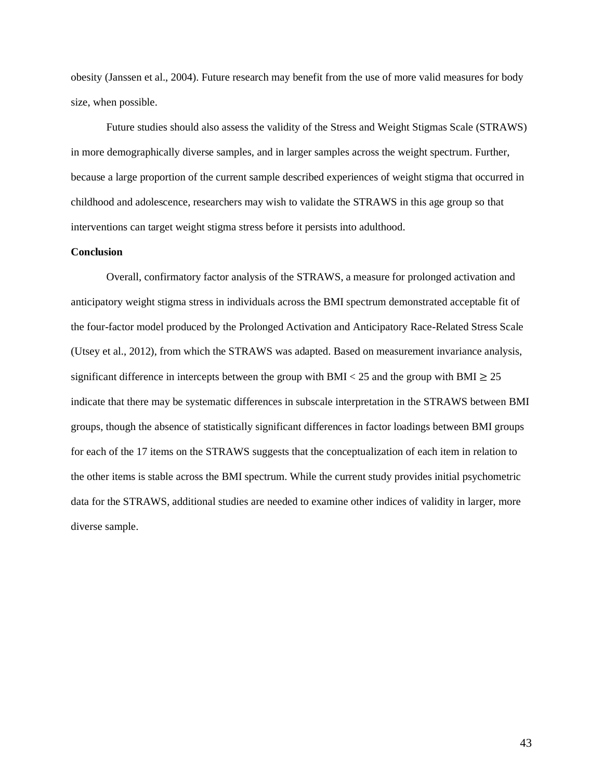obesity (Janssen et al., 2004). Future research may benefit from the use of more valid measures for body size, when possible.

Future studies should also assess the validity of the Stress and Weight Stigmas Scale (STRAWS) in more demographically diverse samples, and in larger samples across the weight spectrum. Further, because a large proportion of the current sample described experiences of weight stigma that occurred in childhood and adolescence, researchers may wish to validate the STRAWS in this age group so that interventions can target weight stigma stress before it persists into adulthood.

#### **Conclusion**

Overall, confirmatory factor analysis of the STRAWS, a measure for prolonged activation and anticipatory weight stigma stress in individuals across the BMI spectrum demonstrated acceptable fit of the four-factor model produced by the Prolonged Activation and Anticipatory Race-Related Stress Scale (Utsey et al., 2012), from which the STRAWS was adapted. Based on measurement invariance analysis, significant difference in intercepts between the group with BMI < 25 and the group with BMI  $\geq$  25 indicate that there may be systematic differences in subscale interpretation in the STRAWS between BMI groups, though the absence of statistically significant differences in factor loadings between BMI groups for each of the 17 items on the STRAWS suggests that the conceptualization of each item in relation to the other items is stable across the BMI spectrum. While the current study provides initial psychometric data for the STRAWS, additional studies are needed to examine other indices of validity in larger, more diverse sample.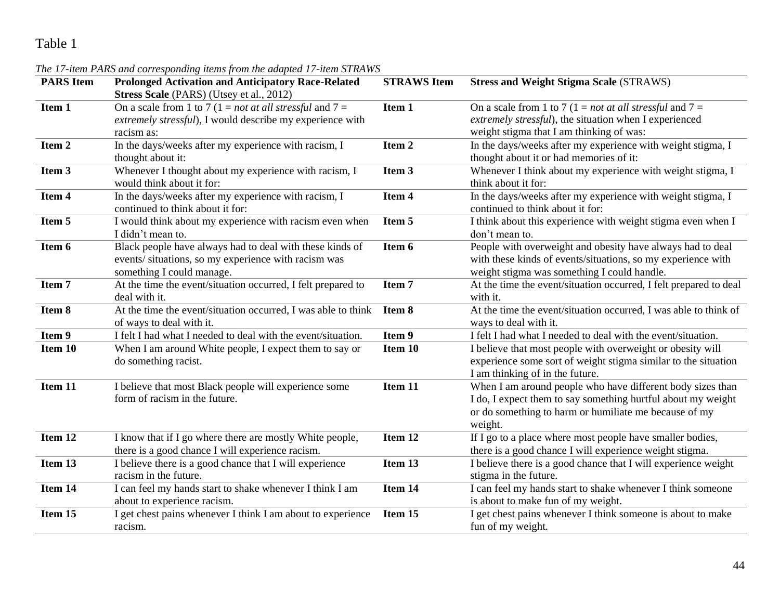| <b>PARS</b> Item | <b>Prolonged Activation and Anticipatory Race-Related</b><br>Stress Scale (PARS) (Utsey et al., 2012)                                        | <b>STRAWS</b> Item | <b>Stress and Weight Stigma Scale (STRAWS)</b>                                                                                                                                                 |
|------------------|----------------------------------------------------------------------------------------------------------------------------------------------|--------------------|------------------------------------------------------------------------------------------------------------------------------------------------------------------------------------------------|
| Item 1           | On a scale from 1 to 7 (1 = <i>not at all stressful</i> and $7 =$<br>extremely stressful), I would describe my experience with<br>racism as: | Item 1             | On a scale from 1 to 7 (1 = <i>not at all stressful</i> and $7 =$<br>extremely stressful), the situation when I experienced<br>weight stigma that I am thinking of was:                        |
| Item 2           | In the days/weeks after my experience with racism, I<br>thought about it:                                                                    | Item 2             | In the days/weeks after my experience with weight stigma, I<br>thought about it or had memories of it:                                                                                         |
| Item 3           | Whenever I thought about my experience with racism, I<br>would think about it for:                                                           | Item 3             | Whenever I think about my experience with weight stigma, I<br>think about it for:                                                                                                              |
| Item 4           | In the days/weeks after my experience with racism, I<br>continued to think about it for:                                                     | Item 4             | In the days/weeks after my experience with weight stigma, I<br>continued to think about it for:                                                                                                |
| Item 5           | I would think about my experience with racism even when<br>I didn't mean to.                                                                 | Item 5             | I think about this experience with weight stigma even when I<br>don't mean to.                                                                                                                 |
| Item 6           | Black people have always had to deal with these kinds of<br>events/situations, so my experience with racism was<br>something I could manage. | Item 6             | People with overweight and obesity have always had to deal<br>with these kinds of events/situations, so my experience with<br>weight stigma was something I could handle.                      |
| Item 7           | At the time the event/situation occurred, I felt prepared to<br>deal with it.                                                                | Item 7             | At the time the event/situation occurred, I felt prepared to deal<br>with it.                                                                                                                  |
| Item 8           | At the time the event/situation occurred, I was able to think<br>of ways to deal with it.                                                    | Item 8             | At the time the event/situation occurred, I was able to think of<br>ways to deal with it.                                                                                                      |
| Item 9           | I felt I had what I needed to deal with the event/situation.                                                                                 | Item 9             | I felt I had what I needed to deal with the event/situation.                                                                                                                                   |
| Item 10          | When I am around White people, I expect them to say or<br>do something racist.                                                               | Item 10            | I believe that most people with overweight or obesity will<br>experience some sort of weight stigma similar to the situation<br>I am thinking of in the future.                                |
| Item 11          | I believe that most Black people will experience some<br>form of racism in the future.                                                       | Item 11            | When I am around people who have different body sizes than<br>I do, I expect them to say something hurtful about my weight<br>or do something to harm or humiliate me because of my<br>weight. |
| Item 12          | I know that if I go where there are mostly White people,<br>there is a good chance I will experience racism.                                 | Item 12            | If I go to a place where most people have smaller bodies,<br>there is a good chance I will experience weight stigma.                                                                           |
| Item 13          | I believe there is a good chance that I will experience<br>racism in the future.                                                             | Item 13            | I believe there is a good chance that I will experience weight<br>stigma in the future.                                                                                                        |
| Item 14          | I can feel my hands start to shake whenever I think I am<br>about to experience racism.                                                      | Item 14            | I can feel my hands start to shake whenever I think someone<br>is about to make fun of my weight.                                                                                              |
| Item 15          | I get chest pains whenever I think I am about to experience<br>racism.                                                                       | Item 15            | I get chest pains whenever I think someone is about to make<br>fun of my weight.                                                                                                               |

### *The 17-item PARS and corresponding items from the adapted 17-item STRAWS*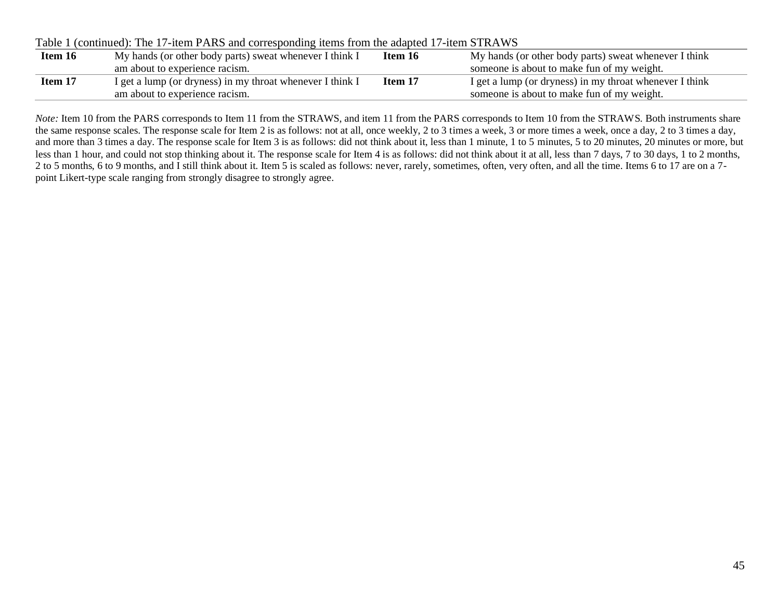|         | Table T (continued). The T/-Refil PARS and corresponding Refils from the adapted T/-Refil STRAWS |         |                                                         |  |  |  |  |  |  |
|---------|--------------------------------------------------------------------------------------------------|---------|---------------------------------------------------------|--|--|--|--|--|--|
| Item 16 | My hands (or other body parts) sweat whenever I think I                                          | Item 16 | My hands (or other body parts) sweat whenever I think   |  |  |  |  |  |  |
|         | am about to experience racism.                                                                   |         | someone is about to make fun of my weight.              |  |  |  |  |  |  |
| Item 17 | I get a lump (or dryness) in my throat whenever I think I                                        | Item 17 | I get a lump (or dryness) in my throat whenever I think |  |  |  |  |  |  |
|         | am about to experience racism.                                                                   |         | someone is about to make fun of my weight.              |  |  |  |  |  |  |

Table 1 (continued): The 17-item PARS and corresponding items from the adapted 17-item STRAWS

*Note:* Item 10 from the PARS corresponds to Item 11 from the STRAWS, and item 11 from the PARS corresponds to Item 10 from the STRAWS. Both instruments share the same response scales. The response scale for Item 2 is as follows: not at all, once weekly, 2 to 3 times a week, 3 or more times a week, once a day, 2 to 3 times a day, and more than 3 times a day. The response scale for Item 3 is as follows: did not think about it, less than 1 minute, 1 to 5 minutes, 5 to 20 minutes, 20 minutes or more, but less than 1 hour, and could not stop thinking about it. The response scale for Item 4 is as follows: did not think about it at all, less than 7 days, 7 to 30 days, 1 to 2 months, 2 to 5 months, 6 to 9 months, and I still think about it. Item 5 is scaled as follows: never, rarely, sometimes, often, very often, and all the time. Items 6 to 17 are on a 7point Likert-type scale ranging from strongly disagree to strongly agree.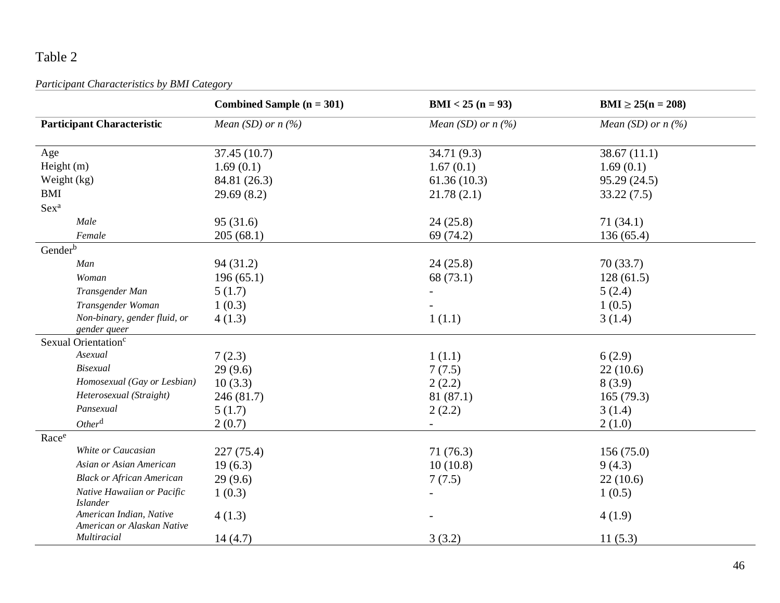*Participant Characteristics by BMI Category*

|                                                       | Combined Sample $(n = 301)$ | $BMI < 25 (n = 93)$  | $BMI \ge 25(n = 208)$ |
|-------------------------------------------------------|-----------------------------|----------------------|-----------------------|
| <b>Participant Characteristic</b>                     | Mean (SD) or $n$ (%)        | Mean (SD) or $n$ (%) | Mean (SD) or $n$ (%)  |
| Age                                                   | 37.45(10.7)                 | 34.71 (9.3)          | 38.67(11.1)           |
| Height (m)                                            | 1.69(0.1)                   | 1.67(0.1)            | 1.69(0.1)             |
| Weight (kg)                                           | 84.81 (26.3)                | 61.36(10.3)          | 95.29 (24.5)          |
| <b>BMI</b>                                            | 29.69(8.2)                  | 21.78(2.1)           | 33.22(7.5)            |
| Sex <sup>a</sup>                                      |                             |                      |                       |
| Male                                                  | 95(31.6)                    | 24(25.8)             | 71(34.1)              |
| Female                                                | 205(68.1)                   | 69 (74.2)            | 136(65.4)             |
| Gender <sup>b</sup>                                   |                             |                      |                       |
| Man                                                   | 94(31.2)                    | 24(25.8)             | 70(33.7)              |
| Woman                                                 | 196(65.1)                   | 68 (73.1)            | 128(61.5)             |
| Transgender Man                                       | 5(1.7)                      |                      | 5(2.4)                |
| Transgender Woman                                     | 1(0.3)                      |                      | 1(0.5)                |
| Non-binary, gender fluid, or                          | 4(1.3)                      | 1(1.1)               | 3(1.4)                |
| gender queer                                          |                             |                      |                       |
| Sexual Orientation <sup>c</sup>                       |                             |                      |                       |
| Asexual                                               | 7(2.3)                      | 1(1.1)               | 6(2.9)                |
| <b>Bisexual</b>                                       | 29(9.6)                     | 7(7.5)               | 22(10.6)              |
| Homosexual (Gay or Lesbian)                           | 10(3.3)                     | 2(2.2)               | 8(3.9)                |
| Heterosexual (Straight)                               | 246 (81.7)                  | 81(87.1)             | 165(79.3)             |
| Pansexual                                             | 5(1.7)                      | 2(2.2)               | 3(1.4)                |
| Other <sup>d</sup>                                    | 2(0.7)                      |                      | 2(1.0)                |
| Racee                                                 |                             |                      |                       |
| White or Caucasian                                    | 227(75.4)                   | 71(76.3)             | 156(75.0)             |
| Asian or Asian American                               | 19(6.3)                     | 10(10.8)             | 9(4.3)                |
| <b>Black or African American</b>                      | 29(9.6)                     | 7(7.5)               | 22(10.6)              |
| Native Hawaiian or Pacific<br><b>Islander</b>         | 1(0.3)                      |                      | 1(0.5)                |
| American Indian, Native<br>American or Alaskan Native | 4(1.3)                      |                      | 4(1.9)                |
| Multiracial                                           | 14(4.7)                     | 3(3.2)               | 11(5.3)               |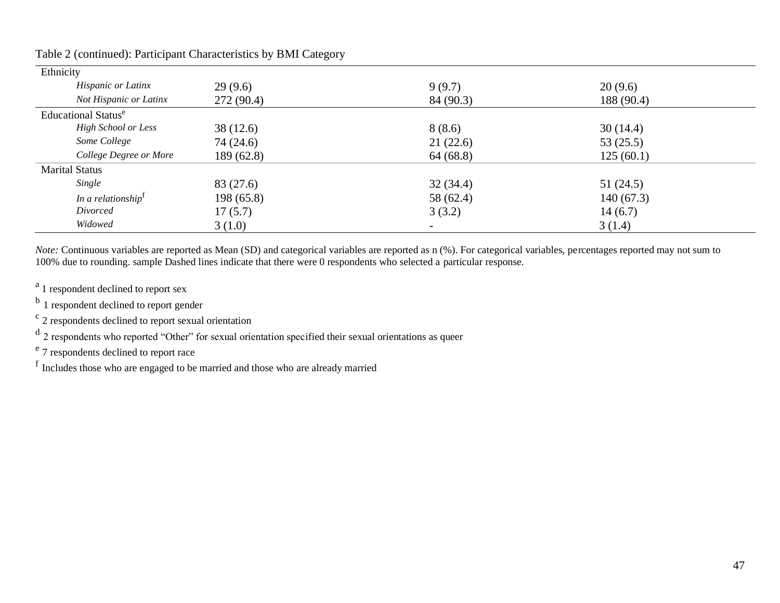| Ethnicity                  |            |           |            |  |
|----------------------------|------------|-----------|------------|--|
| Hispanic or Latinx         | 29(9.6)    | 9(9.7)    | 20(9.6)    |  |
| Not Hispanic or Latinx     | 272(90.4)  | 84 (90.3) | 188 (90.4) |  |
| Educational Statuse        |            |           |            |  |
| <b>High School or Less</b> | 38(12.6)   | 8(8.6)    | 30(14.4)   |  |
| Some College               | 74 (24.6)  | 21(22.6)  | 53(25.5)   |  |
| College Degree or More     | 189(62.8)  | 64 (68.8) | 125(60.1)  |  |
| <b>Marital Status</b>      |            |           |            |  |
| Single                     | 83 (27.6)  | 32(34.4)  | 51(24.5)   |  |
| In a relationship          | 198 (65.8) | 58 (62.4) | 140(67.3)  |  |
| Divorced                   | 17(5.7)    | 3(3.2)    | 14(6.7)    |  |
| Widowed                    | 3(1.0)     |           | 3(1.4)     |  |

Table 2 (continued): Participant Characteristics by BMI Category

*Note:* Continuous variables are reported as Mean (SD) and categorical variables are reported as n (%). For categorical variables, percentages reported may not sum to 100% due to rounding. sample Dashed lines indicate that there were 0 respondents who selected a particular response.

<sup>a</sup> 1 respondent declined to report sex

<sup>b</sup> 1 respondent declined to report gender

<sup>c</sup> 2 respondents declined to report sexual orientation

<sup>d</sup> 2 respondents who reported "Other" for sexual orientation specified their sexual orientations as queer

<sup>e</sup> 7 respondents declined to report race

f Includes those who are engaged to be married and those who are already married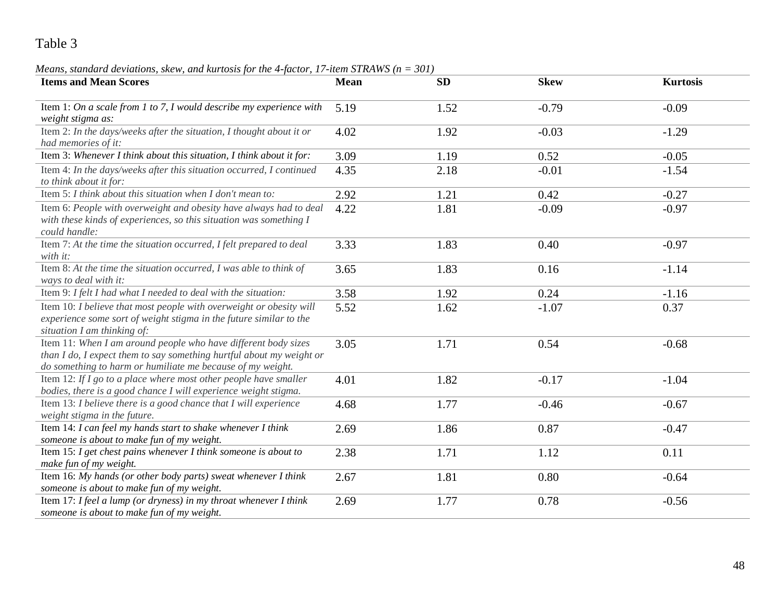#### *Means, standard deviations, skew, and kurtosis for the 4-factor, 17-item STRAWS (n = 301)*

| <b>Items and Mean Scores</b>                                                                                                                                                                         | <b>Mean</b> | <b>SD</b> | <b>Skew</b> | <b>Kurtosis</b> |
|------------------------------------------------------------------------------------------------------------------------------------------------------------------------------------------------------|-------------|-----------|-------------|-----------------|
| Item 1: On a scale from 1 to 7, I would describe my experience with<br>weight stigma as:                                                                                                             | 5.19        | 1.52      | $-0.79$     | $-0.09$         |
| Item 2: In the days/weeks after the situation, I thought about it or<br>had memories of it:                                                                                                          | 4.02        | 1.92      | $-0.03$     | $-1.29$         |
| Item 3: Whenever I think about this situation, I think about it for:                                                                                                                                 | 3.09        | 1.19      | 0.52        | $-0.05$         |
| Item 4: In the days/weeks after this situation occurred, I continued<br>to think about it for:                                                                                                       | 4.35        | 2.18      | $-0.01$     | $-1.54$         |
| Item 5: I think about this situation when I don't mean to:                                                                                                                                           | 2.92        | 1.21      | 0.42        | $-0.27$         |
| Item 6: People with overweight and obesity have always had to deal<br>with these kinds of experiences, so this situation was something I<br>could handle:                                            | 4.22        | 1.81      | $-0.09$     | $-0.97$         |
| Item 7: At the time the situation occurred, I felt prepared to deal<br>with it:                                                                                                                      | 3.33        | 1.83      | 0.40        | $-0.97$         |
| Item 8: At the time the situation occurred, I was able to think of<br>ways to deal with it:                                                                                                          | 3.65        | 1.83      | 0.16        | $-1.14$         |
| Item 9: I felt I had what I needed to deal with the situation:                                                                                                                                       | 3.58        | 1.92      | 0.24        | $-1.16$         |
| Item 10: I believe that most people with overweight or obesity will<br>experience some sort of weight stigma in the future similar to the<br>situation I am thinking of:                             | 5.52        | 1.62      | $-1.07$     | 0.37            |
| Item 11: When I am around people who have different body sizes<br>than I do, I expect them to say something hurtful about my weight or<br>do something to harm or humiliate me because of my weight. | 3.05        | 1.71      | 0.54        | $-0.68$         |
| Item 12: If $I$ go to a place where most other people have smaller<br>bodies, there is a good chance I will experience weight stigma.                                                                | 4.01        | 1.82      | $-0.17$     | $-1.04$         |
| Item 13: I believe there is a good chance that I will experience<br>weight stigma in the future.                                                                                                     | 4.68        | 1.77      | $-0.46$     | $-0.67$         |
| Item 14: I can feel my hands start to shake whenever I think<br>someone is about to make fun of my weight.                                                                                           | 2.69        | 1.86      | 0.87        | $-0.47$         |
| Item 15: I get chest pains whenever I think someone is about to<br>make fun of my weight.                                                                                                            | 2.38        | 1.71      | 1.12        | 0.11            |
| Item 16: My hands (or other body parts) sweat whenever I think<br>someone is about to make fun of my weight.                                                                                         | 2.67        | 1.81      | 0.80        | $-0.64$         |
| Item 17: I feel a lump (or dryness) in my throat whenever I think<br>someone is about to make fun of my weight.                                                                                      | 2.69        | 1.77      | 0.78        | $-0.56$         |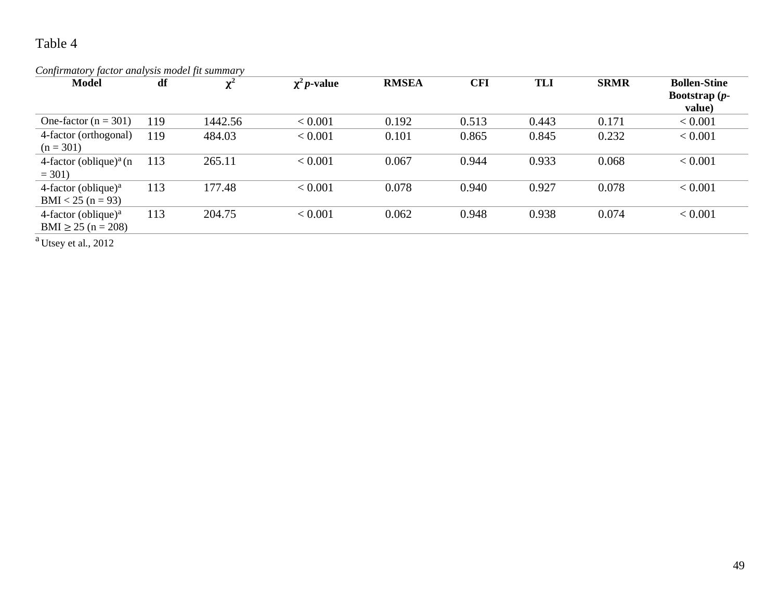| Confirmatory factor analysis model fit summary   |     |                     |                   |              |            |            |             |                                                  |  |  |
|--------------------------------------------------|-----|---------------------|-------------------|--------------|------------|------------|-------------|--------------------------------------------------|--|--|
| <b>Model</b>                                     | df  | $\mathbf{v}^2$<br>^ | $\chi^2 p$ -value | <b>RMSEA</b> | <b>CFI</b> | <b>TLI</b> | <b>SRMR</b> | <b>Bollen-Stine</b><br>Bootstrap $(p-$<br>value) |  |  |
| One-factor ( $n = 301$ )                         | 119 | 1442.56             | < 0.001           | 0.192        | 0.513      | 0.443      | 0.171       | < 0.001                                          |  |  |
| 4-factor (orthogonal)<br>$(n = 301)$             | 119 | 484.03              | < 0.001           | 0.101        | 0.865      | 0.845      | 0.232       | < 0.001                                          |  |  |
| 4-factor (oblique) <sup>a</sup> (n<br>$= 301$    | 113 | 265.11              | < 0.001           | 0.067        | 0.944      | 0.933      | 0.068       | < 0.001                                          |  |  |
| 4-factor (oblique) $a$<br>$BMI < 25 (n = 93)$    | 113 | 177.48              | < 0.001           | 0.078        | 0.940      | 0.927      | 0.078       | < 0.001                                          |  |  |
| 4-factor (oblique) $a$<br>$BMI \ge 25$ (n = 208) | 113 | 204.75              | < 0.001           | 0.062        | 0.948      | 0.938      | 0.074       | < 0.001                                          |  |  |

<sup>a</sup> Utsey et al., 2012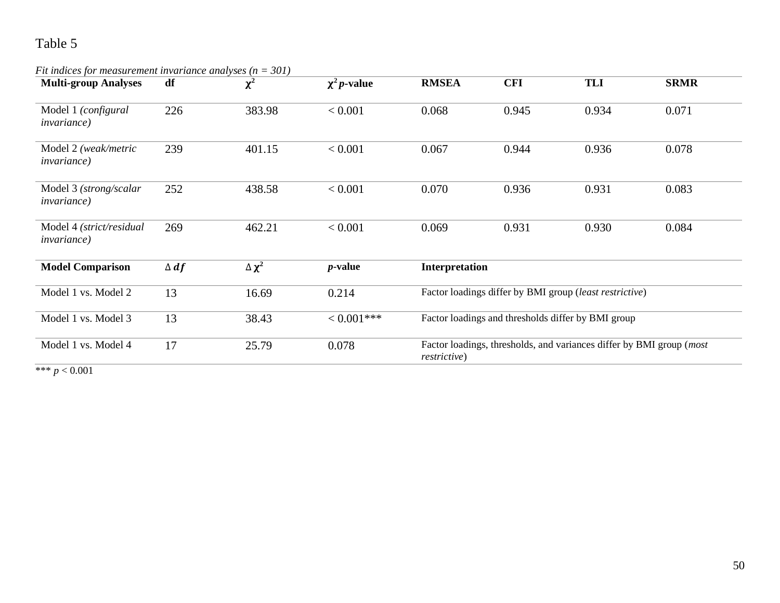*Fit indices for measurement invariance analyses (n = 301)* 

| <b>Multi-group Analyses</b>                     | df          | $\chi^2$        | $\chi^2 p$ -value | <b>RMSEA</b>         | <b>CFI</b> | <b>TLI</b>                                                                     | <b>SRMR</b> |
|-------------------------------------------------|-------------|-----------------|-------------------|----------------------|------------|--------------------------------------------------------------------------------|-------------|
| Model 1 (configural<br><i>invariance</i> )      | 226         | 383.98          | < 0.001           | 0.068                | 0.945      | 0.934                                                                          | 0.071       |
| Model 2 (weak/metric<br><i>invariance</i> )     | 239         | 401.15          | < 0.001           | 0.067                | 0.944      | 0.936                                                                          | 0.078       |
| Model 3 (strong/scalar<br><i>invariance</i> )   | 252         | 438.58          | < 0.001           | 0.070                | 0.936      | 0.931                                                                          | 0.083       |
| Model 4 (strict/residual<br><i>invariance</i> ) | 269         | 462.21          | < 0.001           | 0.069                | 0.931      | 0.930                                                                          | 0.084       |
| <b>Model Comparison</b>                         | $\Delta df$ | $\Delta \chi^2$ | $p$ -value        | Interpretation       |            |                                                                                |             |
| Model 1 vs. Model 2                             | 13          | 16.69           | 0.214             |                      |            | Factor loadings differ by BMI group (least restrictive)                        |             |
| Model 1 vs. Model 3                             | 13          | 38.43           | $< 0.001$ ***     |                      |            | Factor loadings and thresholds differ by BMI group                             |             |
| Model 1 vs. Model 4                             | 17          | 25.79           | 0.078             | <i>restrictive</i> ) |            | Factor loadings, thresholds, and variances differ by BMI group ( <i>most</i> ) |             |

 $*** p < 0.001$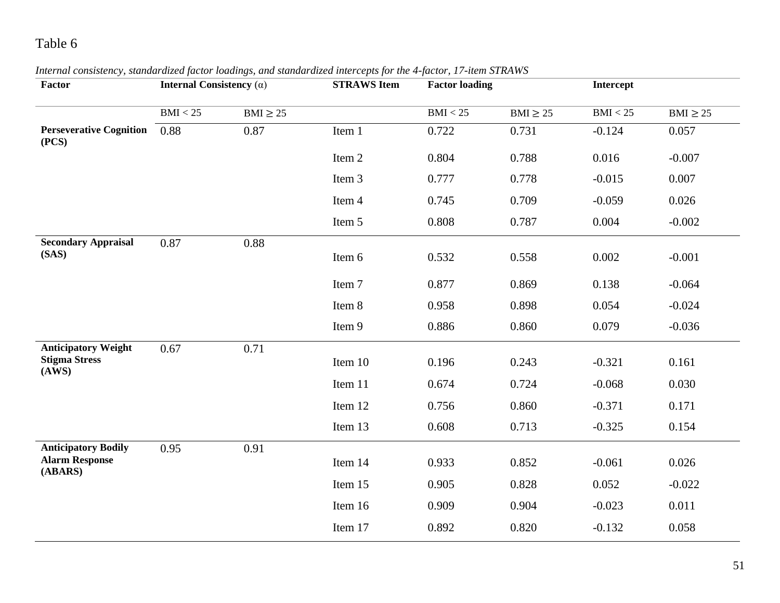| Factor                                                         | Internal Consistency $(\alpha)$ |               | <b>STRAWS Item</b> | <b>Factor loading</b> |               | <b>Intercept</b> |               |
|----------------------------------------------------------------|---------------------------------|---------------|--------------------|-----------------------|---------------|------------------|---------------|
|                                                                | BMI < 25                        | $BMI \geq 25$ |                    | BMI < 25              | $BMI \geq 25$ | BMI < 25         | $BMI \geq 25$ |
| <b>Perseverative Cognition</b><br>(PCS)                        | 0.88                            | 0.87          | Item 1             | 0.722                 | 0.731         | $-0.124$         | 0.057         |
|                                                                |                                 |               | Item 2             | 0.804                 | 0.788         | 0.016            | $-0.007$      |
|                                                                |                                 |               | Item 3             | 0.777                 | 0.778         | $-0.015$         | 0.007         |
|                                                                |                                 |               | Item 4             | 0.745                 | 0.709         | $-0.059$         | 0.026         |
|                                                                |                                 |               | Item 5             | 0.808                 | 0.787         | 0.004            | $-0.002$      |
| <b>Secondary Appraisal</b><br>(SAS)                            | 0.87                            | 0.88          | Item 6             | 0.532                 | 0.558         | 0.002            | $-0.001$      |
|                                                                |                                 |               | Item 7             | 0.877                 | 0.869         | 0.138            | $-0.064$      |
|                                                                |                                 |               | Item 8             | 0.958                 | 0.898         | 0.054            | $-0.024$      |
|                                                                |                                 |               | Item 9             | 0.886                 | 0.860         | 0.079            | $-0.036$      |
| <b>Anticipatory Weight</b><br><b>Stigma Stress</b><br>(AWS)    | 0.67                            | 0.71          | Item 10            | 0.196                 | 0.243         | $-0.321$         | 0.161         |
|                                                                |                                 |               | Item 11            | 0.674                 | 0.724         | $-0.068$         | 0.030         |
|                                                                |                                 |               | Item 12            | 0.756                 | 0.860         | $-0.371$         | 0.171         |
|                                                                |                                 |               | Item 13            | 0.608                 | 0.713         | $-0.325$         | 0.154         |
| <b>Anticipatory Bodily</b><br><b>Alarm Response</b><br>(ABARS) | 0.95                            | 0.91          | Item 14            | 0.933                 | 0.852         | $-0.061$         | 0.026         |
|                                                                |                                 |               | Item 15            | 0.905                 | 0.828         | 0.052            | $-0.022$      |
|                                                                |                                 |               | Item 16            | 0.909                 | 0.904         | $-0.023$         | 0.011         |
|                                                                |                                 |               | Item 17            | 0.892                 | 0.820         | $-0.132$         | 0.058         |

### *Internal consistency, standardized factor loadings, and standardized intercepts for the 4-factor, 17-item STRAWS*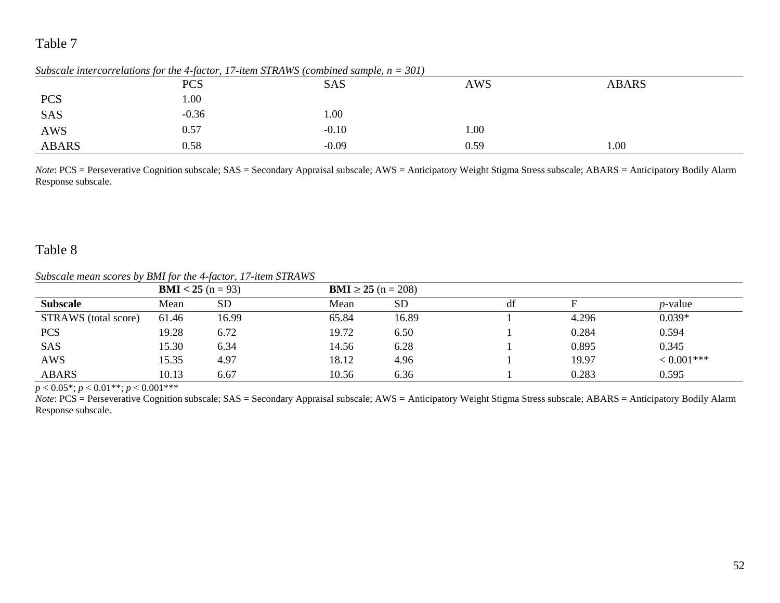|              |         | Subscale intercorrelations for the 4-factor, 17-tiem STRAWS (combined sample, $n = 301$ ) |            |              |  |
|--------------|---------|-------------------------------------------------------------------------------------------|------------|--------------|--|
|              | PCS     | SAS                                                                                       | <b>AWS</b> | <b>ABARS</b> |  |
| <b>PCS</b>   | 00.1    |                                                                                           |            |              |  |
| <b>SAS</b>   | $-0.36$ | 00.1                                                                                      |            |              |  |
| <b>AWS</b>   | 0.57    | $-0.10$                                                                                   | 1.00       |              |  |
| <b>ABARS</b> | 0.58    | $-0.09$                                                                                   | 0.59       | 1.00         |  |

*Subscale intercorrelations for the 4-factor, 17-item STRAWS (combined sample, n = 301)* 

*Note*: PCS = Perseverative Cognition subscale; SAS = Secondary Appraisal subscale; AWS = Anticipatory Weight Stigma Stress subscale; ABARS = Anticipatory Bodily Alarm Response subscale.

### Table 8

*Subscale mean scores by BMI for the 4-factor, 17-item STRAWS*

|                      | <b>BMI</b> < 25 ( $n = 93$ ) |           | <b>BMI</b> $\geq$ 25 (n = 208) |           |    |       |                 |
|----------------------|------------------------------|-----------|--------------------------------|-----------|----|-------|-----------------|
| <b>Subscale</b>      | Mean                         | <b>SD</b> | Mean                           | <b>SD</b> | df |       | <i>p</i> -value |
| STRAWS (total score) | 61.46                        | 16.99     | 65.84                          | 16.89     |    | 4.296 | $0.039*$        |
| <b>PCS</b>           | 19.28                        | 6.72      | 19.72                          | 6.50      |    | 0.284 | 0.594           |
| SAS                  | 15.30                        | 6.34      | 14.56                          | 6.28      |    | 0.895 | 0.345           |
| <b>AWS</b>           | 15.35                        | 4.97      | 18.12                          | 4.96      |    | 19.97 | $< 0.001$ ***   |
| <b>ABARS</b>         | 10.13                        | 6.67      | 10.56                          | 6.36      |    | 0.283 | 0.595           |

 $p < 0.05^*$ ;  $p < 0.01^{**}$ ;  $p < 0.001^{***}$ 

*Note*: PCS = Perseverative Cognition subscale; SAS = Secondary Appraisal subscale; AWS = Anticipatory Weight Stigma Stress subscale; ABARS = Anticipatory Bodily Alarm Response subscale.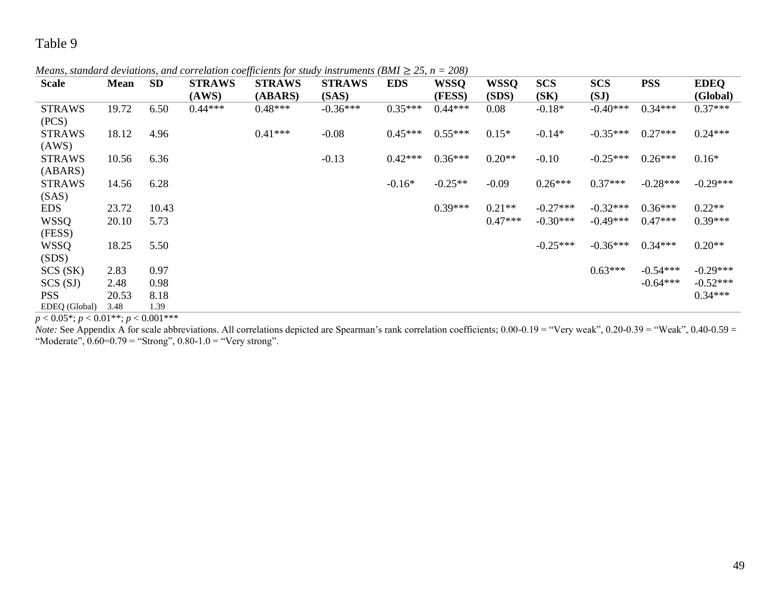*Means, standard deviations, and correlation coefficients for study instruments (BMI*  $\geq$  *25, n = 208)* 

| <b>Scale</b>  | Mean  | <b>SD</b> | <b>STRAWS</b> | <b>STRAWS</b> | <b>STRAWS</b> | <b>EDS</b> | <b>WSSQ</b> | <b>WSSQ</b> | <b>SCS</b> | <b>SCS</b> | <b>PSS</b> | <b>EDEQ</b> |
|---------------|-------|-----------|---------------|---------------|---------------|------------|-------------|-------------|------------|------------|------------|-------------|
|               |       |           | (AWS)         | (ABARS)       | (SAS)         |            | (FESS)      | (SDS)       | (SK)       | (SJ)       |            | (Global)    |
| <b>STRAWS</b> | 19.72 | 6.50      | $0.44***$     | $0.48***$     | $-0.36***$    | $0.35***$  | $0.44***$   | 0.08        | $-0.18*$   | $-0.40***$ | $0.34***$  | $0.37***$   |
| (PCS)         |       |           |               |               |               |            |             |             |            |            |            |             |
| <b>STRAWS</b> | 18.12 | 4.96      |               | $0.41***$     | $-0.08$       | $0.45***$  | $0.55***$   | $0.15*$     | $-0.14*$   | $-0.35***$ | $0.27***$  | $0.24***$   |
| (AWS)         |       |           |               |               |               |            |             |             |            |            |            |             |
| <b>STRAWS</b> | 10.56 | 6.36      |               |               | $-0.13$       | $0.42***$  | $0.36***$   | $0.20**$    | $-0.10$    | $-0.25***$ | $0.26***$  | $0.16*$     |
| (ABARS)       |       |           |               |               |               |            |             |             |            |            |            |             |
| <b>STRAWS</b> | 14.56 | 6.28      |               |               |               | $-0.16*$   | $-0.25**$   | $-0.09$     | $0.26***$  | $0.37***$  | $-0.28***$ | $-0.29***$  |
| (SAS)         |       |           |               |               |               |            |             |             |            |            |            |             |
| <b>EDS</b>    | 23.72 | 10.43     |               |               |               |            | $0.39***$   | $0.21**$    | $-0.27***$ | $-0.32***$ | $0.36***$  | $0.22**$    |
| <b>WSSQ</b>   | 20.10 | 5.73      |               |               |               |            |             | $0.47***$   | $-0.30***$ | $-0.49***$ | $0.47***$  | $0.39***$   |
| (FESS)        |       |           |               |               |               |            |             |             |            |            |            |             |
| <b>WSSQ</b>   | 18.25 | 5.50      |               |               |               |            |             |             | $-0.25***$ | $-0.36***$ | $0.34***$  | $0.20**$    |
| (SDS)         |       |           |               |               |               |            |             |             |            |            |            |             |
| SCS(SK)       | 2.83  | 0.97      |               |               |               |            |             |             |            | $0.63***$  | $-0.54***$ | $-0.29***$  |
| SCS(SJ)       | 2.48  | 0.98      |               |               |               |            |             |             |            |            | $-0.64***$ | $-0.52***$  |
| <b>PSS</b>    | 20.53 | 8.18      |               |               |               |            |             |             |            |            |            | $0.34***$   |
| EDEQ (Global) | 3.48  | 1.39      |               |               |               |            |             |             |            |            |            |             |

 $p < 0.05^*$ ;  $p < 0.01^{**}$ ;  $p < 0.001^{***}$ 

*Note:* See Appendix A for scale abbreviations. All correlations depicted are Spearman's rank correlation coefficients; 0.00-0.19 = "Very weak", 0.20-0.39 = "Weak", 0.40-0.59 = "Moderate",  $0.60=0.79$  = "Strong",  $0.80-1.0$  = "Very strong".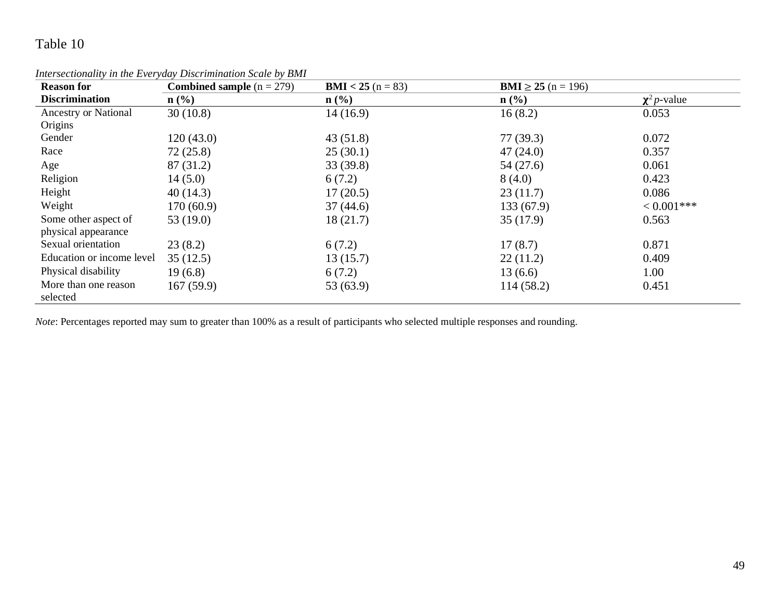| <b>Reason for</b>                | <b>Combined sample</b> $(n = 279)$ | <b>BMI</b> < 25 ( $n = 83$ ) | <b>BMI</b> $\geq$ 25 (n = 196) |                   |
|----------------------------------|------------------------------------|------------------------------|--------------------------------|-------------------|
| <b>Discrimination</b>            | $n\left(\frac{0}{0}\right)$        | $\mathbf{n}(\%)$             | $\mathbf{n}(\%)$               | $\chi^2 p$ -value |
| Ancestry or National             | 30(10.8)                           | 14(16.9)                     | 16(8.2)                        | 0.053             |
| Origins                          |                                    |                              |                                |                   |
| Gender                           | 120(43.0)                          | 43(51.8)                     | 77(39.3)                       | 0.072             |
| Race                             | 72(25.8)                           | 25(30.1)                     | 47(24.0)                       | 0.357             |
| Age                              | 87 (31.2)                          | 33(39.8)                     | 54 (27.6)                      | 0.061             |
| Religion                         | 14(5.0)                            | 6(7.2)                       | 8(4.0)                         | 0.423             |
| Height                           | 40(14.3)                           | 17(20.5)                     | 23(11.7)                       | 0.086             |
| Weight                           | 170(60.9)                          | 37(44.6)                     | 133(67.9)                      | $< 0.001$ ***     |
| Some other aspect of             | 53 $(19.0)$                        | 18(21.7)                     | 35(17.9)                       | 0.563             |
| physical appearance              |                                    |                              |                                |                   |
| Sexual orientation               | 23(8.2)                            | 6(7.2)                       | 17(8.7)                        | 0.871             |
| Education or income level        | 35(12.5)                           | 13(15.7)                     | 22(11.2)                       | 0.409             |
| Physical disability              | 19(6.8)                            | 6(7.2)                       | 13(6.6)                        | 1.00              |
| More than one reason<br>selected | 167(59.9)                          | 53 (63.9)                    | 114(58.2)                      | 0.451             |

*Intersectionality in the Everyday Discrimination Scale by BMI* 

*Note*: Percentages reported may sum to greater than 100% as a result of participants who selected multiple responses and rounding.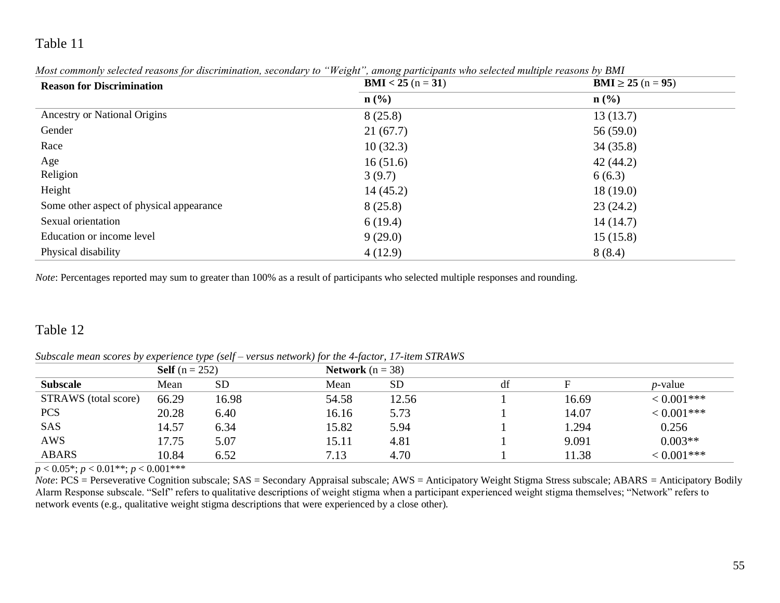| <b>Reason for Discrimination</b>         | <b>BMI</b> < 25 ( $n = 31$ ) | <b>BMI</b> $\geq$ 25 (n = 95) |  |
|------------------------------------------|------------------------------|-------------------------------|--|
|                                          | $\mathbf{n}(\%)$             | $\mathbf{n}(\%)$              |  |
| Ancestry or National Origins             | 8(25.8)                      | 13(13.7)                      |  |
| Gender                                   | 21(67.7)                     | 56(59.0)                      |  |
| Race                                     | 10(32.3)                     | 34(35.8)                      |  |
| Age                                      | 16(51.6)                     | 42(44.2)                      |  |
| Religion                                 | 3(9.7)                       | 6(6.3)                        |  |
| Height                                   | 14(45.2)                     | 18(19.0)                      |  |
| Some other aspect of physical appearance | 8(25.8)                      | 23(24.2)                      |  |
| Sexual orientation                       | 6(19.4)                      | 14(14.7)                      |  |
| Education or income level                | 9(29.0)                      | 15(15.8)                      |  |
| Physical disability                      | 4(12.9)                      | 8(8.4)                        |  |

*Most commonly selected reasons for discrimination, secondary to "Weight", among participants who selected multiple reasons by BMI* 

*Note*: Percentages reported may sum to greater than 100% as a result of participants who selected multiple responses and rounding.

### Table 12

*Subscale mean scores by experience type (self – versus network) for the 4-factor, 17-item STRAWS*

|                      | .<br><b>Self</b> $(n = 252)$ |           |       | <b>Network</b> $(n = 38)$ |    |       |                 |
|----------------------|------------------------------|-----------|-------|---------------------------|----|-------|-----------------|
| <b>Subscale</b>      | Mean                         | <b>SD</b> | Mean  | <b>SD</b>                 | df |       | <i>p</i> -value |
| STRAWS (total score) | 66.29                        | 16.98     | 54.58 | 12.56                     |    | 16.69 | $< 0.001$ ***   |
| <b>PCS</b>           | 20.28                        | 6.40      | 16.16 | 5.73                      |    | 14.07 | $< 0.001$ ***   |
| SAS                  | 14.57                        | 6.34      | 15.82 | 5.94                      |    | 1.294 | 0.256           |
| <b>AWS</b>           | 17.75                        | 5.07      | 15.11 | 4.81                      |    | 9.091 | $0.003**$       |
| <b>ABARS</b>         | 10.84                        | 6.52      | 7.13  | 4.70                      |    | 11.38 | $< 0.001$ ***   |

 $p < 0.05^*$ ;  $p < 0.01^{**}$ ;  $p < 0.001^{***}$ 

*Note*: PCS = Perseverative Cognition subscale; SAS = Secondary Appraisal subscale; AWS = Anticipatory Weight Stigma Stress subscale; ABARS = Anticipatory Bodily Alarm Response subscale. "Self" refers to qualitative descriptions of weight stigma when a participant experienced weight stigma themselves; "Network" refers to network events (e.g., qualitative weight stigma descriptions that were experienced by a close other).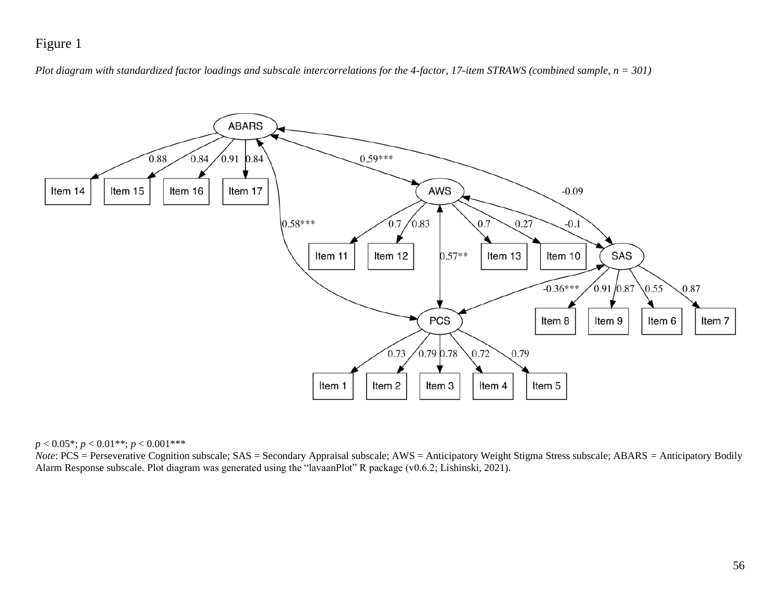## Figure 1

*Plot diagram with standardized factor loadings and subscale intercorrelations for the 4-factor, 17-item STRAWS (combined sample, n = 301)*



*p* < 0.05\*; *p* < 0.01\*\*; *p* < 0.001\*\*\*

*Note*: PCS = Perseverative Cognition subscale; SAS = Secondary Appraisal subscale; AWS = Anticipatory Weight Stigma Stress subscale; ABARS = Anticipatory Bodily Alarm Response subscale. Plot diagram was generated using the "lavaanPlot" R package (v0.6.2; Lishinski, 2021).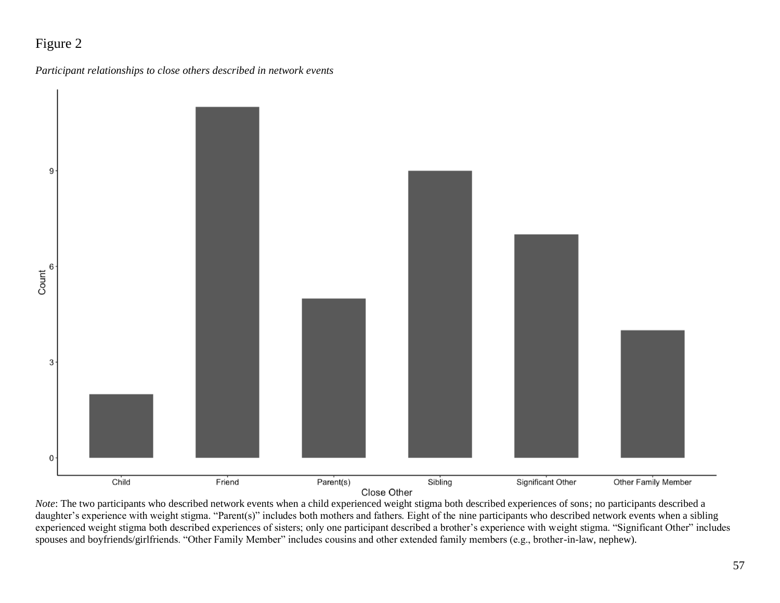## Figure 2





Close Other

*Note*: The two participants who described network events when a child experienced weight stigma both described experiences of sons; no participants described a daughter's experience with weight stigma. "Parent(s)" includes both mothers and fathers. Eight of the nine participants who described network events when a sibling experienced weight stigma both described experiences of sisters; only one participant described a brother's experience with weight stigma. "Significant Other" includes spouses and boyfriends/girlfriends. "Other Family Member" includes cousins and other extended family members (e.g., brother-in-law, nephew).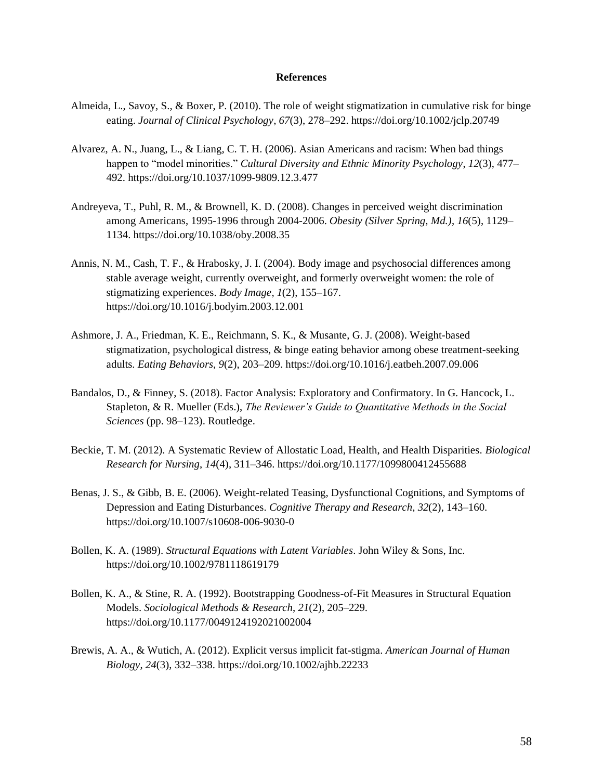#### **References**

- Almeida, L., Savoy, S., & Boxer, P. (2010). The role of weight stigmatization in cumulative risk for binge eating. *Journal of Clinical Psychology*, *67*(3), 278–292. https://doi.org/10.1002/jclp.20749
- Alvarez, A. N., Juang, L., & Liang, C. T. H. (2006). Asian Americans and racism: When bad things happen to "model minorities." *Cultural Diversity and Ethnic Minority Psychology*, *12*(3), 477– 492. https://doi.org/10.1037/1099-9809.12.3.477
- Andreyeva, T., Puhl, R. M., & Brownell, K. D. (2008). Changes in perceived weight discrimination among Americans, 1995-1996 through 2004-2006. *Obesity (Silver Spring, Md.)*, *16*(5), 1129– 1134. https://doi.org/10.1038/oby.2008.35
- Annis, N. M., Cash, T. F., & Hrabosky, J. I. (2004). Body image and psychosocial differences among stable average weight, currently overweight, and formerly overweight women: the role of stigmatizing experiences. *Body Image*, *1*(2), 155–167. https://doi.org/10.1016/j.bodyim.2003.12.001
- Ashmore, J. A., Friedman, K. E., Reichmann, S. K., & Musante, G. J. (2008). Weight-based stigmatization, psychological distress, & binge eating behavior among obese treatment-seeking adults. *Eating Behaviors*, *9*(2), 203–209. https://doi.org/10.1016/j.eatbeh.2007.09.006
- Bandalos, D., & Finney, S. (2018). Factor Analysis: Exploratory and Confirmatory. In G. Hancock, L. Stapleton, & R. Mueller (Eds.), *The Reviewer's Guide to Quantitative Methods in the Social Sciences* (pp. 98–123). Routledge.
- Beckie, T. M. (2012). A Systematic Review of Allostatic Load, Health, and Health Disparities. *Biological Research for Nursing*, *14*(4), 311–346. https://doi.org/10.1177/1099800412455688
- Benas, J. S., & Gibb, B. E. (2006). Weight-related Teasing, Dysfunctional Cognitions, and Symptoms of Depression and Eating Disturbances. *Cognitive Therapy and Research*, *32*(2), 143–160. https://doi.org/10.1007/s10608-006-9030-0
- Bollen, K. A. (1989). *Structural Equations with Latent Variables*. John Wiley & Sons, Inc. https://doi.org/10.1002/9781118619179
- Bollen, K. A., & Stine, R. A. (1992). Bootstrapping Goodness-of-Fit Measures in Structural Equation Models. *Sociological Methods & Research*, *21*(2), 205–229. https://doi.org/10.1177/0049124192021002004
- Brewis, A. A., & Wutich, A. (2012). Explicit versus implicit fat-stigma. *American Journal of Human Biology*, *24*(3), 332–338. https://doi.org/10.1002/ajhb.22233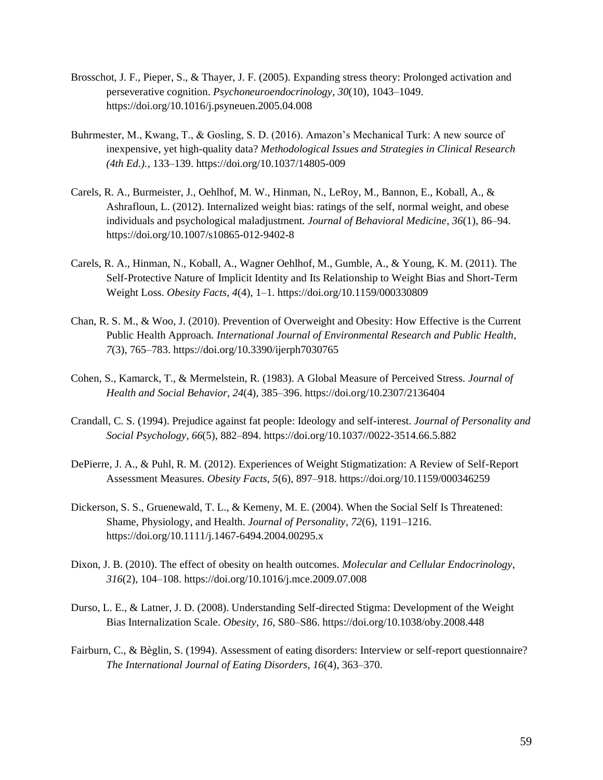- Brosschot, J. F., Pieper, S., & Thayer, J. F. (2005). Expanding stress theory: Prolonged activation and perseverative cognition. *Psychoneuroendocrinology*, *30*(10), 1043–1049. https://doi.org/10.1016/j.psyneuen.2005.04.008
- Buhrmester, M., Kwang, T., & Gosling, S. D. (2016). Amazon's Mechanical Turk: A new source of inexpensive, yet high-quality data? *Methodological Issues and Strategies in Clinical Research (4th Ed.).*, 133–139. https://doi.org/10.1037/14805-009
- Carels, R. A., Burmeister, J., Oehlhof, M. W., Hinman, N., LeRoy, M., Bannon, E., Koball, A., & Ashrafloun, L. (2012). Internalized weight bias: ratings of the self, normal weight, and obese individuals and psychological maladjustment. *Journal of Behavioral Medicine*, *36*(1), 86–94. https://doi.org/10.1007/s10865-012-9402-8
- Carels, R. A., Hinman, N., Koball, A., Wagner Oehlhof, M., Gumble, A., & Young, K. M. (2011). The Self-Protective Nature of Implicit Identity and Its Relationship to Weight Bias and Short-Term Weight Loss. *Obesity Facts*, *4*(4), 1–1. https://doi.org/10.1159/000330809
- Chan, R. S. M., & Woo, J. (2010). Prevention of Overweight and Obesity: How Effective is the Current Public Health Approach. *International Journal of Environmental Research and Public Health*, *7*(3), 765–783. https://doi.org/10.3390/ijerph7030765
- Cohen, S., Kamarck, T., & Mermelstein, R. (1983). A Global Measure of Perceived Stress. *Journal of Health and Social Behavior*, *24*(4), 385–396. https://doi.org/10.2307/2136404
- Crandall, C. S. (1994). Prejudice against fat people: Ideology and self-interest. *Journal of Personality and Social Psychology*, *66*(5), 882–894. https://doi.org/10.1037//0022-3514.66.5.882
- DePierre, J. A., & Puhl, R. M. (2012). Experiences of Weight Stigmatization: A Review of Self-Report Assessment Measures. *Obesity Facts*, *5*(6), 897–918. https://doi.org/10.1159/000346259
- Dickerson, S. S., Gruenewald, T. L., & Kemeny, M. E. (2004). When the Social Self Is Threatened: Shame, Physiology, and Health. *Journal of Personality*, *72*(6), 1191–1216. https://doi.org/10.1111/j.1467-6494.2004.00295.x
- Dixon, J. B. (2010). The effect of obesity on health outcomes. *Molecular and Cellular Endocrinology*, *316*(2), 104–108. https://doi.org/10.1016/j.mce.2009.07.008
- Durso, L. E., & Latner, J. D. (2008). Understanding Self-directed Stigma: Development of the Weight Bias Internalization Scale. *Obesity*, *16*, S80–S86. https://doi.org/10.1038/oby.2008.448
- Fairburn, C., & Bèglin, S. (1994). Assessment of eating disorders: Interview or self-report questionnaire? *The International Journal of Eating Disorders*, *16*(4), 363–370.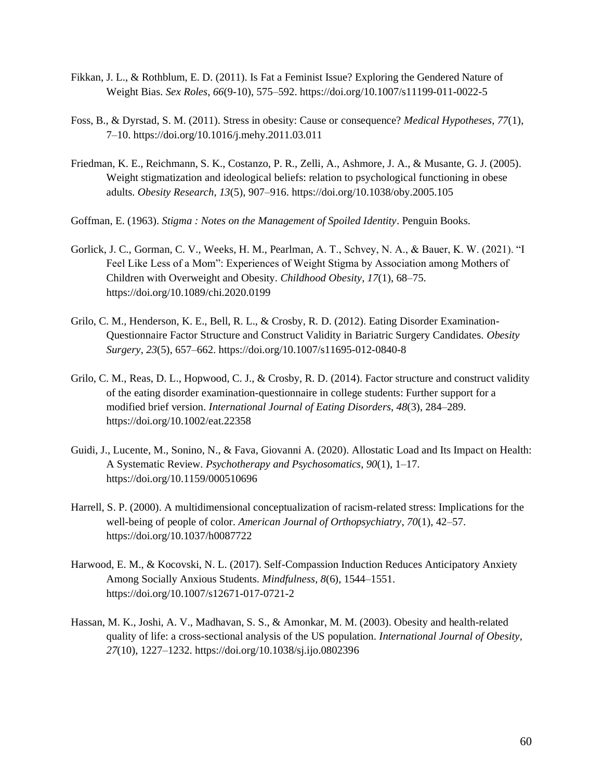- Fikkan, J. L., & Rothblum, E. D. (2011). Is Fat a Feminist Issue? Exploring the Gendered Nature of Weight Bias. *Sex Roles*, *66*(9-10), 575–592. https://doi.org/10.1007/s11199-011-0022-5
- Foss, B., & Dyrstad, S. M. (2011). Stress in obesity: Cause or consequence? *Medical Hypotheses*, *77*(1), 7–10. https://doi.org/10.1016/j.mehy.2011.03.011
- Friedman, K. E., Reichmann, S. K., Costanzo, P. R., Zelli, A., Ashmore, J. A., & Musante, G. J. (2005). Weight stigmatization and ideological beliefs: relation to psychological functioning in obese adults. *Obesity Research*, *13*(5), 907–916. https://doi.org/10.1038/oby.2005.105
- Goffman, E. (1963). *Stigma : Notes on the Management of Spoiled Identity*. Penguin Books.
- Gorlick, J. C., Gorman, C. V., Weeks, H. M., Pearlman, A. T., Schvey, N. A., & Bauer, K. W. (2021). "I Feel Like Less of a Mom": Experiences of Weight Stigma by Association among Mothers of Children with Overweight and Obesity. *Childhood Obesity*, *17*(1), 68–75. https://doi.org/10.1089/chi.2020.0199
- Grilo, C. M., Henderson, K. E., Bell, R. L., & Crosby, R. D. (2012). Eating Disorder Examination-Questionnaire Factor Structure and Construct Validity in Bariatric Surgery Candidates. *Obesity Surgery*, *23*(5), 657–662. https://doi.org/10.1007/s11695-012-0840-8
- Grilo, C. M., Reas, D. L., Hopwood, C. J., & Crosby, R. D. (2014). Factor structure and construct validity of the eating disorder examination-questionnaire in college students: Further support for a modified brief version. *International Journal of Eating Disorders*, *48*(3), 284–289. https://doi.org/10.1002/eat.22358
- Guidi, J., Lucente, M., Sonino, N., & Fava, Giovanni A. (2020). Allostatic Load and Its Impact on Health: A Systematic Review. *Psychotherapy and Psychosomatics*, *90*(1), 1–17. https://doi.org/10.1159/000510696
- Harrell, S. P. (2000). A multidimensional conceptualization of racism-related stress: Implications for the well-being of people of color. *American Journal of Orthopsychiatry*, *70*(1), 42–57. https://doi.org/10.1037/h0087722
- Harwood, E. M., & Kocovski, N. L. (2017). Self-Compassion Induction Reduces Anticipatory Anxiety Among Socially Anxious Students. *Mindfulness*, *8*(6), 1544–1551. https://doi.org/10.1007/s12671-017-0721-2
- Hassan, M. K., Joshi, A. V., Madhavan, S. S., & Amonkar, M. M. (2003). Obesity and health-related quality of life: a cross-sectional analysis of the US population. *International Journal of Obesity*, *27*(10), 1227–1232. https://doi.org/10.1038/sj.ijo.0802396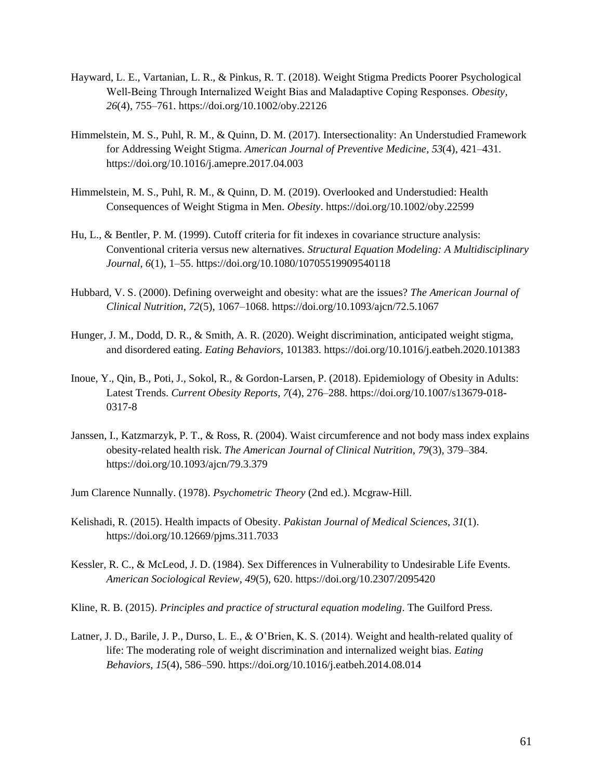- Hayward, L. E., Vartanian, L. R., & Pinkus, R. T. (2018). Weight Stigma Predicts Poorer Psychological Well‐Being Through Internalized Weight Bias and Maladaptive Coping Responses. *Obesity*, *26*(4), 755–761. https://doi.org/10.1002/oby.22126
- Himmelstein, M. S., Puhl, R. M., & Quinn, D. M. (2017). Intersectionality: An Understudied Framework for Addressing Weight Stigma. *American Journal of Preventive Medicine*, *53*(4), 421–431. https://doi.org/10.1016/j.amepre.2017.04.003
- Himmelstein, M. S., Puhl, R. M., & Quinn, D. M. (2019). Overlooked and Understudied: Health Consequences of Weight Stigma in Men. *Obesity*. https://doi.org/10.1002/oby.22599
- Hu, L., & Bentler, P. M. (1999). Cutoff criteria for fit indexes in covariance structure analysis: Conventional criteria versus new alternatives. *Structural Equation Modeling: A Multidisciplinary Journal*, *6*(1), 1–55. https://doi.org/10.1080/10705519909540118
- Hubbard, V. S. (2000). Defining overweight and obesity: what are the issues? *The American Journal of Clinical Nutrition*, *72*(5), 1067–1068. https://doi.org/10.1093/ajcn/72.5.1067
- Hunger, J. M., Dodd, D. R., & Smith, A. R. (2020). Weight discrimination, anticipated weight stigma, and disordered eating. *Eating Behaviors*, 101383. https://doi.org/10.1016/j.eatbeh.2020.101383
- Inoue, Y., Qin, B., Poti, J., Sokol, R., & Gordon-Larsen, P. (2018). Epidemiology of Obesity in Adults: Latest Trends. *Current Obesity Reports*, *7*(4), 276–288. https://doi.org/10.1007/s13679-018- 0317-8
- Janssen, I., Katzmarzyk, P. T., & Ross, R. (2004). Waist circumference and not body mass index explains obesity-related health risk. *The American Journal of Clinical Nutrition*, *79*(3), 379–384. https://doi.org/10.1093/ajcn/79.3.379
- Jum Clarence Nunnally. (1978). *Psychometric Theory* (2nd ed.). Mcgraw-Hill.
- Kelishadi, R. (2015). Health impacts of Obesity. *Pakistan Journal of Medical Sciences*, *31*(1). https://doi.org/10.12669/pjms.311.7033
- Kessler, R. C., & McLeod, J. D. (1984). Sex Differences in Vulnerability to Undesirable Life Events. *American Sociological Review*, *49*(5), 620. https://doi.org/10.2307/2095420
- Kline, R. B. (2015). *Principles and practice of structural equation modeling*. The Guilford Press.
- Latner, J. D., Barile, J. P., Durso, L. E., & O'Brien, K. S. (2014). Weight and health-related quality of life: The moderating role of weight discrimination and internalized weight bias. *Eating Behaviors*, *15*(4), 586–590. https://doi.org/10.1016/j.eatbeh.2014.08.014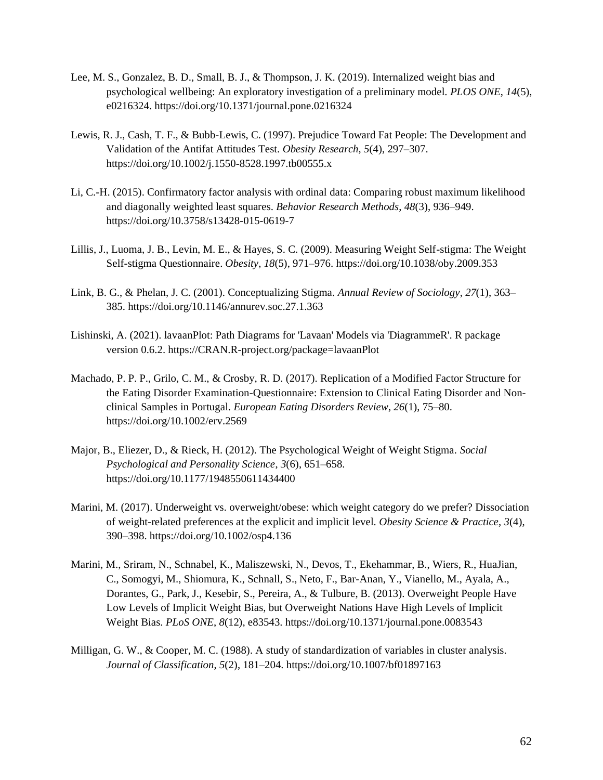- Lee, M. S., Gonzalez, B. D., Small, B. J., & Thompson, J. K. (2019). Internalized weight bias and psychological wellbeing: An exploratory investigation of a preliminary model. *PLOS ONE*, *14*(5), e0216324. https://doi.org/10.1371/journal.pone.0216324
- Lewis, R. J., Cash, T. F., & Bubb-Lewis, C. (1997). Prejudice Toward Fat People: The Development and Validation of the Antifat Attitudes Test. *Obesity Research*, *5*(4), 297–307. https://doi.org/10.1002/j.1550-8528.1997.tb00555.x
- Li, C.-H. (2015). Confirmatory factor analysis with ordinal data: Comparing robust maximum likelihood and diagonally weighted least squares. *Behavior Research Methods*, *48*(3), 936–949. https://doi.org/10.3758/s13428-015-0619-7
- Lillis, J., Luoma, J. B., Levin, M. E., & Hayes, S. C. (2009). Measuring Weight Self-stigma: The Weight Self-stigma Questionnaire. *Obesity*, *18*(5), 971–976. https://doi.org/10.1038/oby.2009.353
- Link, B. G., & Phelan, J. C. (2001). Conceptualizing Stigma. *Annual Review of Sociology*, *27*(1), 363– 385. https://doi.org/10.1146/annurev.soc.27.1.363
- Lishinski, A. (2021). lavaanPlot: Path Diagrams for 'Lavaan' Models via 'DiagrammeR'. R package version 0.6.2. https://CRAN.R-project.org/package=lavaanPlot
- Machado, P. P. P., Grilo, C. M., & Crosby, R. D. (2017). Replication of a Modified Factor Structure for the Eating Disorder Examination-Questionnaire: Extension to Clinical Eating Disorder and Nonclinical Samples in Portugal. *European Eating Disorders Review*, *26*(1), 75–80. https://doi.org/10.1002/erv.2569
- Major, B., Eliezer, D., & Rieck, H. (2012). The Psychological Weight of Weight Stigma. *Social Psychological and Personality Science*, *3*(6), 651–658. https://doi.org/10.1177/1948550611434400
- Marini, M. (2017). Underweight vs. overweight/obese: which weight category do we prefer? Dissociation of weight-related preferences at the explicit and implicit level. *Obesity Science & Practice*, *3*(4), 390–398. https://doi.org/10.1002/osp4.136
- Marini, M., Sriram, N., Schnabel, K., Maliszewski, N., Devos, T., Ekehammar, B., Wiers, R., HuaJian, C., Somogyi, M., Shiomura, K., Schnall, S., Neto, F., Bar-Anan, Y., Vianello, M., Ayala, A., Dorantes, G., Park, J., Kesebir, S., Pereira, A., & Tulbure, B. (2013). Overweight People Have Low Levels of Implicit Weight Bias, but Overweight Nations Have High Levels of Implicit Weight Bias. *PLoS ONE*, *8*(12), e83543. https://doi.org/10.1371/journal.pone.0083543
- Milligan, G. W., & Cooper, M. C. (1988). A study of standardization of variables in cluster analysis. *Journal of Classification*, *5*(2), 181–204. https://doi.org/10.1007/bf01897163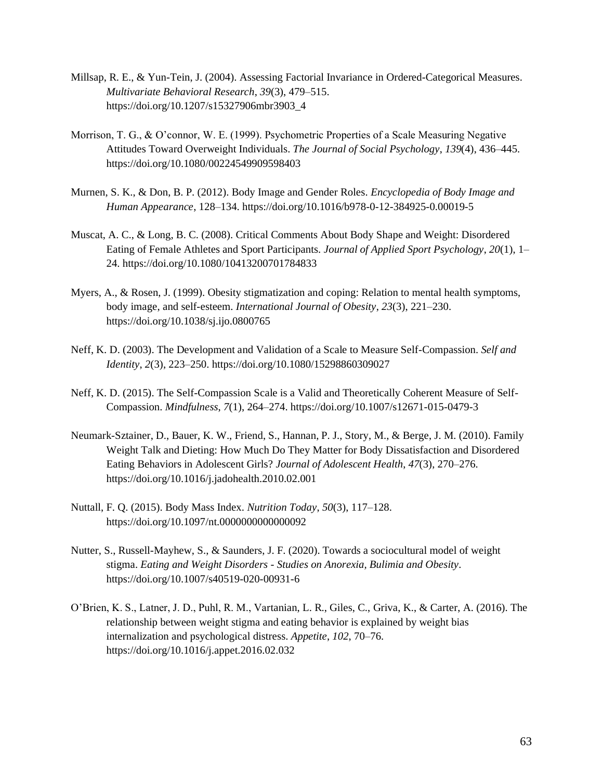- Millsap, R. E., & Yun-Tein, J. (2004). Assessing Factorial Invariance in Ordered-Categorical Measures. *Multivariate Behavioral Research*, *39*(3), 479–515. https://doi.org/10.1207/s15327906mbr3903\_4
- Morrison, T. G., & O'connor, W. E. (1999). Psychometric Properties of a Scale Measuring Negative Attitudes Toward Overweight Individuals. *The Journal of Social Psychology*, *139*(4), 436–445. https://doi.org/10.1080/00224549909598403
- Murnen, S. K., & Don, B. P. (2012). Body Image and Gender Roles. *Encyclopedia of Body Image and Human Appearance*, 128–134. https://doi.org/10.1016/b978-0-12-384925-0.00019-5
- Muscat, A. C., & Long, B. C. (2008). Critical Comments About Body Shape and Weight: Disordered Eating of Female Athletes and Sport Participants. *Journal of Applied Sport Psychology*, *20*(1), 1– 24. https://doi.org/10.1080/10413200701784833
- Myers, A., & Rosen, J. (1999). Obesity stigmatization and coping: Relation to mental health symptoms, body image, and self-esteem. *International Journal of Obesity*, *23*(3), 221–230. https://doi.org/10.1038/sj.ijo.0800765
- Neff, K. D. (2003). The Development and Validation of a Scale to Measure Self-Compassion. *Self and Identity*, *2*(3), 223–250. https://doi.org/10.1080/15298860309027
- Neff, K. D. (2015). The Self-Compassion Scale is a Valid and Theoretically Coherent Measure of Self-Compassion. *Mindfulness*, *7*(1), 264–274. https://doi.org/10.1007/s12671-015-0479-3
- Neumark-Sztainer, D., Bauer, K. W., Friend, S., Hannan, P. J., Story, M., & Berge, J. M. (2010). Family Weight Talk and Dieting: How Much Do They Matter for Body Dissatisfaction and Disordered Eating Behaviors in Adolescent Girls? *Journal of Adolescent Health*, *47*(3), 270–276. https://doi.org/10.1016/j.jadohealth.2010.02.001
- Nuttall, F. Q. (2015). Body Mass Index. *Nutrition Today*, *50*(3), 117–128. https://doi.org/10.1097/nt.0000000000000092
- Nutter, S., Russell-Mayhew, S., & Saunders, J. F. (2020). Towards a sociocultural model of weight stigma. *Eating and Weight Disorders - Studies on Anorexia, Bulimia and Obesity*. https://doi.org/10.1007/s40519-020-00931-6
- O'Brien, K. S., Latner, J. D., Puhl, R. M., Vartanian, L. R., Giles, C., Griva, K., & Carter, A. (2016). The relationship between weight stigma and eating behavior is explained by weight bias internalization and psychological distress. *Appetite*, *102*, 70–76. https://doi.org/10.1016/j.appet.2016.02.032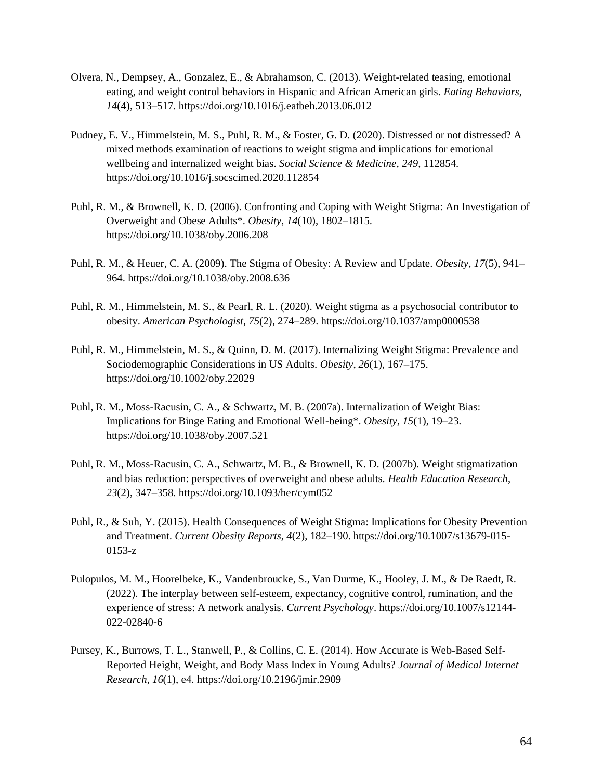- Olvera, N., Dempsey, A., Gonzalez, E., & Abrahamson, C. (2013). Weight-related teasing, emotional eating, and weight control behaviors in Hispanic and African American girls. *Eating Behaviors*, *14*(4), 513–517. https://doi.org/10.1016/j.eatbeh.2013.06.012
- Pudney, E. V., Himmelstein, M. S., Puhl, R. M., & Foster, G. D. (2020). Distressed or not distressed? A mixed methods examination of reactions to weight stigma and implications for emotional wellbeing and internalized weight bias. *Social Science & Medicine*, *249*, 112854. https://doi.org/10.1016/j.socscimed.2020.112854
- Puhl, R. M., & Brownell, K. D. (2006). Confronting and Coping with Weight Stigma: An Investigation of Overweight and Obese Adults\*. *Obesity*, *14*(10), 1802–1815. https://doi.org/10.1038/oby.2006.208
- Puhl, R. M., & Heuer, C. A. (2009). The Stigma of Obesity: A Review and Update. *Obesity*, *17*(5), 941– 964. https://doi.org/10.1038/oby.2008.636
- Puhl, R. M., Himmelstein, M. S., & Pearl, R. L. (2020). Weight stigma as a psychosocial contributor to obesity. *American Psychologist*, *75*(2), 274–289. https://doi.org/10.1037/amp0000538
- Puhl, R. M., Himmelstein, M. S., & Quinn, D. M. (2017). Internalizing Weight Stigma: Prevalence and Sociodemographic Considerations in US Adults. *Obesity*, *26*(1), 167–175. https://doi.org/10.1002/oby.22029
- Puhl, R. M., Moss-Racusin, C. A., & Schwartz, M. B. (2007a). Internalization of Weight Bias: Implications for Binge Eating and Emotional Well-being\*. *Obesity*, *15*(1), 19–23. https://doi.org/10.1038/oby.2007.521
- Puhl, R. M., Moss-Racusin, C. A., Schwartz, M. B., & Brownell, K. D. (2007b). Weight stigmatization and bias reduction: perspectives of overweight and obese adults. *Health Education Research*, *23*(2), 347–358. https://doi.org/10.1093/her/cym052
- Puhl, R., & Suh, Y. (2015). Health Consequences of Weight Stigma: Implications for Obesity Prevention and Treatment. *Current Obesity Reports*, *4*(2), 182–190. https://doi.org/10.1007/s13679-015- 0153-z
- Pulopulos, M. M., Hoorelbeke, K., Vandenbroucke, S., Van Durme, K., Hooley, J. M., & De Raedt, R. (2022). The interplay between self-esteem, expectancy, cognitive control, rumination, and the experience of stress: A network analysis. *Current Psychology*. https://doi.org/10.1007/s12144- 022-02840-6
- Pursey, K., Burrows, T. L., Stanwell, P., & Collins, C. E. (2014). How Accurate is Web-Based Self-Reported Height, Weight, and Body Mass Index in Young Adults? *Journal of Medical Internet Research*, *16*(1), e4. https://doi.org/10.2196/jmir.2909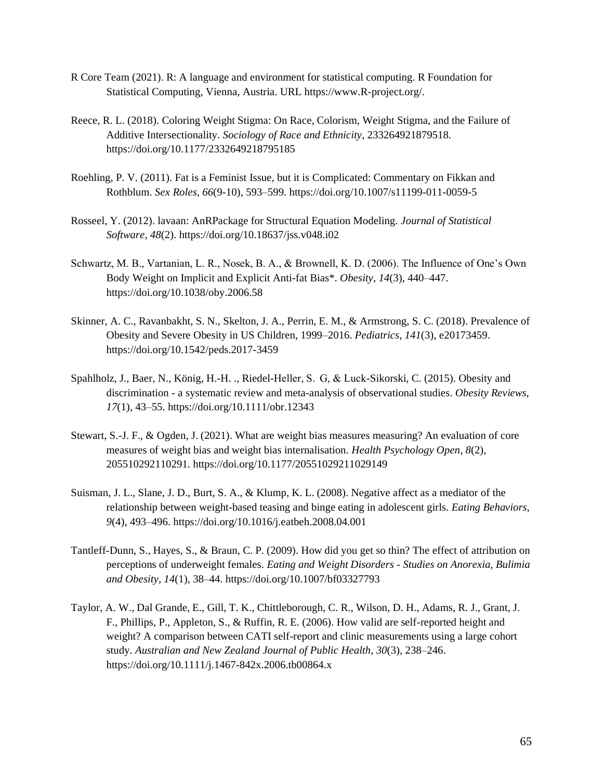- R Core Team (2021). R: A language and environment for statistical computing. R Foundation for Statistical Computing, Vienna, Austria. URL https://www.R-project.org/.
- Reece, R. L. (2018). Coloring Weight Stigma: On Race, Colorism, Weight Stigma, and the Failure of Additive Intersectionality. *Sociology of Race and Ethnicity*, 233264921879518. https://doi.org/10.1177/2332649218795185
- Roehling, P. V. (2011). Fat is a Feminist Issue, but it is Complicated: Commentary on Fikkan and Rothblum. *Sex Roles*, *66*(9-10), 593–599. https://doi.org/10.1007/s11199-011-0059-5
- Rosseel, Y. (2012). lavaan: AnRPackage for Structural Equation Modeling. *Journal of Statistical Software*, *48*(2). https://doi.org/10.18637/jss.v048.i02
- Schwartz, M. B., Vartanian, L. R., Nosek, B. A., & Brownell, K. D. (2006). The Influence of One's Own Body Weight on Implicit and Explicit Anti-fat Bias\*. *Obesity*, *14*(3), 440–447. https://doi.org/10.1038/oby.2006.58
- Skinner, A. C., Ravanbakht, S. N., Skelton, J. A., Perrin, E. M., & Armstrong, S. C. (2018). Prevalence of Obesity and Severe Obesity in US Children, 1999–2016. *Pediatrics*, *141*(3), e20173459. https://doi.org/10.1542/peds.2017-3459
- Spahlholz, J., Baer, N., König, H.-H. ., Riedel-Heller, S.  G, & Luck-Sikorski, C. (2015). Obesity and discrimination - a systematic review and meta-analysis of observational studies. *Obesity Reviews*, *17*(1), 43–55. https://doi.org/10.1111/obr.12343
- Stewart, S.-J. F., & Ogden, J. (2021). What are weight bias measures measuring? An evaluation of core measures of weight bias and weight bias internalisation. *Health Psychology Open*, *8*(2), 205510292110291. https://doi.org/10.1177/20551029211029149
- Suisman, J. L., Slane, J. D., Burt, S. A., & Klump, K. L. (2008). Negative affect as a mediator of the relationship between weight-based teasing and binge eating in adolescent girls. *Eating Behaviors*, *9*(4), 493–496. https://doi.org/10.1016/j.eatbeh.2008.04.001
- Tantleff-Dunn, S., Hayes, S., & Braun, C. P. (2009). How did you get so thin? The effect of attribution on perceptions of underweight females. *Eating and Weight Disorders - Studies on Anorexia, Bulimia and Obesity*, *14*(1), 38–44. https://doi.org/10.1007/bf03327793
- Taylor, A. W., Dal Grande, E., Gill, T. K., Chittleborough, C. R., Wilson, D. H., Adams, R. J., Grant, J. F., Phillips, P., Appleton, S., & Ruffin, R. E. (2006). How valid are self-reported height and weight? A comparison between CATI self-report and clinic measurements using a large cohort study. *Australian and New Zealand Journal of Public Health*, *30*(3), 238–246. https://doi.org/10.1111/j.1467-842x.2006.tb00864.x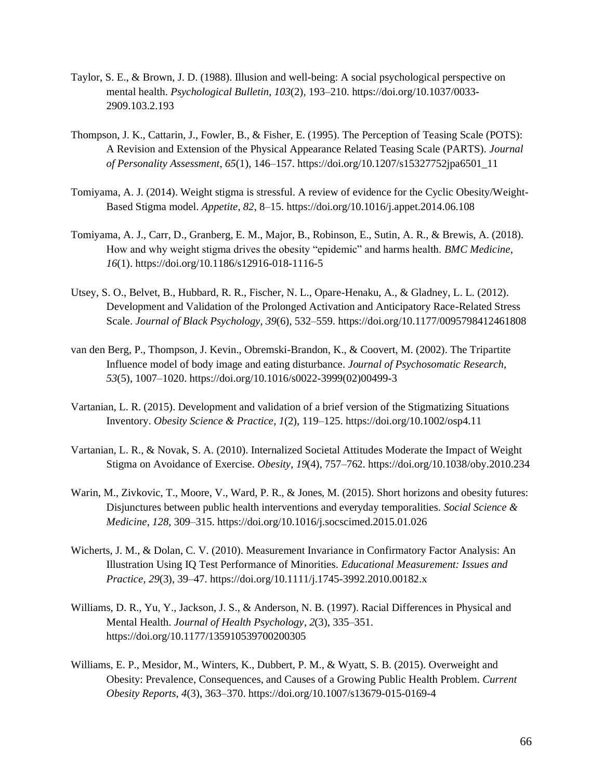- Taylor, S. E., & Brown, J. D. (1988). Illusion and well-being: A social psychological perspective on mental health. *Psychological Bulletin*, *103*(2), 193–210. https://doi.org/10.1037/0033- 2909.103.2.193
- Thompson, J. K., Cattarin, J., Fowler, B., & Fisher, E. (1995). The Perception of Teasing Scale (POTS): A Revision and Extension of the Physical Appearance Related Teasing Scale (PARTS). *Journal of Personality Assessment*, *65*(1), 146–157. https://doi.org/10.1207/s15327752jpa6501\_11
- Tomiyama, A. J. (2014). Weight stigma is stressful. A review of evidence for the Cyclic Obesity/Weight-Based Stigma model. *Appetite*, *82*, 8–15. https://doi.org/10.1016/j.appet.2014.06.108
- Tomiyama, A. J., Carr, D., Granberg, E. M., Major, B., Robinson, E., Sutin, A. R., & Brewis, A. (2018). How and why weight stigma drives the obesity "epidemic" and harms health. *BMC Medicine*, *16*(1). https://doi.org/10.1186/s12916-018-1116-5
- Utsey, S. O., Belvet, B., Hubbard, R. R., Fischer, N. L., Opare-Henaku, A., & Gladney, L. L. (2012). Development and Validation of the Prolonged Activation and Anticipatory Race-Related Stress Scale. *Journal of Black Psychology*, *39*(6), 532–559. https://doi.org/10.1177/0095798412461808
- van den Berg, P., Thompson, J. Kevin., Obremski-Brandon, K., & Coovert, M. (2002). The Tripartite Influence model of body image and eating disturbance. *Journal of Psychosomatic Research*, *53*(5), 1007–1020. https://doi.org/10.1016/s0022-3999(02)00499-3
- Vartanian, L. R. (2015). Development and validation of a brief version of the Stigmatizing Situations Inventory. *Obesity Science & Practice*, *1*(2), 119–125. https://doi.org/10.1002/osp4.11
- Vartanian, L. R., & Novak, S. A. (2010). Internalized Societal Attitudes Moderate the Impact of Weight Stigma on Avoidance of Exercise. *Obesity*, *19*(4), 757–762. https://doi.org/10.1038/oby.2010.234
- Warin, M., Zivkovic, T., Moore, V., Ward, P. R., & Jones, M. (2015). Short horizons and obesity futures: Disjunctures between public health interventions and everyday temporalities. *Social Science & Medicine*, *128*, 309–315. https://doi.org/10.1016/j.socscimed.2015.01.026
- Wicherts, J. M., & Dolan, C. V. (2010). Measurement Invariance in Confirmatory Factor Analysis: An Illustration Using IQ Test Performance of Minorities. *Educational Measurement: Issues and Practice*, *29*(3), 39–47. https://doi.org/10.1111/j.1745-3992.2010.00182.x
- Williams, D. R., Yu, Y., Jackson, J. S., & Anderson, N. B. (1997). Racial Differences in Physical and Mental Health. *Journal of Health Psychology*, *2*(3), 335–351. https://doi.org/10.1177/135910539700200305
- Williams, E. P., Mesidor, M., Winters, K., Dubbert, P. M., & Wyatt, S. B. (2015). Overweight and Obesity: Prevalence, Consequences, and Causes of a Growing Public Health Problem. *Current Obesity Reports*, *4*(3), 363–370. https://doi.org/10.1007/s13679-015-0169-4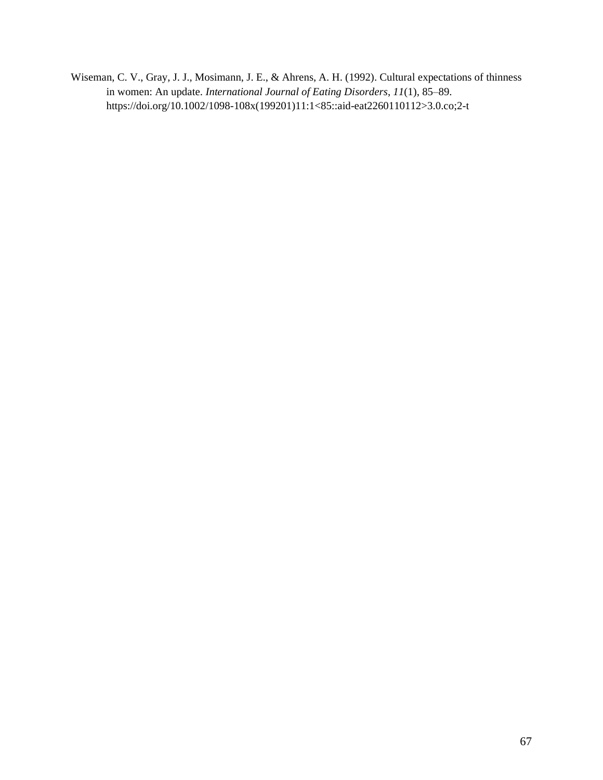Wiseman, C. V., Gray, J. J., Mosimann, J. E., & Ahrens, A. H. (1992). Cultural expectations of thinness in women: An update. *International Journal of Eating Disorders*, *11*(1), 85–89. https://doi.org/10.1002/1098-108x(199201)11:1<85::aid-eat2260110112>3.0.co;2-t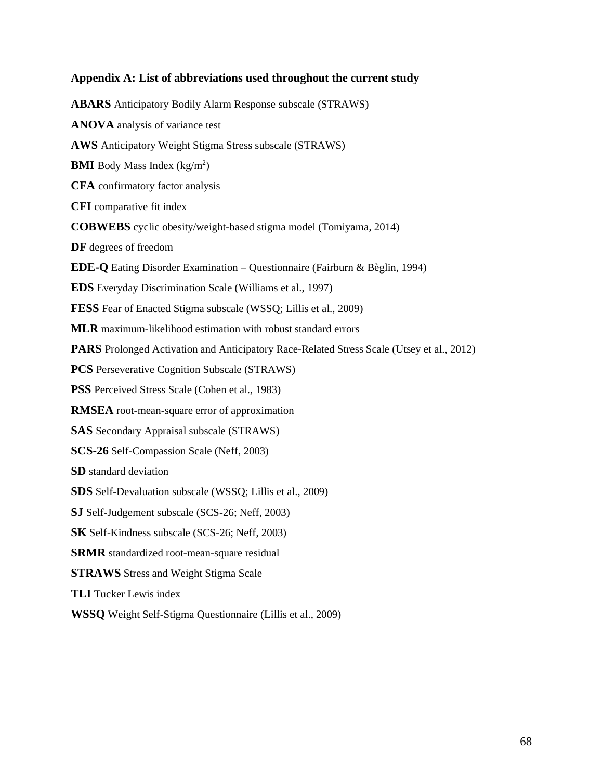# **Appendix A: List of abbreviations used throughout the current study**

**ABARS** Anticipatory Bodily Alarm Response subscale (STRAWS) **ANOVA** analysis of variance test **AWS** Anticipatory Weight Stigma Stress subscale (STRAWS) **BMI** Body Mass Index (kg/m<sup>2</sup>) **CFA** confirmatory factor analysis **CFI** comparative fit index **COBWEBS** cyclic obesity/weight-based stigma model (Tomiyama, 2014) **DF** degrees of freedom **EDE-Q** Eating Disorder Examination – Questionnaire (Fairburn & Bèglin, 1994) **EDS** Everyday Discrimination Scale (Williams et al., 1997) **FESS** Fear of Enacted Stigma subscale (WSSQ; Lillis et al., 2009) **MLR** maximum-likelihood estimation with robust standard errors **PARS** Prolonged Activation and Anticipatory Race-Related Stress Scale (Utsey et al., 2012) **PCS** Perseverative Cognition Subscale (STRAWS) **PSS** Perceived Stress Scale (Cohen et al., 1983) **RMSEA** root-mean-square error of approximation **SAS** Secondary Appraisal subscale (STRAWS) **SCS-26** Self-Compassion Scale (Neff, 2003) **SD** standard deviation **SDS** Self-Devaluation subscale (WSSQ; Lillis et al., 2009) **SJ** Self-Judgement subscale (SCS-26; Neff, 2003) **SK** Self-Kindness subscale (SCS-26; Neff, 2003) **SRMR** standardized root-mean-square residual **STRAWS** Stress and Weight Stigma Scale **TLI** Tucker Lewis index **WSSQ** Weight Self-Stigma Questionnaire (Lillis et al., 2009)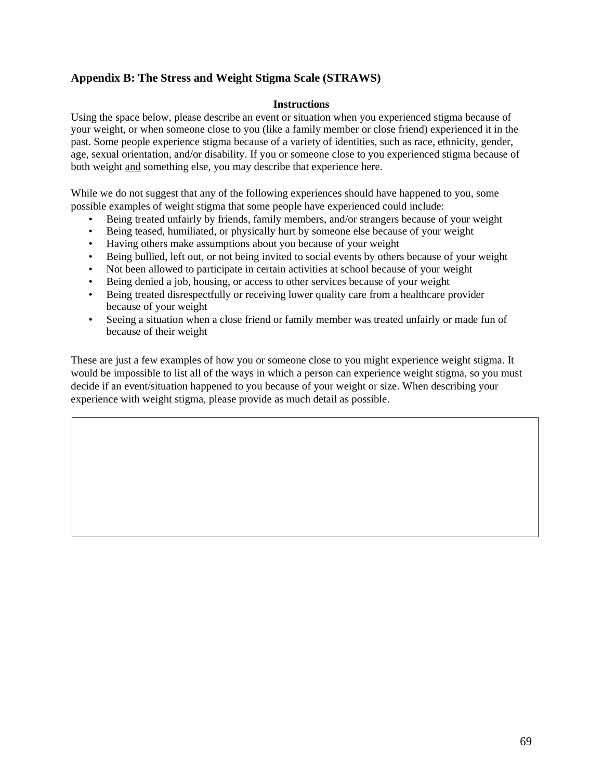## **Appendix B: The Stress and Weight Stigma Scale (STRAWS)**

### **Instructions**

Using the space below, please describe an event or situation when you experienced stigma because of your weight, or when someone close to you (like a family member or close friend) experienced it in the past. Some people experience stigma because of a variety of identities, such as race, ethnicity, gender, age, sexual orientation, and/or disability. If you or someone close to you experienced stigma because of both weight and something else, you may describe that experience here.

While we do not suggest that any of the following experiences should have happened to you, some possible examples of weight stigma that some people have experienced could include:

- Being treated unfairly by friends, family members, and/or strangers because of your weight
- Being teased, humiliated, or physically hurt by someone else because of your weight
- Having others make assumptions about you because of your weight
- Being bullied, left out, or not being invited to social events by others because of your weight
- Not been allowed to participate in certain activities at school because of your weight
- Being denied a job, housing, or access to other services because of your weight
- Being treated disrespectfully or receiving lower quality care from a healthcare provider because of your weight
- Seeing a situation when a close friend or family member was treated unfairly or made fun of because of their weight

These are just a few examples of how you or someone close to you might experience weight stigma. It would be impossible to list all of the ways in which a person can experience weight stigma, so you must decide if an event/situation happened to you because of your weight or size. When describing your experience with weight stigma, please provide as much detail as possible.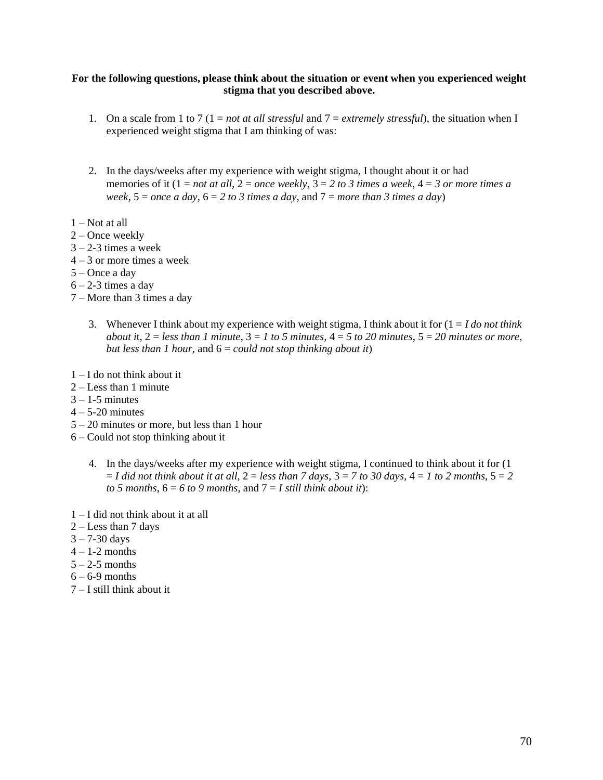#### **For the following questions, please think about the situation or event when you experienced weight stigma that you described above.**

- 1. On a scale from 1 to 7 (1 = *not at all stressful* and 7 = *extremely stressful*), the situation when I experienced weight stigma that I am thinking of was:
- 2. In the days/weeks after my experience with weight stigma, I thought about it or had memories of it (1 = *not at all,* 2 = *once weekly*, 3 = *2 to 3 times a week*, 4 = *3 or more times a week*, 5 = *once a day*, 6 = *2 to 3 times a day,* and 7 = *more than 3 times a day*)
- 1 Not at all
- 2 Once weekly
- $3 2 3$  times a week
- $4 3$  or more times a week
- 5 Once a day
- $6 2 3$  times a day
- 7 More than 3 times a day
	- 3. Whenever I think about my experience with weight stigma, I think about it for (1 = *I do not think about it, 2* = *less than 1 minute, 3* = 1 *to 5 minutes, 4* = 5 *to 20 minutes, 5* = 20 *minutes or more, but less than 1 hour,* and 6 = *could not stop thinking about it*)
- 1 I do not think about it
- 2 Less than 1 minute
- $3 1$ -5 minutes
- $4 5 20$  minutes
- 5 20 minutes or more, but less than 1 hour
- 6 Could not stop thinking about it
	- 4. In the days/weeks after my experience with weight stigma, I continued to think about it for (1  $I = I$  did not think about it at all,  $2 =$  less than 7 days,  $3 = 7$  to 30 days,  $4 = 1$  to 2 months,  $5 = 2$ *to 5 months*,  $6 = 6$  *to 9 months*, and  $7 = I$  *still think about it*):
- 1 I did not think about it at all
- 2 Less than 7 days
- $3 7 30 \text{ days}$
- $4 1-2$  months
- $5 2-5$  months
- $6 6 9$  months
- 7 I still think about it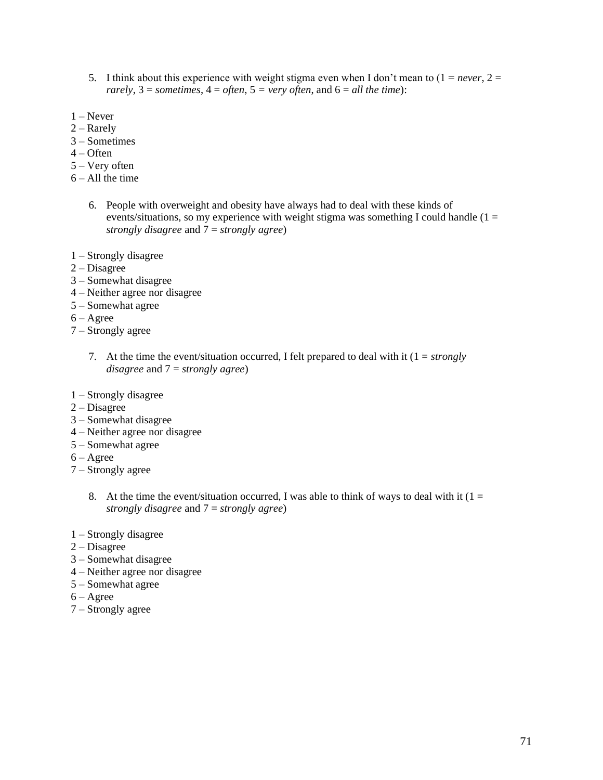- 5. I think about this experience with weight stigma even when I don't mean to  $(1 = never, 2 = 1)$ *rarely*,  $3 =$  *sometimes*,  $4 =$  *often*,  $5 =$  *very often*, and  $6 =$  *all the time*):
- $1 -$ Never
- $2 -$ Rarely
- 3 Sometimes
- $4 -$  Often
- 5 Very often
- $6 All$  the time
	- 6. People with overweight and obesity have always had to deal with these kinds of events/situations, so my experience with weight stigma was something I could handle ( $1 =$ *strongly disagree* and 7 = *strongly agree*)
- 1 Strongly disagree
- 2 Disagree
- 3 Somewhat disagree
- 4 Neither agree nor disagree
- 5 Somewhat agree
- $6 \text{Agree}$
- 7 Strongly agree
	- 7. At the time the event/situation occurred, I felt prepared to deal with it (1 = *strongly disagree* and 7 = *strongly agree*)
- 1 Strongly disagree
- $2 Disagree$
- 3 Somewhat disagree
- 4 Neither agree nor disagree
- 5 Somewhat agree
- $6 \text{Agree}$
- 7 Strongly agree
	- 8. At the time the event/situation occurred, I was able to think of ways to deal with it  $(1 =$ *strongly disagree* and 7 = *strongly agree*)
- 1 Strongly disagree
- 2 Disagree
- 3 Somewhat disagree
- 4 Neither agree nor disagree
- 5 Somewhat agree
- 6 Agree
- 7 Strongly agree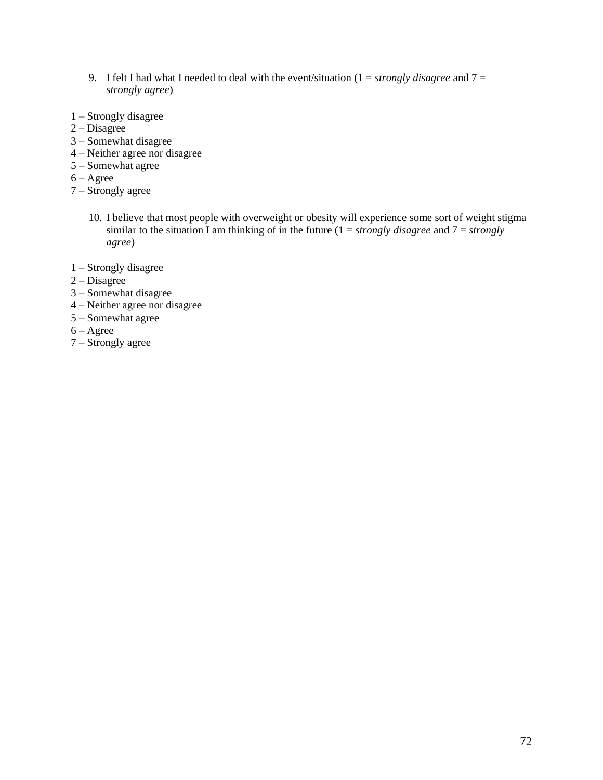- 9. I felt I had what I needed to deal with the event/situation (1 = *strongly disagree* and 7 = *strongly agree*)
- 1 Strongly disagree
- 2 Disagree
- 3 Somewhat disagree
- 4 Neither agree nor disagree
- 5 Somewhat agree
- $6 \text{Agree}$
- 7 Strongly agree
	- 10. I believe that most people with overweight or obesity will experience some sort of weight stigma similar to the situation I am thinking of in the future  $(1 = \frac{strongly}{disagree}$  and  $7 = \frac{strongly}{iscore}$ *agree*)
- 1 Strongly disagree
- $2 Disagree$
- 3 Somewhat disagree
- 4 Neither agree nor disagree
- 5 Somewhat agree
- $6 \text{Agree}$
- 7 Strongly agree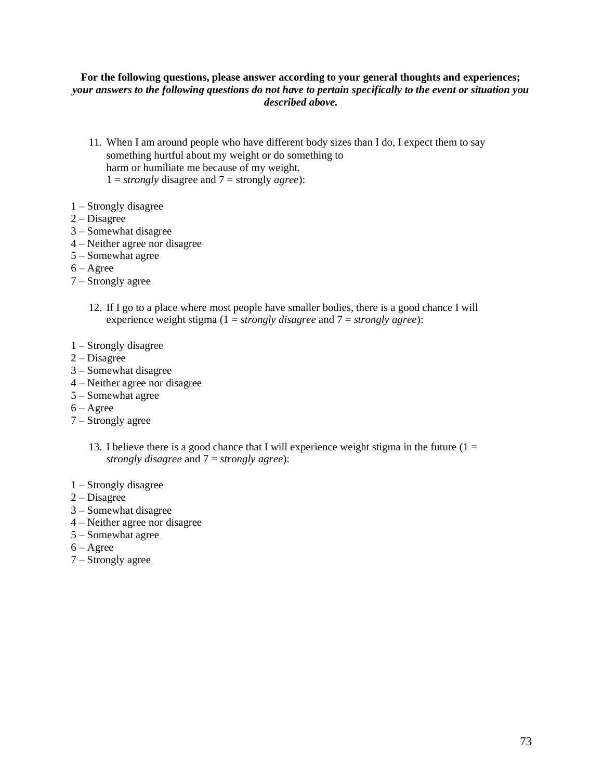### **For the following questions, please answer according to your general thoughts and experiences;**  *your answers to the following questions do not have to pertain specifically to the event or situation you described above.*

- 11. When I am around people who have different body sizes than I do, I expect them to say something hurtful about my weight or do something to harm or humiliate me because of my weight.  $1 = \frac{strongly}{\text{disagree}}$  and  $7 = \frac{strongly}{\text{argley}}$ .
- 1 Strongly disagree
- 2 Disagree
- 3 Somewhat disagree
- 4 Neither agree nor disagree
- 5 Somewhat agree
- $6 \text{Agree}$
- 7 Strongly agree
	- 12. If I go to a place where most people have smaller bodies, there is a good chance I will experience weight stigma (1 = *strongly disagree* and 7 = *strongly agree*):
- 1 Strongly disagree
- 2 Disagree
- 3 Somewhat disagree
- 4 Neither agree nor disagree
- 5 Somewhat agree
- 6 Agree
- 7 Strongly agree
	- 13. I believe there is a good chance that I will experience weight stigma in the future  $(1 =$ *strongly disagree* and 7 = *strongly agree*):
- 1 Strongly disagree
- 2 Disagree
- 3 Somewhat disagree
- 4 Neither agree nor disagree
- 5 Somewhat agree
- $6 \text{Agree}$
- 7 Strongly agree